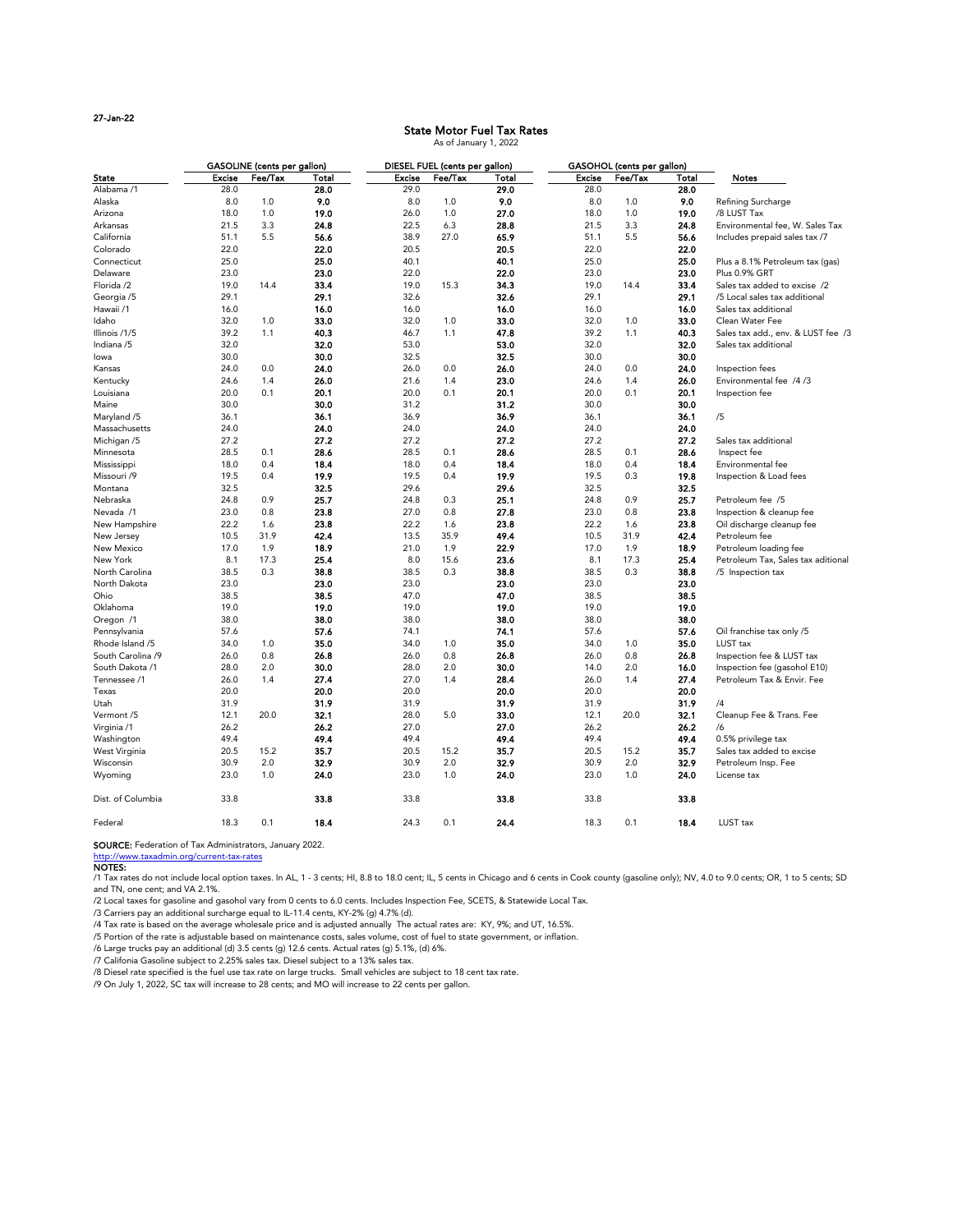27-Jan-22

|                   | <b>GASOLINE</b> (cents per gallon) |         |              | DIESEL FUEL (cents per gallon) |         |       | <b>GASOHOL</b> (cents per gallon) |         |              |                                    |
|-------------------|------------------------------------|---------|--------------|--------------------------------|---------|-------|-----------------------------------|---------|--------------|------------------------------------|
| <b>State</b>      | <b>Excise</b>                      | Fee/Tax | <b>Total</b> | <b>Excise</b>                  | Fee/Tax | Total | <b>Excise</b>                     | Fee/Tax | <b>Total</b> | <b>Notes</b>                       |
| Alabama /1        | 28.0                               |         | 28.0         | 29.0                           |         | 29.0  | 28.0                              |         | 28.0         |                                    |
| Alaska            | 8.0                                | 1.0     | 9.0          | 8.0                            | 1.0     | 9.0   | 8.0                               | 1.0     | 9.0          | Refining Surcharge                 |
| Arizona           | 18.0                               | 1.0     | 19.0         | 26.0                           | 1.0     | 27.0  | 18.0                              | 1.0     | 19.0         | /8 LUST Tax                        |
| Arkansas          | 21.5                               | 3.3     | 24.8         | 22.5                           | 6.3     | 28.8  | 21.5                              | 3.3     | 24.8         | Environmental fee, W. Sales Tax    |
| California        | 51.1                               | 5.5     | 56.6         | 38.9                           | 27.0    | 65.9  | 51.1                              | 5.5     | 56.6         | Includes prepaid sales tax /7      |
| Colorado          | 22.0                               |         | 22.0         | 20.5                           |         | 20.5  | 22.0                              |         | 22.0         |                                    |
| Connecticut       | 25.0                               |         | 25.0         | 40.1                           |         | 40.1  | 25.0                              |         | 25.0         | Plus a 8.1% Petroleum tax (gas)    |
| Delaware          | 23.0                               |         | 23.0         | 22.0                           |         | 22.0  | 23.0                              |         | 23.0         | Plus 0.9% GRT                      |
| Florida /2        | 19.0                               | 14.4    | 33.4         | 19.0                           | 15.3    | 34.3  | 19.0                              | 14.4    | 33.4         | Sales tax added to excise /2       |
| Georgia /5        | 29.1                               |         | 29.1         | 32.6                           |         | 32.6  | 29.1                              |         | 29.1         | /5 Local sales tax additional      |
| Hawaii /1         | 16.0                               |         | 16.0         | 16.0                           |         | 16.0  | 16.0                              |         | 16.0         | Sales tax additional               |
| Idaho             | 32.0                               | 1.0     | 33.0         | 32.0                           | 1.0     | 33.0  | 32.0                              | 1.0     | 33.0         | Clean Water Fee                    |
| Illinois /1/5     | 39.2                               | 1.1     | 40.3         | 46.7                           | 1.1     | 47.8  | 39.2                              | 1.1     | 40.3         | Sales tax add., env. & LUST fee /3 |
| Indiana /5        | 32.0                               |         | 32.0         | 53.0                           |         | 53.0  | 32.0                              |         | 32.0         | Sales tax additional               |
| lowa              | 30.0                               |         | 30.0         | 32.5                           |         | 32.5  | 30.0                              |         | 30.0         |                                    |
| Kansas            | 24.0                               | 0.0     | 24.0         | 26.0                           | 0.0     | 26.0  | 24.0                              | 0.0     | 24.0         | Inspection fees                    |
| Kentucky          | 24.6                               | 1.4     | 26.0         | 21.6                           | 1.4     | 23.0  | 24.6                              | 1.4     | 26.0         | Environmental fee /4/3             |
| Louisiana         | 20.0                               | 0.1     | 20.1         | 20.0                           | 0.1     | 20.1  | 20.0                              | 0.1     | 20.1         | Inspection fee                     |
| Maine             | 30.0                               |         | 30.0         | 31.2                           |         | 31.2  | 30.0                              |         | 30.0         |                                    |
| Maryland /5       | 36.1                               |         | 36.1         | 36.9                           |         | 36.9  | 36.1                              |         | 36.1         | /5                                 |
| Massachusetts     | 24.0                               |         | 24.0         | 24.0                           |         | 24.0  | 24.0                              |         | 24.0         |                                    |
| Michigan /5       | 27.2                               |         | 27.2         | 27.2                           |         | 27.2  | 27.2                              |         | 27.2         | Sales tax additional               |
| Minnesota         | 28.5                               | 0.1     | 28.6         | 28.5                           | 0.1     | 28.6  | 28.5                              | 0.1     | 28.6         | Inspect fee                        |
| Mississippi       | 18.0                               | 0.4     | 18.4         | 18.0                           | 0.4     | 18.4  | 18.0                              | 0.4     | 18.4         | Environmental fee                  |
| Missouri /9       | 19.5                               | 0.4     | 19.9         | 19.5                           | 0.4     | 19.9  | 19.5                              | 0.3     | 19.8         | Inspection & Load fees             |
| Montana           | 32.5                               |         | 32.5         | 29.6                           |         | 29.6  | 32.5                              |         | 32.5         |                                    |
| Nebraska          | 24.8                               | 0.9     | 25.7         | 24.8                           | 0.3     | 25.1  | 24.8                              | 0.9     | 25.7         | Petroleum fee /5                   |
| Nevada /1         | 23.0                               | 0.8     | 23.8         | 27.0                           | 0.8     | 27.8  | 23.0                              | 0.8     | 23.8         | Inspection & cleanup fee           |
| New Hampshire     | 22.2                               | 1.6     | 23.8         | 22.2                           | 1.6     | 23.8  | 22.2                              | 1.6     | 23.8         | Oil discharge cleanup fee          |
| New Jersey        | 10.5                               | 31.9    | 42.4         | 13.5                           | 35.9    | 49.4  | 10.5                              | 31.9    | 42.4         | Petroleum fee                      |
| New Mexico        | 17.0                               | 1.9     | 18.9         | 21.0                           | 1.9     | 22.9  | 17.0                              | 1.9     | 18.9         | Petroleum loading fee              |
| New York          | 8.1                                | 17.3    | 25.4         | 8.0                            | 15.6    | 23.6  | 8.1                               | 17.3    | 25.4         | Petroleum Tax, Sales tax aditional |
| North Carolina    | 38.5                               | 0.3     | 38.8         | 38.5                           | 0.3     | 38.8  | 38.5                              | 0.3     | 38.8         | /5 Inspection tax                  |
| North Dakota      | 23.0                               |         | 23.0         | 23.0                           |         | 23.0  | 23.0                              |         | 23.0         |                                    |
| Ohio              | 38.5                               |         | 38.5         | 47.0                           |         | 47.0  | 38.5                              |         | 38.5         |                                    |
| Oklahoma          | 19.0                               |         | 19.0         | 19.0                           |         | 19.0  | 19.0                              |         | 19.0         |                                    |
| Oregon /1         | 38.0                               |         | 38.0         | 38.0                           |         | 38.0  | 38.0                              |         | 38.0         |                                    |
| Pennsylvania      | 57.6                               |         | 57.6         | 74.1                           |         | 74.1  | 57.6                              |         | 57.6         | Oil franchise tax only /5          |
| Rhode Island /5   | 34.0                               | 1.0     | 35.0         | 34.0                           | 1.0     | 35.0  | 34.0                              | 1.0     | 35.0         | LUST tax                           |
| South Carolina /9 | 26.0                               | 0.8     | 26.8         | 26.0                           | 0.8     | 26.8  | 26.0                              | 0.8     | 26.8         | Inspection fee & LUST tax          |
| South Dakota /1   | 28.0                               | 2.0     | 30.0         | 28.0                           | 2.0     | 30.0  | 14.0                              | 2.0     | 16.0         | Inspection fee (gasohol E10)       |
| Tennessee /1      | 26.0                               | 1.4     | 27.4         | 27.0                           | 1.4     | 28.4  | 26.0                              | 1.4     | 27.4         | Petroleum Tax & Envir. Fee         |
| Texas             | 20.0                               |         | 20.0         | 20.0                           |         | 20.0  | 20.0                              |         | 20.0         |                                    |
| Utah              | 31.9                               |         | 31.9         | 31.9                           |         | 31.9  | 31.9                              |         | 31.9         | /4                                 |
| Vermont /5        | 12.1                               | 20.0    | 32.1         | 28.0                           | 5.0     | 33.0  | 12.1                              | 20.0    | 32.1         | Cleanup Fee & Trans. Fee           |
| Virginia /1       | 26.2                               |         | 26.2         | 27.0                           |         | 27.0  | 26.2                              |         | 26.2         | /6                                 |
| Washington        | 49.4                               |         | 49.4         | 49.4                           |         | 49.4  | 49.4                              |         | 49.4         | 0.5% privilege tax                 |
| West Virginia     | 20.5                               | 15.2    | 35.7         | 20.5                           | 15.2    | 35.7  | 20.5                              | 15.2    | 35.7         | Sales tax added to excise          |
| Wisconsin         | 30.9                               | 2.0     | 32.9         | 30.9                           | 2.0     | 32.9  | 30.9                              | 2.0     | 32.9         | Petroleum Insp. Fee                |

/1 Tax rates do not include local option taxes. In AL, 1 - 3 cents; HI, 8.8 to 18.0 cent; IL, 5 cents in Chicago and 6 cents in Cook county (gasoline only); NV, 4.0 to 9.0 cents; OR, 1 to 5 cents; SD and TN, one cent; and VA 2.1%.

| Dist. of Columbia | 33.8 |      | 33.8 | 33.8 |     | 33.8 | 33.8 |     | 33.8 |                     |
|-------------------|------|------|------|------|-----|------|------|-----|------|---------------------|
| Federal           | 18.3 | ∪. ⊥ | 18.4 | 24.3 | υ., | 24.4 | 18.3 | 0.1 | 18.4 | LUST <sub>tax</sub> |

Wyoming 23.0 1.0 **24.0** 23.0 1.0 **24.0** 23.0 1.0 **24.0** License tax

#### SOURCE: Federation of Tax Administrators, January 2022.

http://www.taxadmin.org/current-tax-rates

## NOTES:

/2 Local taxes for gasoline and gasohol vary from 0 cents to 6.0 cents. Includes Inspection Fee, SCETS, & Statewide Local Tax.

/3 Carriers pay an additional surcharge equal to IL-11.4 cents, KY-2% (g) 4.7% (d).

/4 Tax rate is based on the average wholesale price and is adjusted annually The actual rates are: KY, 9%; and UT, 16.5%.

/5 Portion of the rate is adjustable based on maintenance costs, sales volume, cost of fuel to state government, or inflation.

/6 Large trucks pay an additional (d) 3.5 cents (g) 12.6 cents. Actual rates (g) 5.1%, (d) 6%.

/7 Califonia Gasoline subject to 2.25% sales tax. Diesel subject to a 13% sales tax.

/8 Diesel rate specified is the fuel use tax rate on large trucks. Small vehicles are subject to 18 cent tax rate.

/9 On July 1, 2022, SC tax will increase to 28 cents; and MO will increase to 22 cents per gallon.

## State Motor Fuel Tax Rates As of January 1, 2022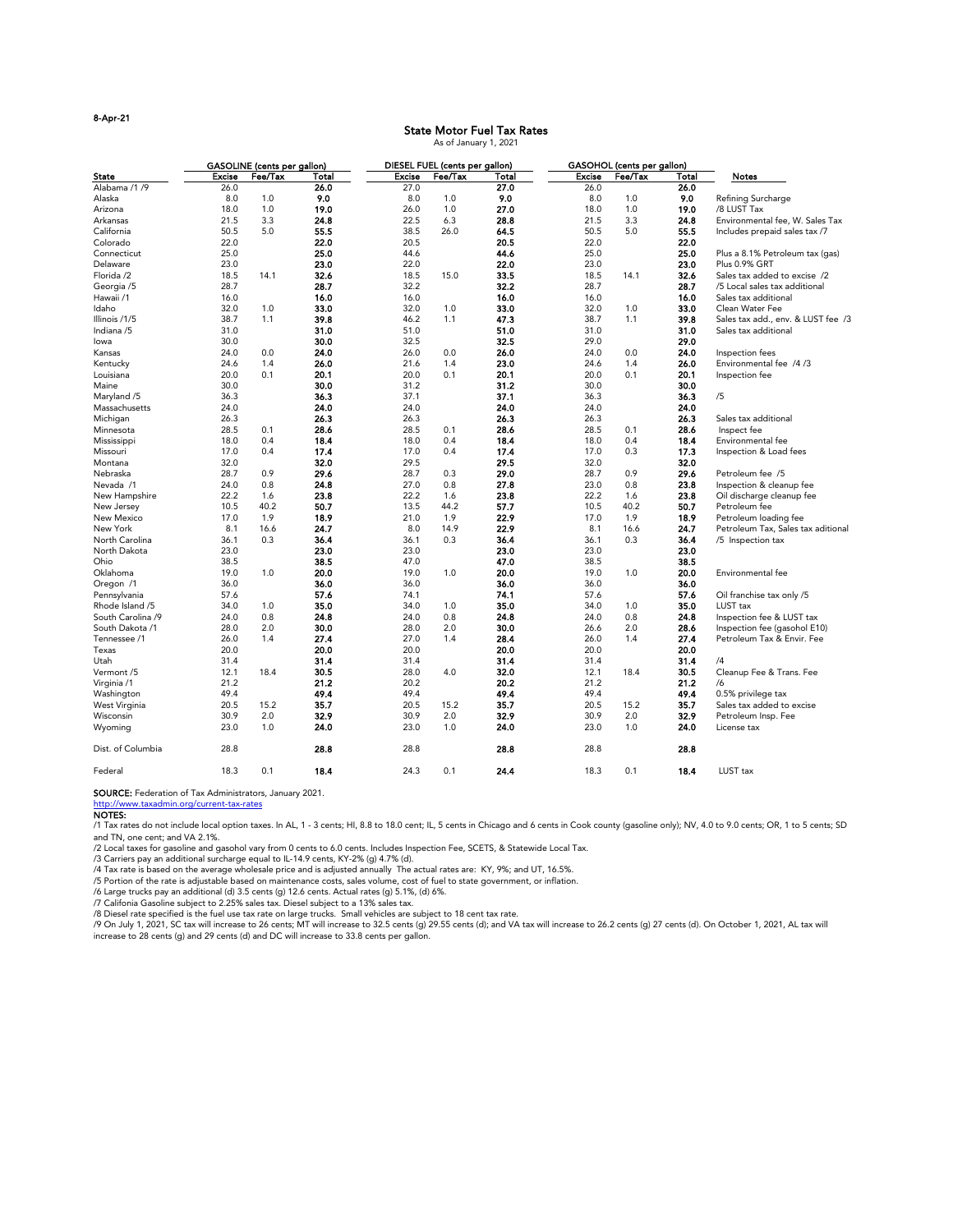## 8-Apr-21

|                         |               | <b>GASOLINE</b> (cents per gallon) |              |               | DIESEL FUEL (cents per gallon) |              |               | <b>GASOHOL</b> (cents per gallon) |       |                                    |
|-------------------------|---------------|------------------------------------|--------------|---------------|--------------------------------|--------------|---------------|-----------------------------------|-------|------------------------------------|
| <b>State</b>            | <b>Excise</b> | Fee/Tax                            | <b>Total</b> | <b>Excise</b> | Fee/Tax                        | <b>Total</b> | <b>Excise</b> | Fee/Tax                           | Total | <b>Notes</b>                       |
| Alabama /1 /9           | 26.0          |                                    | 26.0         | 27.0          |                                | 27.0         | 26.0          |                                   | 26.0  |                                    |
| Alaska                  | 8.0           | 1.0                                | 9.0          | 8.0           | 1.0                            | 9.0          | 8.0           | 1.0                               | 9.0   | Refining Surcharge                 |
| Arizona                 | 18.0          | 1.0                                | 19.0         | 26.0          | 1.0                            | 27.0         | 18.0          | 1.0                               | 19.0  | /8 LUST Tax                        |
| Arkansas                | 21.5          | 3.3                                | 24.8         | 22.5          | 6.3                            | 28.8         | 21.5          | 3.3                               | 24.8  | Environmental fee, W. Sales Tax    |
| California              | 50.5          | 5.0                                | 55.5         | 38.5          | 26.0                           | 64.5         | 50.5          | 5.0                               | 55.5  | Includes prepaid sales tax /7      |
| Colorado                | 22.0          |                                    | 22.0         | 20.5          |                                | 20.5         | 22.0          |                                   | 22.0  |                                    |
| Connecticut             | 25.0          |                                    | 25.0         | 44.6          |                                | 44.6         | 25.0          |                                   | 25.0  | Plus a 8.1% Petroleum tax (gas)    |
| Delaware                | 23.0          |                                    | 23.0         | 22.0          |                                | 22.0         | 23.0          |                                   | 23.0  | Plus 0.9% GRT                      |
| Florida /2              | 18.5          | 14.1                               | 32.6         | 18.5          | 15.0                           | 33.5         | 18.5          | 14.1                              | 32.6  | Sales tax added to excise /2       |
| Georgia /5              | 28.7          |                                    | 28.7         | 32.2          |                                | 32.2         | 28.7          |                                   | 28.7  | /5 Local sales tax additional      |
| Hawaii /1               | 16.0          |                                    | 16.0         | 16.0          |                                | 16.0         | 16.0          |                                   | 16.0  | Sales tax additional               |
| Idaho                   | 32.0          | 1.0                                | 33.0         | 32.0          | 1.0                            | 33.0         | 32.0          | 1.0                               | 33.0  | Clean Water Fee                    |
| Illinois /1/5           | 38.7          | 1.1                                | 39.8         | 46.2          | 1.1                            | 47.3         | 38.7          | 1.1                               | 39.8  | Sales tax add., env. & LUST fee /3 |
| Indiana /5              | 31.0          |                                    | 31.0         | 51.0          |                                | 51.0         | 31.0          |                                   | 31.0  | Sales tax additional               |
| lowa                    | 30.0          |                                    | 30.0         | 32.5          |                                | 32.5         | 29.0          |                                   | 29.0  |                                    |
| Kansas                  | 24.0          | 0.0                                | 24.0         | 26.0          | 0.0                            | 26.0         | 24.0          | 0.0                               | 24.0  | Inspection fees                    |
| Kentucky                | 24.6          | 1.4                                | 26.0         | 21.6          | 1.4                            | 23.0         | 24.6          | 1.4                               | 26.0  | Environmental fee /4/3             |
| Louisiana               | 20.0          | 0.1                                | 20.1         | 20.0          | 0.1                            | 20.1         | 20.0          | 0.1                               | 20.1  | Inspection fee                     |
| Maine                   | 30.0          |                                    | 30.0         | 31.2          |                                | 31.2         | 30.0          |                                   | 30.0  |                                    |
| Maryland /5             | 36.3          |                                    | 36.3         | 37.1          |                                | 37.1         | 36.3          |                                   | 36.3  | /5                                 |
| Massachusetts           | 24.0          |                                    | 24.0         | 24.0          |                                | 24.0         | 24.0          |                                   | 24.0  |                                    |
| Michigan                | 26.3          |                                    | 26.3         | 26.3          |                                | 26.3         | 26.3          |                                   | 26.3  | Sales tax additional               |
| Minnesota               | 28.5          | 0.1                                | 28.6         | 28.5          | 0.1                            | 28.6         | 28.5          | 0.1                               | 28.6  | Inspect fee                        |
|                         | 18.0          | 0.4                                | 18.4         | 18.0          | 0.4                            | 18.4         | 18.0          | 0.4                               | 18.4  | Environmental fee                  |
| Mississippi<br>Missouri | 17.0          | 0.4                                | 17.4         | 17.0          | 0.4                            | 17.4         | 17.0          | 0.3                               | 17.3  |                                    |
| Montana                 | 32.0          |                                    | 32.0         | 29.5          |                                | 29.5         | 32.0          |                                   | 32.0  | Inspection & Load fees             |
| Nebraska                | 28.7          | 0.9                                | 29.6         | 28.7          | 0.3                            | 29.0         | 28.7          | 0.9                               | 29.6  | Petroleum fee /5                   |
| Nevada /1               | 24.0          | 0.8                                | 24.8         | 27.0          | 0.8                            | 27.8         | 23.0          | 0.8                               | 23.8  |                                    |
|                         |               |                                    |              |               |                                |              |               |                                   |       | Inspection & cleanup fee           |
| New Hampshire           | 22.2          | 1.6                                | 23.8         | 22.2          | 1.6                            | 23.8         | 22.2          | 1.6                               | 23.8  | Oil discharge cleanup fee          |
| New Jersey              | 10.5          | 40.2                               | 50.7         | 13.5          | 44.2                           | 57.7         | 10.5          | 40.2                              | 50.7  | Petroleum fee                      |
| New Mexico              | 17.0          | 1.9                                | 18.9         | 21.0          | 1.9                            | 22.9         | 17.0          | 1.9                               | 18.9  | Petroleum loading fee              |
| New York                | 8.1           | 16.6                               | 24.7         | 8.0           | 14.9                           | 22.9         | 8.1           | 16.6                              | 24.7  | Petroleum Tax, Sales tax aditional |
| North Carolina          | 36.1          | 0.3                                | 36.4         | 36.1          | 0.3                            | 36.4         | 36.1          | 0.3                               | 36.4  | /5 Inspection tax                  |
| North Dakota            | 23.0          |                                    | 23.0         | 23.0          |                                | 23.0         | 23.0          |                                   | 23.0  |                                    |
| Ohio                    | 38.5          |                                    | 38.5         | 47.0          |                                | 47.0         | 38.5          |                                   | 38.5  |                                    |
| Oklahoma                | 19.0          | 1.0                                | 20.0         | 19.0          | 1.0                            | 20.0         | 19.0          | 1.0                               | 20.0  | Environmental fee                  |
| Oregon /1               | 36.0          |                                    | 36.0         | 36.0          |                                | 36.0         | 36.0          |                                   | 36.0  |                                    |
| Pennsylvania            | 57.6          |                                    | 57.6         | 74.1          |                                | 74.1         | 57.6          |                                   | 57.6  | Oil franchise tax only /5          |
| Rhode Island /5         | 34.0          | 1.0                                | 35.0         | 34.0          | 1.0                            | 35.0         | 34.0          | 1.0                               | 35.0  | LUST tax                           |
| South Carolina /9       | 24.0          | 0.8                                | 24.8         | 24.0          | 0.8                            | 24.8         | 24.0          | 0.8                               | 24.8  | Inspection fee & LUST tax          |
| South Dakota /1         | 28.0          | 2.0                                | 30.0         | 28.0          | 2.0                            | 30.0         | 26.6          | 2.0                               | 28.6  | Inspection fee (gasohol E10)       |
| Tennessee /1            | 26.0          | 1.4                                | 27.4         | 27.0          | 1.4                            | 28.4         | 26.0          | 1.4                               | 27.4  | Petroleum Tax & Envir. Fee         |
| Texas                   | 20.0          |                                    | 20.0         | 20.0          |                                | 20.0         | 20.0          |                                   | 20.0  |                                    |
| Utah                    | 31.4          |                                    | 31.4         | 31.4          |                                | 31.4         | 31.4          |                                   | 31.4  | /4                                 |
| Vermont /5              | 12.1          | 18.4                               | 30.5         | 28.0          | 4.0                            | 32.0         | 12.1          | 18.4                              | 30.5  | Cleanup Fee & Trans. Fee           |
| Virginia /1             | 21.2          |                                    | 21.2         | 20.2          |                                | 20.2         | 21.2          |                                   | 21.2  | /6                                 |
| Washington              | 49.4          |                                    | 49.4         | 49.4          |                                | 49.4         | 49.4          |                                   | 49.4  | 0.5% privilege tax                 |
| West Virginia           | 20.5          | 15.2                               | 35.7         | 20.5          | 15.2                           | 35.7         | 20.5          | 15.2                              | 35.7  | Sales tax added to excise          |
| Wisconsin               | 30.9          | 2.0                                | 32.9         | 30.9          | 2.0                            | 32.9         | 30.9          | 2.0                               | 32.9  | Petroleum Insp. Fee                |
| Wyoming                 | 23.0          | 1.0                                | 24.0         | 23.0          | 1.0                            | 24.0         | 23.0          | 1.0                               | 24.0  | License tax                        |
| Dist. of Columbia       | 28.8          |                                    | 28.8         | 28.8          |                                | 28.8         | 28.8          |                                   | 28.8  |                                    |

/9 On July 1, 2021, SC tax will increase to 26 cents; MT will increase to 32.5 cents (g) 29.55 cents (d); and VA tax will increase to 26.2 cents (g) 27 cents (d). On October 1, 2021, AL tax will increase to 28 cents (g) and 29 cents (d) and DC will increase to 33.8 cents per gallon.

/1 Tax rates do not include local option taxes. In AL, 1 - 3 cents; HI, 8.8 to 18.0 cent; IL, 5 cents in Chicago and 6 cents in Cook county (gasoline only); NV, 4.0 to 9.0 cents; OR, 1 to 5 cents; SD and TN, one cent; and VA 2.1%.

Federal 18.3 0.1 18.4 24.3 0.1 24.4 18.3 0.1 18.4 LUST tax

SOURCE: Federation of Tax Administrators, January 2021.

http://www.taxadmin.org/current-tax-rates

## NOTES:

/2 Local taxes for gasoline and gasohol vary from 0 cents to 6.0 cents. Includes Inspection Fee, SCETS, & Statewide Local Tax.

/3 Carriers pay an additional surcharge equal to IL-14.9 cents, KY-2% (g) 4.7% (d).

/4 Tax rate is based on the average wholesale price and is adjusted annually The actual rates are: KY, 9%; and UT, 16.5%.

/5 Portion of the rate is adjustable based on maintenance costs, sales volume, cost of fuel to state government, or inflation.

/6 Large trucks pay an additional (d) 3.5 cents (g) 12.6 cents. Actual rates (g) 5.1%, (d) 6%.

/7 Califonia Gasoline subject to 2.25% sales tax. Diesel subject to a 13% sales tax.

/8 Diesel rate specified is the fuel use tax rate on large trucks. Small vehicles are subject to 18 cent tax rate.

# State Motor Fuel Tax Rates

As of January 1, 2021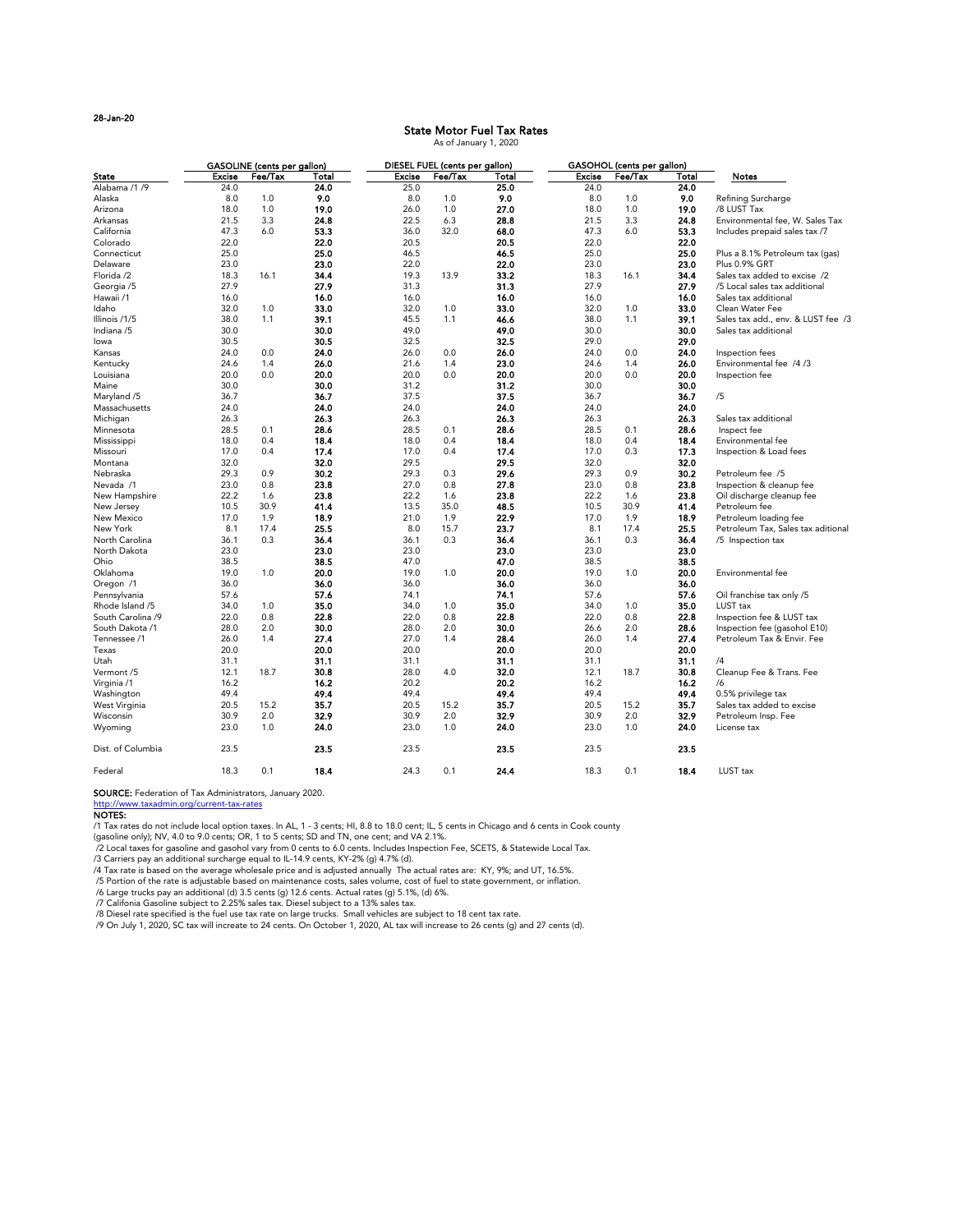|                   |               | <b>GASOLINE</b> (cents per gallon) |       |               | DIESEL FUEL (cents per gallon) |       |               | GASOHOL (cents per gallon) |              |                                    |
|-------------------|---------------|------------------------------------|-------|---------------|--------------------------------|-------|---------------|----------------------------|--------------|------------------------------------|
| <b>State</b>      | <b>Excise</b> | Fee/Tax                            | Total | <b>Excise</b> | Fee/Tax                        | Total | <b>Excise</b> | Fee/Tax                    | <b>Total</b> | <b>Notes</b>                       |
| Alabama /1 /9     | 24.0          |                                    | 24.0  | 25.0          |                                | 25.0  | 24.0          |                            | 24.0         |                                    |
| Alaska            | 8.0           | 1.0                                | 9.0   | 8.0           | 1.0                            | 9.0   | 8.0           | 1.0                        | 9.0          | Refining Surcharge                 |
| Arizona           | 18.0          | 1.0                                | 19.0  | 26.0          | 1.0                            | 27.0  | 18.0          | 1.0                        | 19.0         | /8 LUST Tax                        |
| Arkansas          | 21.5          | 3.3                                | 24.8  | 22.5          | 6.3                            | 28.8  | 21.5          | 3.3                        | 24.8         | Environmental fee, W. Sales Tax    |
| California        | 47.3          | 6.0                                | 53.3  | 36.0          | 32.0                           | 68.0  | 47.3          | 6.0                        | 53.3         | Includes prepaid sales tax /7      |
| Colorado          | 22.0          |                                    | 22.0  | 20.5          |                                | 20.5  | 22.0          |                            | 22.0         |                                    |
| Connecticut       | 25.0          |                                    | 25.0  | 46.5          |                                | 46.5  | 25.0          |                            | 25.0         | Plus a 8.1% Petroleum tax (gas)    |
| Delaware          | 23.0          |                                    | 23.0  | 22.0          |                                | 22.0  | 23.0          |                            | 23.0         | Plus 0.9% GRT                      |
| Florida /2        | 18.3          | 16.1                               | 34.4  | 19.3          | 13.9                           | 33.2  | 18.3          | 16.1                       | 34.4         | Sales tax added to excise /2       |
|                   |               |                                    |       |               |                                |       |               |                            |              |                                    |
| Georgia /5        | 27.9          |                                    | 27.9  | 31.3          |                                | 31.3  | 27.9          |                            | 27.9         | /5 Local sales tax additional      |
| Hawaii /1         | 16.0          |                                    | 16.0  | 16.0          |                                | 16.0  | 16.0          |                            | 16.0         | Sales tax additional               |
| Idaho             | 32.0          | 1.0                                | 33.0  | 32.0          | 1.0                            | 33.0  | 32.0          | 1.0                        | 33.0         | Clean Water Fee                    |
| Illinois /1/5     | 38.0          | 1.1                                | 39.1  | 45.5          | 1.1                            | 46.6  | 38.0          | 1.1                        | 39.1         | Sales tax add., env. & LUST fee /3 |
| Indiana /5        | 30.0          |                                    | 30.0  | 49.0          |                                | 49.0  | 30.0          |                            | 30.0         | Sales tax additional               |
| lowa              | 30.5          |                                    | 30.5  | 32.5          |                                | 32.5  | 29.0          |                            | 29.0         |                                    |
| Kansas            | 24.0          | 0.0                                | 24.0  | 26.0          | 0.0                            | 26.0  | 24.0          | 0.0                        | 24.0         | Inspection fees                    |
| Kentucky          | 24.6          | 1.4                                | 26.0  | 21.6          | 1.4                            | 23.0  | 24.6          | 1.4                        | 26.0         | Environmental fee /4/3             |
| Louisiana         | 20.0          | 0.0                                | 20.0  | 20.0          | 0.0                            | 20.0  | 20.0          | 0.0                        | 20.0         | Inspection fee                     |
| Maine             | 30.0          |                                    | 30.0  | 31.2          |                                | 31.2  | 30.0          |                            | 30.0         |                                    |
| Maryland /5       | 36.7          |                                    | 36.7  | 37.5          |                                | 37.5  | 36.7          |                            | 36.7         | /5                                 |
| Massachusetts     | 24.0          |                                    | 24.0  | 24.0          |                                | 24.0  | 24.0          |                            | 24.0         |                                    |
| Michigan          | 26.3          |                                    | 26.3  | 26.3          |                                | 26.3  | 26.3          |                            | 26.3         | Sales tax additional               |
| Minnesota         | 28.5          | 0.1                                | 28.6  | 28.5          | 0.1                            | 28.6  | 28.5          | 0.1                        | 28.6         | Inspect fee                        |
| Mississippi       | 18.0          | 0.4                                | 18.4  | 18.0          | 0.4                            | 18.4  | 18.0          | 0.4                        | 18.4         | Environmental fee                  |
| Missouri          | 17.0          | 0.4                                | 17.4  | 17.0          | 0.4                            | 17.4  | 17.0          | 0.3                        | 17.3         | Inspection & Load fees             |
| Montana           | 32.0          |                                    | 32.0  | 29.5          |                                | 29.5  | 32.0          |                            | 32.0         |                                    |
| Nebraska          | 29.3          | 0.9                                | 30.2  | 29.3          | 0.3                            | 29.6  | 29.3          | 0.9                        | 30.2         | Petroleum fee /5                   |
| Nevada /1         | 23.0          | 0.8                                | 23.8  | 27.0          | 0.8                            | 27.8  | 23.0          | 0.8                        | 23.8         | Inspection & cleanup fee           |
| New Hampshire     | 22.2          | 1.6                                | 23.8  | 22.2          | 1.6                            | 23.8  | 22.2          | 1.6                        | 23.8         | Oil discharge cleanup fee          |
|                   | 10.5          | 30.9                               | 41.4  | 13.5          | 35.0                           |       | 10.5          | 30.9                       |              | Petroleum fee                      |
| New Jersey        |               |                                    |       |               |                                | 48.5  |               |                            | 41.4         |                                    |
| New Mexico        | 17.0          | 1.9                                | 18.9  | 21.0          | 1.9                            | 22.9  | 17.0          | 1.9                        | 18.9         | Petroleum loading fee              |
| New York          | 8.1           | 17.4                               | 25.5  | 8.0           | 15.7                           | 23.7  | 8.1           | 17.4                       | 25.5         | Petroleum Tax, Sales tax aditional |
| North Carolina    | 36.1          | 0.3                                | 36.4  | 36.1          | 0.3                            | 36.4  | 36.1          | 0.3                        | 36.4         | /5 Inspection tax                  |
| North Dakota      | 23.0          |                                    | 23.0  | 23.0          |                                | 23.0  | 23.0          |                            | 23.0         |                                    |
| Ohio              | 38.5          |                                    | 38.5  | 47.0          |                                | 47.0  | 38.5          |                            | 38.5         |                                    |
| Oklahoma          | 19.0          | 1.0                                | 20.0  | 19.0          | 1.0                            | 20.0  | 19.0          | 1.0                        | 20.0         | Environmental fee                  |
| Oregon /1         | 36.0          |                                    | 36.0  | 36.0          |                                | 36.0  | 36.0          |                            | 36.0         |                                    |
| Pennsylvania      | 57.6          |                                    | 57.6  | 74.1          |                                | 74.1  | 57.6          |                            | 57.6         | Oil franchise tax only /5          |
| Rhode Island /5   | 34.0          | 1.0                                | 35.0  | 34.0          | 1.0                            | 35.0  | 34.0          | 1.0                        | 35.0         | LUST tax                           |
| South Carolina /9 | 22.0          | 0.8                                | 22.8  | 22.0          | 0.8                            | 22.8  | 22.0          | 0.8                        | 22.8         | Inspection fee & LUST tax          |
| South Dakota /1   | 28.0          | 2.0                                | 30.0  | 28.0          | 2.0                            | 30.0  | 26.6          | 2.0                        | 28.6         | Inspection fee (gasohol E10)       |
| Tennessee /1      | 26.0          | 1.4                                | 27.4  | 27.0          | 1.4                            | 28.4  | 26.0          | 1.4                        | 27.4         | Petroleum Tax & Envir. Fee         |
| Texas             | 20.0          |                                    | 20.0  | 20.0          |                                | 20.0  | 20.0          |                            | 20.0         |                                    |
| Utah              | 31.1          |                                    | 31.1  | 31.1          |                                | 31.1  | 31.1          |                            | 31.1         | /4                                 |
| Vermont /5        | 12.1          | 18.7                               | 30.8  | 28.0          | 4.0                            | 32.0  | 12.1          | 18.7                       | 30.8         | Cleanup Fee & Trans. Fee           |
| Virginia /1       | 16.2          |                                    | 16.2  | 20.2          |                                | 20.2  | 16.2          |                            | 16.2         | /6                                 |
| Washington        | 49.4          |                                    | 49.4  | 49.4          |                                | 49.4  | 49.4          |                            | 49.4         | 0.5% privilege tax                 |
| West Virginia     | 20.5          | 15.2                               | 35.7  | 20.5          | 15.2                           | 35.7  | 20.5          | 15.2                       | 35.7         | Sales tax added to excise          |
| Wisconsin         | 30.9          | 2.0                                | 32.9  | 30.9          | 2.0                            | 32.9  | 30.9          | 2.0                        | 32.9         | Petroleum Insp. Fee                |
| Wyoming           | 23.0          | 1.0                                | 24.0  | 23.0          | 1.0                            | 24.0  | 23.0          | 1.0                        | 24.0         | License tax                        |
|                   |               |                                    |       |               |                                |       |               |                            |              |                                    |
| Dist. of Columbia | 23.5          |                                    | 23.5  | 23.5          |                                | 23.5  | 23.5          |                            | 23.5         |                                    |
| Federal           | 18.3          | 0.1                                | 18.4  | 24.3          | 0.1                            | 24.4  | 18.3          | 0.1                        | 18.4         | LUST tax                           |

SOURCE: Federation of Tax Administrators, January 2020.

http://www.taxadmin.org/current-tax-rates

## NOTES:

/1 Tax rates do not include local option taxes. In AL, 1 - 3 cents; HI, 8.8 to 18.0 cent; IL, 5 cents in Chicago and 6 cents in Cook county

(gasoline only); NV, 4.0 to 9.0 cents; OR, 1 to 5 cents; SD and TN, one cent; and VA 2.1%.

/2 Local taxes for gasoline and gasohol vary from 0 cents to 6.0 cents. Includes Inspection Fee, SCETS, & Statewide Local Tax.

/3 Carriers pay an additional surcharge equal to IL-14.9 cents, KY-2% (g) 4.7% (d).

/4 Tax rate is based on the average wholesale price and is adjusted annually The actual rates are: KY, 9%; and UT, 16.5%.

/5 Portion of the rate is adjustable based on maintenance costs, sales volume, cost of fuel to state government, or inflation.

/6 Large trucks pay an additional (d) 3.5 cents (g) 12.6 cents. Actual rates (g) 5.1%, (d) 6%.

/7 Califonia Gasoline subject to 2.25% sales tax. Diesel subject to a 13% sales tax.

/8 Diesel rate specified is the fuel use tax rate on large trucks. Small vehicles are subject to 18 cent tax rate.

/9 On July 1, 2020, SC tax will increate to 24 cents. On October 1, 2020, AL tax will increase to 26 cents (g) and 27 cents (d).

# State Motor Fuel Tax Rates

As of January 1, 2020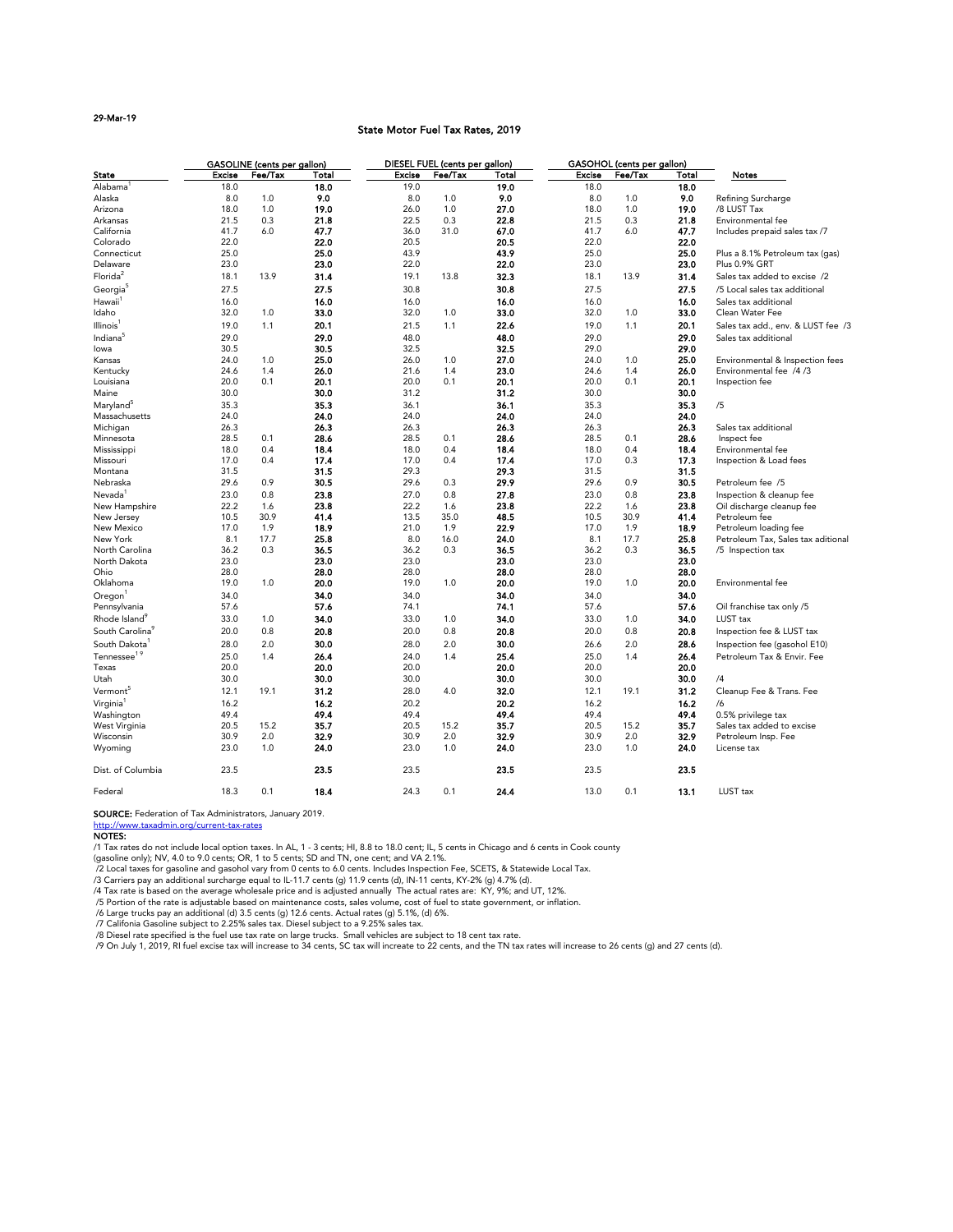### 29-Mar-19

## State Motor Fuel Tax Rates, 2019

|                                                                                                                                                                                                                                                                                                                                                                                                                                                                                                                                                                                                                                                                                                                                                                                                                                                                                                                                                                                            | <b>GASOLINE</b> (cents per gallon) |         | <b>DIESEL FUEL (cents per gallon)</b> |               |         |       | <b>GASOHOL</b> (cents per gallon) |         |       |                                    |
|--------------------------------------------------------------------------------------------------------------------------------------------------------------------------------------------------------------------------------------------------------------------------------------------------------------------------------------------------------------------------------------------------------------------------------------------------------------------------------------------------------------------------------------------------------------------------------------------------------------------------------------------------------------------------------------------------------------------------------------------------------------------------------------------------------------------------------------------------------------------------------------------------------------------------------------------------------------------------------------------|------------------------------------|---------|---------------------------------------|---------------|---------|-------|-----------------------------------|---------|-------|------------------------------------|
| <b>State</b>                                                                                                                                                                                                                                                                                                                                                                                                                                                                                                                                                                                                                                                                                                                                                                                                                                                                                                                                                                               | <b>Excise</b>                      | Fee/Tax | <b>Total</b>                          | <b>Excise</b> | Fee/Tax | Total | <b>Excise</b>                     | Fee/Tax | Total | <b>Notes</b>                       |
| Alabama                                                                                                                                                                                                                                                                                                                                                                                                                                                                                                                                                                                                                                                                                                                                                                                                                                                                                                                                                                                    | 18.0                               |         | 18.0                                  | 19.0          |         | 19.0  | 18.0                              |         | 18.0  |                                    |
| Alaska                                                                                                                                                                                                                                                                                                                                                                                                                                                                                                                                                                                                                                                                                                                                                                                                                                                                                                                                                                                     | 8.0                                | 1.0     | 9.0                                   | 8.0           | 1.0     | 9.0   | 8.0                               | 1.0     | 9.0   | Refining Surcharge                 |
| Arizona                                                                                                                                                                                                                                                                                                                                                                                                                                                                                                                                                                                                                                                                                                                                                                                                                                                                                                                                                                                    | 18.0                               | 1.0     | 19.0                                  | 26.0          | 1.0     | 27.0  | 18.0                              | 1.0     | 19.0  | /8 LUST Tax                        |
| Arkansas                                                                                                                                                                                                                                                                                                                                                                                                                                                                                                                                                                                                                                                                                                                                                                                                                                                                                                                                                                                   | 21.5                               | 0.3     | 21.8                                  | 22.5          | 0.3     | 22.8  | 21.5                              | 0.3     | 21.8  | Environmental fee                  |
| California                                                                                                                                                                                                                                                                                                                                                                                                                                                                                                                                                                                                                                                                                                                                                                                                                                                                                                                                                                                 | 41.7                               | 6.0     | 47.7                                  | 36.0          | 31.0    | 67.0  | 41.7                              | 6.0     | 47.7  | Includes prepaid sales tax /7      |
| Colorado                                                                                                                                                                                                                                                                                                                                                                                                                                                                                                                                                                                                                                                                                                                                                                                                                                                                                                                                                                                   | 22.0                               |         | 22.0                                  | 20.5          |         | 20.5  | 22.0                              |         | 22.0  |                                    |
| Connecticut                                                                                                                                                                                                                                                                                                                                                                                                                                                                                                                                                                                                                                                                                                                                                                                                                                                                                                                                                                                | 25.0                               |         | 25.0                                  | 43.9          |         | 43.9  | 25.0                              |         | 25.0  | Plus a 8.1% Petroleum tax (gas)    |
| Delaware                                                                                                                                                                                                                                                                                                                                                                                                                                                                                                                                                                                                                                                                                                                                                                                                                                                                                                                                                                                   | 23.0                               |         | 23.0                                  | 22.0          |         | 22.0  | 23.0                              |         | 23.0  | Plus 0.9% GRT                      |
| Florida <sup>2</sup>                                                                                                                                                                                                                                                                                                                                                                                                                                                                                                                                                                                                                                                                                                                                                                                                                                                                                                                                                                       | 18.1                               | 13.9    | 31.4                                  | 19.1          | 13.8    | 32.3  | 18.1                              | 13.9    | 31.4  | Sales tax added to excise /2       |
| Georgia                                                                                                                                                                                                                                                                                                                                                                                                                                                                                                                                                                                                                                                                                                                                                                                                                                                                                                                                                                                    | 27.5                               |         | 27.5                                  | 30.8          |         | 30.8  | 27.5                              |         | 27.5  | /5 Local sales tax additional      |
| Hawaii <sup>1</sup>                                                                                                                                                                                                                                                                                                                                                                                                                                                                                                                                                                                                                                                                                                                                                                                                                                                                                                                                                                        | 16.0                               |         | 16.0                                  | 16.0          |         | 16.0  | 16.0                              |         | 16.0  | Sales tax additional               |
| Idaho                                                                                                                                                                                                                                                                                                                                                                                                                                                                                                                                                                                                                                                                                                                                                                                                                                                                                                                                                                                      | 32.0                               | 1.0     | 33.0                                  | 32.0          | 1.0     | 33.0  | 32.0                              | 1.0     | 33.0  | Clean Water Fee                    |
| Illinois <sup>1</sup>                                                                                                                                                                                                                                                                                                                                                                                                                                                                                                                                                                                                                                                                                                                                                                                                                                                                                                                                                                      | 19.0                               | 1.1     | 20.1                                  | 21.5          | 1.1     | 22.6  | 19.0                              | 1.1     | 20.1  | Sales tax add., env. & LUST fee /3 |
|                                                                                                                                                                                                                                                                                                                                                                                                                                                                                                                                                                                                                                                                                                                                                                                                                                                                                                                                                                                            |                                    |         |                                       |               |         |       |                                   |         |       |                                    |
| Indiana <sup>5</sup>                                                                                                                                                                                                                                                                                                                                                                                                                                                                                                                                                                                                                                                                                                                                                                                                                                                                                                                                                                       | 29.0                               |         | 29.0                                  | 48.0          |         | 48.0  | 29.0                              |         | 29.0  | Sales tax additional               |
| lowa                                                                                                                                                                                                                                                                                                                                                                                                                                                                                                                                                                                                                                                                                                                                                                                                                                                                                                                                                                                       | 30.5                               |         | 30.5                                  | 32.5          |         | 32.5  | 29.0                              |         | 29.0  |                                    |
| Kansas                                                                                                                                                                                                                                                                                                                                                                                                                                                                                                                                                                                                                                                                                                                                                                                                                                                                                                                                                                                     | 24.0                               | 1.0     | 25.0                                  | 26.0          | 1.0     | 27.0  | 24.0                              | 1.0     | 25.0  | Environmental & Inspection fees    |
| Kentucky                                                                                                                                                                                                                                                                                                                                                                                                                                                                                                                                                                                                                                                                                                                                                                                                                                                                                                                                                                                   | 24.6                               | 1.4     | 26.0                                  | 21.6          | 1.4     | 23.0  | 24.6                              | 1.4     | 26.0  | Environmental fee /4/3             |
| Louisiana                                                                                                                                                                                                                                                                                                                                                                                                                                                                                                                                                                                                                                                                                                                                                                                                                                                                                                                                                                                  | 20.0                               | 0.1     | 20.1                                  | 20.0          | 0.1     | 20.1  | 20.0                              | 0.1     | 20.1  | Inspection fee                     |
| Maine                                                                                                                                                                                                                                                                                                                                                                                                                                                                                                                                                                                                                                                                                                                                                                                                                                                                                                                                                                                      | 30.0                               |         | 30.0                                  | 31.2          |         | 31.2  | 30.0                              |         | 30.0  |                                    |
| Maryland <sup>5</sup>                                                                                                                                                                                                                                                                                                                                                                                                                                                                                                                                                                                                                                                                                                                                                                                                                                                                                                                                                                      | 35.3                               |         | 35.3                                  | 36.1          |         | 36.1  | 35.3                              |         | 35.3  | /5                                 |
| Massachusetts                                                                                                                                                                                                                                                                                                                                                                                                                                                                                                                                                                                                                                                                                                                                                                                                                                                                                                                                                                              | 24.0                               |         | 24.0                                  | 24.0          |         | 24.0  | 24.0                              |         | 24.0  |                                    |
| Michigan                                                                                                                                                                                                                                                                                                                                                                                                                                                                                                                                                                                                                                                                                                                                                                                                                                                                                                                                                                                   | 26.3                               |         | 26.3                                  | 26.3          |         | 26.3  | 26.3                              |         | 26.3  | Sales tax additional               |
| Minnesota                                                                                                                                                                                                                                                                                                                                                                                                                                                                                                                                                                                                                                                                                                                                                                                                                                                                                                                                                                                  | 28.5                               | 0.1     | 28.6                                  | 28.5          | 0.1     | 28.6  | 28.5                              | 0.1     | 28.6  | Inspect fee                        |
| Mississippi                                                                                                                                                                                                                                                                                                                                                                                                                                                                                                                                                                                                                                                                                                                                                                                                                                                                                                                                                                                | 18.0                               | 0.4     | 18.4                                  | 18.0          | 0.4     | 18.4  | 18.0                              | 0.4     | 18.4  | Environmental fee                  |
| Missouri                                                                                                                                                                                                                                                                                                                                                                                                                                                                                                                                                                                                                                                                                                                                                                                                                                                                                                                                                                                   | 17.0                               | 0.4     | 17.4                                  | 17.0          | 0.4     | 17.4  | 17.0                              | 0.3     | 17.3  | Inspection & Load fees             |
| Montana                                                                                                                                                                                                                                                                                                                                                                                                                                                                                                                                                                                                                                                                                                                                                                                                                                                                                                                                                                                    | 31.5                               |         | 31.5                                  | 29.3          |         | 29.3  | 31.5                              |         | 31.5  |                                    |
| Nebraska                                                                                                                                                                                                                                                                                                                                                                                                                                                                                                                                                                                                                                                                                                                                                                                                                                                                                                                                                                                   | 29.6                               | 0.9     | 30.5                                  | 29.6          | 0.3     | 29.9  | 29.6                              | 0.9     | 30.5  | Petroleum fee /5                   |
| Nevada <sup>1</sup>                                                                                                                                                                                                                                                                                                                                                                                                                                                                                                                                                                                                                                                                                                                                                                                                                                                                                                                                                                        | 23.0                               | 0.8     | 23.8                                  | 27.0          | 0.8     | 27.8  | 23.0                              | 0.8     | 23.8  | Inspection & cleanup fee           |
| New Hampshire                                                                                                                                                                                                                                                                                                                                                                                                                                                                                                                                                                                                                                                                                                                                                                                                                                                                                                                                                                              | 22.2                               | 1.6     | 23.8                                  | 22.2          | 1.6     | 23.8  | 22.2                              | 1.6     | 23.8  | Oil discharge cleanup fee          |
|                                                                                                                                                                                                                                                                                                                                                                                                                                                                                                                                                                                                                                                                                                                                                                                                                                                                                                                                                                                            | 10.5                               | 30.9    | 41.4                                  | 13.5          | 35.0    | 48.5  | 10.5                              | 30.9    | 41.4  | Petroleum fee                      |
| New Jersey<br>New Mexico                                                                                                                                                                                                                                                                                                                                                                                                                                                                                                                                                                                                                                                                                                                                                                                                                                                                                                                                                                   | 17.0                               | 1.9     | 18.9                                  | 21.0          | 1.9     | 22.9  | 17.0                              | 1.9     | 18.9  |                                    |
| New York                                                                                                                                                                                                                                                                                                                                                                                                                                                                                                                                                                                                                                                                                                                                                                                                                                                                                                                                                                                   | 8.1                                | 17.7    |                                       | 8.0           | 16.0    | 24.0  | 8.1                               | 17.7    |       | Petroleum loading fee              |
|                                                                                                                                                                                                                                                                                                                                                                                                                                                                                                                                                                                                                                                                                                                                                                                                                                                                                                                                                                                            |                                    |         | 25.8                                  |               |         |       |                                   |         | 25.8  | Petroleum Tax, Sales tax aditional |
| North Carolina                                                                                                                                                                                                                                                                                                                                                                                                                                                                                                                                                                                                                                                                                                                                                                                                                                                                                                                                                                             | 36.2                               | 0.3     | 36.5                                  | 36.2          | 0.3     | 36.5  | 36.2                              | 0.3     | 36.5  | /5 Inspection tax                  |
| North Dakota                                                                                                                                                                                                                                                                                                                                                                                                                                                                                                                                                                                                                                                                                                                                                                                                                                                                                                                                                                               | 23.0                               |         | 23.0                                  | 23.0          |         | 23.0  | 23.0                              |         | 23.0  |                                    |
| Ohio                                                                                                                                                                                                                                                                                                                                                                                                                                                                                                                                                                                                                                                                                                                                                                                                                                                                                                                                                                                       | 28.0                               |         | 28.0                                  | 28.0          |         | 28.0  | 28.0                              |         | 28.0  |                                    |
| Oklahoma                                                                                                                                                                                                                                                                                                                                                                                                                                                                                                                                                                                                                                                                                                                                                                                                                                                                                                                                                                                   | 19.0                               | 1.0     | 20.0                                  | 19.0          | 1.0     | 20.0  | 19.0                              | 1.0     | 20.0  | Environmental fee                  |
| $O$ regon $1$                                                                                                                                                                                                                                                                                                                                                                                                                                                                                                                                                                                                                                                                                                                                                                                                                                                                                                                                                                              | 34.0                               |         | 34.0                                  | 34.0          |         | 34.0  | 34.0                              |         | 34.0  |                                    |
| Pennsylvania                                                                                                                                                                                                                                                                                                                                                                                                                                                                                                                                                                                                                                                                                                                                                                                                                                                                                                                                                                               | 57.6                               |         | 57.6                                  | 74.1          |         | 74.1  | 57.6                              |         | 57.6  | Oil franchise tax only /5          |
| Rhode Island <sup>9</sup>                                                                                                                                                                                                                                                                                                                                                                                                                                                                                                                                                                                                                                                                                                                                                                                                                                                                                                                                                                  | 33.0                               | 1.0     | 34.0                                  | 33.0          | 1.0     | 34.0  | 33.0                              | 1.0     | 34.0  | LUST tax                           |
| South Carolina <sup>9</sup>                                                                                                                                                                                                                                                                                                                                                                                                                                                                                                                                                                                                                                                                                                                                                                                                                                                                                                                                                                | 20.0                               | 0.8     | 20.8                                  | 20.0          | 0.8     | 20.8  | 20.0                              | 0.8     | 20.8  | Inspection fee & LUST tax          |
| South Dakota <sup>1</sup>                                                                                                                                                                                                                                                                                                                                                                                                                                                                                                                                                                                                                                                                                                                                                                                                                                                                                                                                                                  | 28.0                               | 2.0     | 30.0                                  | 28.0          | 2.0     | 30.0  | 26.6                              | 2.0     | 28.6  | Inspection fee (gasohol E10)       |
| Tennessee <sup>19</sup>                                                                                                                                                                                                                                                                                                                                                                                                                                                                                                                                                                                                                                                                                                                                                                                                                                                                                                                                                                    | 25.0                               | 1.4     | 26.4                                  | 24.0          | 1.4     | 25.4  | 25.0                              | 1.4     | 26.4  | Petroleum Tax & Envir, Fee         |
| Texas                                                                                                                                                                                                                                                                                                                                                                                                                                                                                                                                                                                                                                                                                                                                                                                                                                                                                                                                                                                      | 20.0                               |         | 20.0                                  | 20.0          |         | 20.0  | 20.0                              |         | 20.0  |                                    |
|                                                                                                                                                                                                                                                                                                                                                                                                                                                                                                                                                                                                                                                                                                                                                                                                                                                                                                                                                                                            |                                    |         |                                       |               |         | 30.0  |                                   |         | 30.0  |                                    |
| Utah                                                                                                                                                                                                                                                                                                                                                                                                                                                                                                                                                                                                                                                                                                                                                                                                                                                                                                                                                                                       | 30.0                               |         | 30.0                                  | 30.0          |         |       | 30.0                              |         |       | /4                                 |
| Vermont <sup>5</sup>                                                                                                                                                                                                                                                                                                                                                                                                                                                                                                                                                                                                                                                                                                                                                                                                                                                                                                                                                                       | 12.1                               | 19.1    | 31.2                                  | 28.0          | 4.0     | 32.0  | 12.1                              | 19.1    | 31.2  | Cleanup Fee & Trans. Fee           |
| Virginia <sup>1</sup>                                                                                                                                                                                                                                                                                                                                                                                                                                                                                                                                                                                                                                                                                                                                                                                                                                                                                                                                                                      | 16.2                               |         | 16.2                                  | 20.2          |         | 20.2  | 16.2                              |         | 16.2  | /6                                 |
| Washington                                                                                                                                                                                                                                                                                                                                                                                                                                                                                                                                                                                                                                                                                                                                                                                                                                                                                                                                                                                 | 49.4                               |         | 49.4                                  | 49.4          |         | 49.4  | 49.4                              |         | 49.4  | 0.5% privilege tax                 |
| West Virginia                                                                                                                                                                                                                                                                                                                                                                                                                                                                                                                                                                                                                                                                                                                                                                                                                                                                                                                                                                              | 20.5                               | 15.2    | 35.7                                  | 20.5          | 15.2    | 35.7  | 20.5                              | 15.2    | 35.7  | Sales tax added to excise          |
| Wisconsin                                                                                                                                                                                                                                                                                                                                                                                                                                                                                                                                                                                                                                                                                                                                                                                                                                                                                                                                                                                  | 30.9                               | 2.0     | 32.9                                  | 30.9          | 2.0     | 32.9  | 30.9                              | 2.0     | 32.9  | Petroleum Insp. Fee                |
| Wyoming                                                                                                                                                                                                                                                                                                                                                                                                                                                                                                                                                                                                                                                                                                                                                                                                                                                                                                                                                                                    | 23.0                               | 1.0     | 24.0                                  | 23.0          | 1.0     | 24.0  | 23.0                              | 1.0     | 24.0  | License tax                        |
| Dist. of Columbia                                                                                                                                                                                                                                                                                                                                                                                                                                                                                                                                                                                                                                                                                                                                                                                                                                                                                                                                                                          | 23.5                               |         | 23.5                                  | 23.5          |         | 23.5  | 23.5                              |         | 23.5  |                                    |
| Federal                                                                                                                                                                                                                                                                                                                                                                                                                                                                                                                                                                                                                                                                                                                                                                                                                                                                                                                                                                                    | 18.3                               | 0.1     | 18.4                                  | 24.3          | 0.1     | 24.4  | 13.0                              | 0.1     | 13.1  | LUST tax                           |
| SOURCE: Federation of Tax Administrators, January 2019.<br>http://www.taxadmin.org/current-tax-rates<br><b>NOTES:</b><br>/1 Tax rates do not include local option taxes. In AL, 1 - 3 cents; HI, 8.8 to 18.0 cent; IL, 5 cents in Chicago and 6 cents in Cook county<br>(gasoline only); NV, 4.0 to 9.0 cents; OR, 1 to 5 cents; SD and TN, one cent; and VA 2.1%.<br>/2 Local taxes for gasoline and gasohol vary from 0 cents to 6.0 cents. Includes Inspection Fee, SCETS, & Statewide Local Tax.<br>/3 Carriers pay an additional surcharge equal to IL-11.7 cents (g) 11.9 cents (d), IN-11 cents, KY-2% (g) 4.7% (d).<br>/4 Tax rate is based on the average wholesale price and is adjusted annually The actual rates are: KY, 9%; and UT, 12%.<br>/5 Portion of the rate is adjustable based on maintenance costs, sales volume, cost of fuel to state government, or inflation.<br>/6 Large trucks pay an additional (d) 3.5 cents (g) 12.6 cents. Actual rates (g) 5.1%, (d) 6%. |                                    |         |                                       |               |         |       |                                   |         |       |                                    |

/7 Califonia Gasoline subject to 2.25% sales tax. Diesel subject to a 9.25% sales tax.

/8 Diesel rate specified is the fuel use tax rate on large trucks. Small vehicles are subject to 18 cent tax rate.

/9 On July 1, 2019, RI fuel excise tax will increase to 34 cents, SC tax will increate to 22 cents, and the TN tax rates will increase to 26 cents (g) and 27 cents (d).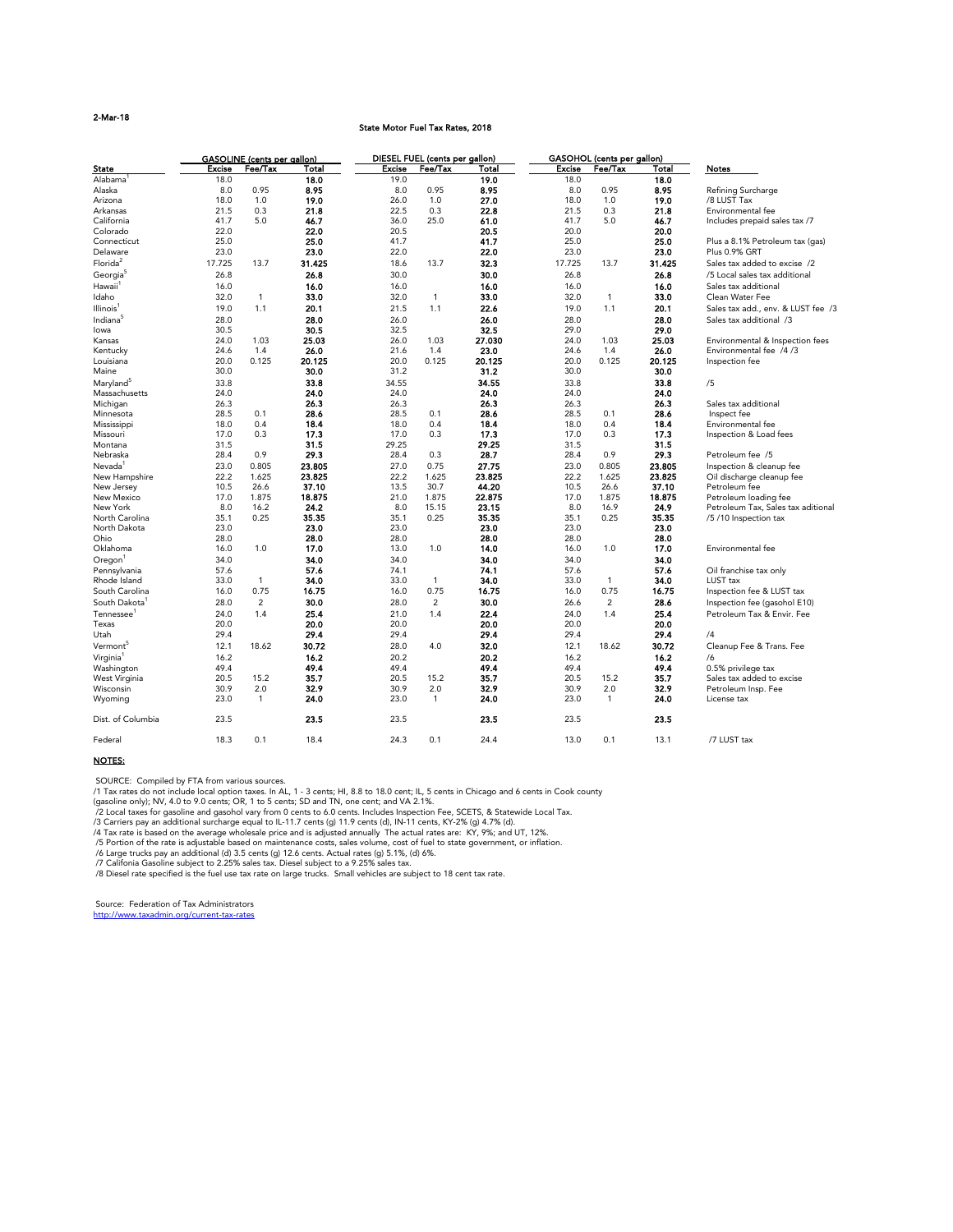## 2-Mar-18

#### State Motor Fuel Tax Rates, 2018

|                           |               | <b>GASOLINE</b> (cents per gallon) |        |               | DIESEL FUEL (cents per gallon) |              |               | <b>GASOHOL</b> (cents per gallon) |              |                                    |
|---------------------------|---------------|------------------------------------|--------|---------------|--------------------------------|--------------|---------------|-----------------------------------|--------------|------------------------------------|
| <b>State</b>              | <b>Excise</b> | Fee/Tax                            | Total  | <b>Excise</b> | Fee/Tax                        | <b>Total</b> | <b>Excise</b> | Fee/Tax                           | <b>Total</b> | <b>Notes</b>                       |
| Alabama                   | 18.0          |                                    | 18.0   | 19.0          |                                | 19.0         | 18.0          |                                   | 18.0         |                                    |
| Alaska                    | 8.0           | 0.95                               | 8.95   | 8.0           | 0.95                           | 8.95         | 8.0           | 0.95                              | 8.95         | Refining Surcharge                 |
| Arizona                   | 18.0          | 1.0                                | 19.0   | 26.0          | 1.0                            | 27.0         | 18.0          | 1.0                               | 19.0         | /8 LUST Tax                        |
| Arkansas                  | 21.5          | 0.3                                | 21.8   | 22.5          | 0.3                            | 22.8         | 21.5          | 0.3                               | 21.8         | Environmental fee                  |
| California                | 41.7          | 5.0                                | 46.7   | 36.0          | 25.0                           | 61.0         | 41.7          | 5.0                               | 46.7         | Includes prepaid sales tax /7      |
| Colorado                  | 22.0          |                                    | 22.0   | 20.5          |                                | 20.5         | 20.0          |                                   | 20.0         |                                    |
| Connecticut               | 25.0          |                                    | 25.0   | 41.7          |                                | 41.7         | 25.0          |                                   | 25.0         | Plus a 8.1% Petroleum tax (gas)    |
| Delaware                  | 23.0          |                                    | 23.0   | 22.0          |                                | 22.0         | 23.0          |                                   | 23.0         | Plus 0.9% GRT                      |
| Florida <sup>2</sup>      |               | 13.7                               |        |               |                                |              |               | 13.7                              |              |                                    |
|                           | 17.725        |                                    | 31.425 | 18.6          | 13.7                           | 32.3         | 17.725        |                                   | 31.425       | Sales tax added to excise /2       |
| Georgia                   | 26.8          |                                    | 26.8   | 30.0          |                                | 30.0         | 26.8          |                                   | 26.8         | /5 Local sales tax additional      |
| Hawaii <sup>®</sup>       | 16.0          |                                    | 16.0   | 16.0          |                                | 16.0         | 16.0          |                                   | 16.0         | Sales tax additional               |
| Idaho                     | 32.0          | $\mathbf 1$                        | 33.0   | 32.0          | $\mathbf{1}$                   | 33.0         | 32.0          | $\mathbf 1$                       | 33.0         | Clean Water Fee                    |
| Illinois <sup>1</sup>     | 19.0          | 1.1                                | 20.1   | 21.5          | 1.1                            | 22.6         | 19.0          | 1.1                               | 20.1         | Sales tax add., env. & LUST fee /3 |
| Indiana                   | 28.0          |                                    | 28.0   | 26.0          |                                | 26.0         | 28.0          |                                   | 28.0         | Sales tax additional /3            |
| lowa                      | 30.5          |                                    | 30.5   | 32.5          |                                | 32.5         | 29.0          |                                   | 29.0         |                                    |
| Kansas                    | 24.0          | 1.03                               | 25.03  | 26.0          | 1.03                           | 27.030       | 24.0          | 1.03                              | 25.03        | Environmental & Inspection fees    |
| Kentucky                  | 24.6          | 1.4                                | 26.0   | 21.6          | 1.4                            | 23.0         | 24.6          | 1.4                               | 26.0         | Environmental fee /4/3             |
| Louisiana                 | 20.0          | 0.125                              | 20.125 | 20.0          | 0.125                          | 20.125       | 20.0          | 0.125                             | 20.125       | Inspection fee                     |
| Maine                     | 30.0          |                                    | 30.0   | 31.2          |                                | 31.2         | 30.0          |                                   | 30.0         |                                    |
|                           |               |                                    |        |               |                                |              |               |                                   |              |                                    |
| Maryland <sup>5</sup>     | 33.8          |                                    | 33.8   | 34.55         |                                | 34.55        | 33.8          |                                   | 33.8         | /5                                 |
| Massachusetts             | 24.0          |                                    | 24.0   | 24.0          |                                | 24.0         | 24.0          |                                   | 24.0         |                                    |
| Michigan                  | 26.3          |                                    | 26.3   | 26.3          |                                | 26.3         | 26.3          |                                   | 26.3         | Sales tax additional               |
| Minnesota                 | 28.5          | 0.1                                | 28.6   | 28.5          | 0.1                            | 28.6         | 28.5          | 0.1                               | 28.6         | Inspect fee                        |
| Mississippi               | 18.0          | 0.4                                | 18.4   | 18.0          | 0.4                            | 18.4         | 18.0          | 0.4                               | 18.4         | Environmental fee                  |
| Missouri                  | 17.0          | 0.3                                | 17.3   | 17.0          | 0.3                            | 17.3         | 17.0          | 0.3                               | 17.3         | Inspection & Load fees             |
| Montana                   | 31.5          |                                    | 31.5   | 29.25         |                                | 29.25        | 31.5          |                                   | 31.5         |                                    |
| Nebraska                  | 28.4          | 0.9                                | 29.3   | 28.4          | 0.3                            | 28.7         | 28.4          | 0.9                               | 29.3         | Petroleum fee /5                   |
| Nevada                    | 23.0          | 0.805                              | 23.805 | 27.0          | 0.75                           | 27.75        | 23.0          | 0.805                             | 23.805       | Inspection & cleanup fee           |
| New Hampshire             | 22.2          | 1.625                              | 23.825 | 22.2          | 1.625                          | 23.825       | 22.2          | 1.625                             | 23.825       | Oil discharge cleanup fee          |
| New Jersey                | 10.5          | 26.6                               | 37.10  | 13.5          | 30.7                           | 44.20        | 10.5          | 26.6                              | 37.10        | Petroleum fee                      |
| New Mexico                | 17.0          | 1.875                              | 18.875 | 21.0          | 1.875                          | 22.875       | 17.0          | 1.875                             | 18.875       | Petroleum loading fee              |
| New York                  | 8.0           | 16.2                               | 24.2   | 8.0           | 15.15                          | 23.15        | 8.0           | 16.9                              | 24.9         | Petroleum Tax, Sales tax aditional |
| North Carolina            | 35.1          | 0.25                               | 35.35  | 35.1          | 0.25                           | 35.35        | 35.1          | 0.25                              | 35.35        | /5 /10 Inspection tax              |
| North Dakota              | 23.0          |                                    | 23.0   | 23.0          |                                | 23.0         | 23.0          |                                   | 23.0         |                                    |
| Ohio                      | 28.0          |                                    | 28.0   | 28.0          |                                | 28.0         | 28.0          |                                   | 28.0         |                                    |
| Oklahoma                  | 16.0          | 1.0                                | 17.0   | 13.0          | 1.0                            | 14.0         | 16.0          | 1.0                               | 17.0         | Environmental fee                  |
|                           |               |                                    |        |               |                                |              |               |                                   |              |                                    |
| Oregon                    | 34.0          |                                    | 34.0   | 34.0          |                                | 34.0         | 34.0          |                                   | 34.0         |                                    |
| Pennsylvania              | 57.6          |                                    | 57.6   | 74.1          |                                | 74.1         | 57.6          |                                   | 57.6         | Oil franchise tax only             |
| Rhode Island              | 33.0          | $\mathbf{1}$                       | 34.0   | 33.0          | $\mathbf{1}$                   | 34.0         | 33.0          | $\mathbf{1}$                      | 34.0         | LUST tax                           |
| South Carolina            | 16.0          | 0.75                               | 16.75  | 16.0          | 0.75                           | 16.75        | 16.0          | 0.75                              | 16.75        | Inspection fee & LUST tax          |
| South Dakota <sup>1</sup> | 28.0          | $\overline{2}$                     | 30.0   | 28.0          | $\overline{2}$                 | 30.0         | 26.6          | $\overline{2}$                    | 28.6         | Inspection fee (gasohol E10)       |
| Tennessee <sup>1</sup>    | 24.0          | 1.4                                | 25.4   | 21.0          | 1.4                            | 22.4         | 24.0          | 1.4                               | 25.4         | Petroleum Tax & Envir. Fee         |
| Texas                     | 20.0          |                                    | 20.0   | 20.0          |                                | 20.0         | 20.0          |                                   | 20.0         |                                    |
| Utah                      | 29.4          |                                    | 29.4   | 29.4          |                                | 29.4         | 29.4          |                                   | 29.4         | /4                                 |
| Vermont <sup>5</sup>      | 12.1          | 18.62                              | 30.72  | 28.0          | 4.0                            | 32.0         | 12.1          | 18.62                             | 30.72        | Cleanup Fee & Trans. Fee           |
| Virginia <sup>1</sup>     | 16.2          |                                    | 16.2   | 20.2          |                                | 20.2         | 16.2          |                                   | 16.2         | /6                                 |
|                           |               |                                    | 49.4   |               |                                | 49.4         |               |                                   |              |                                    |
| Washington                | 49.4          |                                    |        | 49.4          |                                |              | 49.4          |                                   | 49.4         | 0.5% privilege tax                 |
| West Virginia             | 20.5          | 15.2                               | 35.7   | 20.5          | 15.2                           | 35.7         | 20.5          | 15.2                              | 35.7         | Sales tax added to excise          |
| Wisconsin                 | 30.9          | 2.0                                | 32.9   | 30.9          | 2.0                            | 32.9         | 30.9          | 2.0                               | 32.9         | Petroleum Insp. Fee                |
| Wyoming                   | 23.0          | $\mathbf{1}$                       | 24.0   | 23.0          | $\mathbf{1}$                   | 24.0         | 23.0          | $\overline{1}$                    | 24.0         | License tax                        |
| Dist. of Columbia         | 23.5          |                                    | 23.5   | 23.5          |                                | 23.5         | 23.5          |                                   | 23.5         |                                    |
| Federal                   | 18.3          | 0.1                                | 18.4   | 24.3          | 0.1                            | 24.4         | 13.0          | 0.1                               | 13.1         | /7 LUST tax                        |

## NOTES:

SOURCE: Compiled by FTA from various sources.

/1 Tax rates do not include local option taxes. In AL, 1 - 3 cents; HI, 8.8 to 18.0 cent; IL, 5 cents in Chicago and 6 cents in Cook county

(gasoline only); NV, 4.0 to 9.0 cents; OR, 1 to 5 cents; SD and TN, one cent; and VA 2.1%.

/2 Local taxes for gasoline and gasohol vary from 0 cents to 6.0 cents. Includes Inspection Fee, SCETS, & Statewide Local Tax.

/3 Carriers pay an additional surcharge equal to IL-11.7 cents (g) 11.9 cents (d), IN-11 cents, KY-2% (g) 4.7% (d).

/4 Tax rate is based on the average wholesale price and is adjusted annually The actual rates are: KY, 9%; and UT, 12%.

/5 Portion of the rate is adjustable based on maintenance costs, sales volume, cost of fuel to state government, or inflation.

/6 Large trucks pay an additional (d) 3.5 cents (g) 12.6 cents. Actual rates (g) 5.1%, (d) 6%.

/7 Califonia Gasoline subject to 2.25% sales tax. Diesel subject to a 9.25% sales tax.

/8 Diesel rate specified is the fuel use tax rate on large trucks. Small vehicles are subject to 18 cent tax rate.

 Source: Federation of Tax Administrators http://www.taxadmin.org/current-tax-rates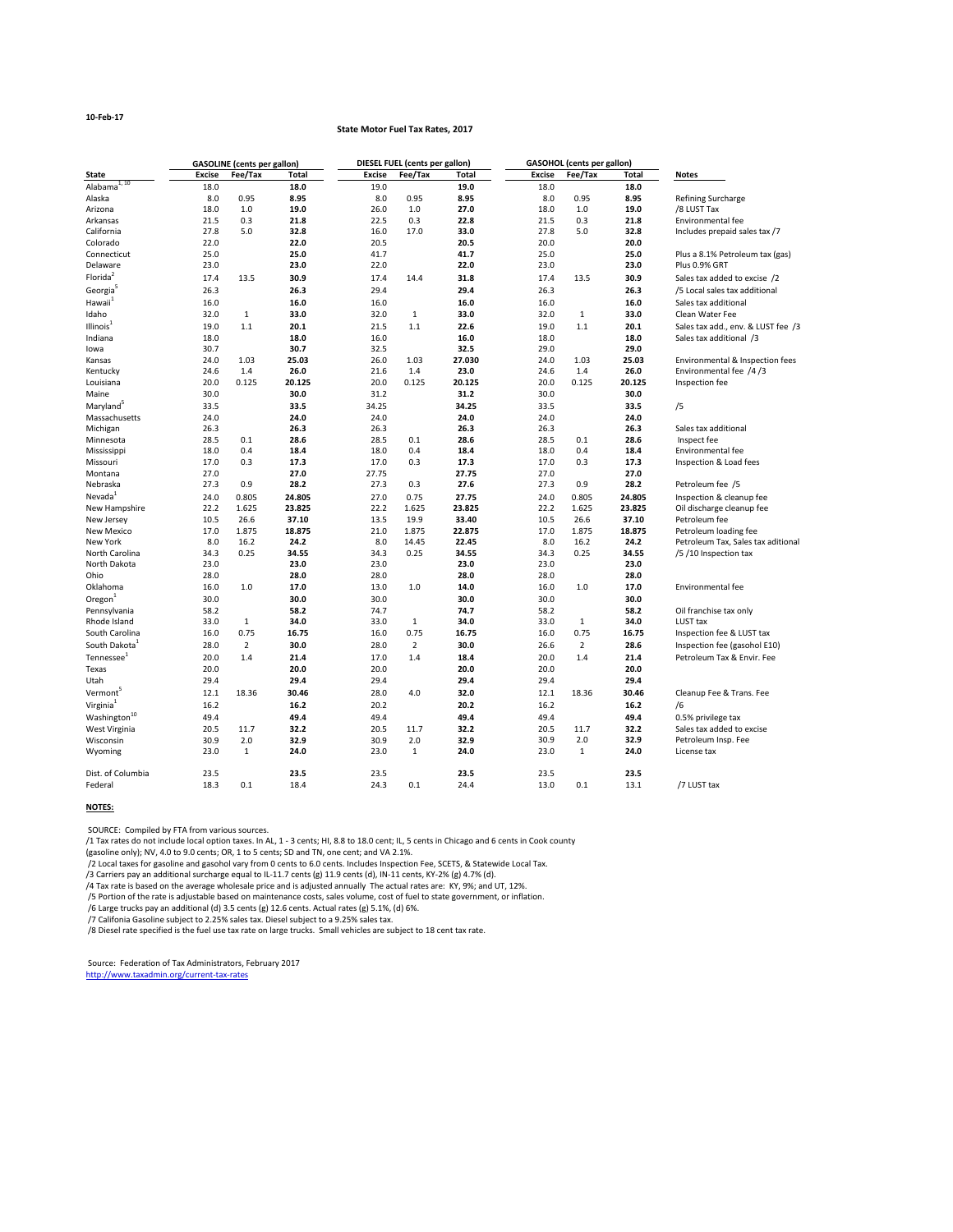## **10-Feb-17**

## **State Motor Fuel Tax Rates, 2017**

|                           |               | <b>GASOLINE</b> (cents per gallon) |              |               | <b>DIESEL FUEL (cents per gallon)</b> |              |               | <b>GASOHOL</b> (cents per gallon) |              |                                    |
|---------------------------|---------------|------------------------------------|--------------|---------------|---------------------------------------|--------------|---------------|-----------------------------------|--------------|------------------------------------|
| <b>State</b>              | <b>Excise</b> | Fee/Tax                            | <b>Total</b> | <b>Excise</b> | Fee/Tax                               | <b>Total</b> | <b>Excise</b> | Fee/Tax                           | <b>Total</b> | <b>Notes</b>                       |
| Alabama $\overline{1,10}$ | 18.0          |                                    | 18.0         | 19.0          |                                       | 19.0         | 18.0          |                                   | 18.0         |                                    |
| Alaska                    | 8.0           | 0.95                               | 8.95         | 8.0           | 0.95                                  | 8.95         | 8.0           | 0.95                              | 8.95         | <b>Refining Surcharge</b>          |
| Arizona                   | 18.0          | 1.0                                | 19.0         | 26.0          | 1.0                                   | 27.0         | 18.0          | 1.0                               | 19.0         | /8 LUST Tax                        |
| Arkansas                  | 21.5          | 0.3                                | 21.8         | 22.5          | 0.3                                   | 22.8         | 21.5          | 0.3                               | 21.8         | Environmental fee                  |
| California                | 27.8          | 5.0                                | 32.8         | 16.0          | 17.0                                  | 33.0         | 27.8          | 5.0                               | 32.8         | Includes prepaid sales tax /7      |
| Colorado                  | 22.0          |                                    | 22.0         | 20.5          |                                       | 20.5         | 20.0          |                                   | 20.0         |                                    |
| Connecticut               | 25.0          |                                    | 25.0         | 41.7          |                                       | 41.7         | 25.0          |                                   | 25.0         | Plus a 8.1% Petroleum tax (gas)    |
| Delaware                  | 23.0          |                                    | 23.0         | 22.0          |                                       | 22.0         | 23.0          |                                   | 23.0         | Plus 0.9% GRT                      |
| Florida <sup>2</sup>      | 17.4          | 13.5                               | 30.9         | 17.4          | 14.4                                  | 31.8         | 17.4          | 13.5                              | 30.9         | Sales tax added to excise /2       |
| Georgia                   | 26.3          |                                    | 26.3         | 29.4          |                                       | 29.4         | 26.3          |                                   | 26.3         | /5 Local sales tax additional      |
| Hawaii <sup>1</sup>       | 16.0          |                                    | 16.0         | 16.0          |                                       | 16.0         | 16.0          |                                   | 16.0         | Sales tax additional               |
| Idaho                     | 32.0          | $\mathbf{1}$                       | 33.0         | 32.0          | $\mathbf{1}$                          | 33.0         | 32.0          | 1                                 | 33.0         | Clean Water Fee                    |
| Illinois <sup>1</sup>     | 19.0          | 1.1                                | 20.1         | 21.5          | 1.1                                   | 22.6         | 19.0          | 1.1                               | 20.1         | Sales tax add., env. & LUST fee /3 |
| Indiana                   | 18.0          |                                    | 18.0         | 16.0          |                                       | 16.0         | 18.0          |                                   | 18.0         | Sales tax additional /3            |
| lowa                      | 30.7          |                                    | 30.7         | 32.5          |                                       | 32.5         | 29.0          |                                   | 29.0         |                                    |
| Kansas                    | 24.0          | 1.03                               | 25.03        | 26.0          | 1.03                                  | 27.030       | 24.0          | 1.03                              | 25.03        | Environmental & Inspection fees    |
| Kentucky                  | 24.6          | 1.4                                | 26.0         | 21.6          | 1.4                                   | 23.0         | 24.6          | 1.4                               | 26.0         | Environmental fee /4/3             |
| Louisiana                 | 20.0          | 0.125                              | 20.125       | 20.0          | 0.125                                 | 20.125       | 20.0          | 0.125                             | 20.125       | Inspection fee                     |
| Maine                     | 30.0          |                                    | 30.0         | 31.2          |                                       | 31.2         | 30.0          |                                   | 30.0         |                                    |
| Maryland <sup>5</sup>     | 33.5          |                                    | 33.5         | 34.25         |                                       | 34.25        | 33.5          |                                   | 33.5         | /5                                 |
| Massachusetts             | 24.0          |                                    | 24.0         | 24.0          |                                       | 24.0         | 24.0          |                                   | 24.0         |                                    |
| Michigan                  | 26.3          |                                    | 26.3         | 26.3          |                                       | 26.3         | 26.3          |                                   | 26.3         | Sales tax additional               |
| Minnesota                 | 28.5          | 0.1                                | 28.6         | 28.5          | 0.1                                   | 28.6         | 28.5          | 0.1                               | 28.6         | Inspect fee                        |
| Mississippi               | 18.0          | 0.4                                | 18.4         | 18.0          | 0.4                                   | 18.4         | 18.0          | 0.4                               | 18.4         | <b>Environmental fee</b>           |
| Missouri                  | 17.0          | 0.3                                | 17.3         | 17.0          | 0.3                                   | 17.3         | 17.0          | 0.3                               | 17.3         | Inspection & Load fees             |
| Montana                   | 27.0          |                                    | 27.0         | 27.75         |                                       | 27.75        | 27.0          |                                   | 27.0         |                                    |
| Nebraska                  | 27.3          | 0.9                                | 28.2         | 27.3          | 0.3                                   | 27.6         | 27.3          | 0.9                               | 28.2         | Petroleum fee /5                   |
| Nevada <sup>1</sup>       | 24.0          | 0.805                              | 24.805       | 27.0          | 0.75                                  | 27.75        | 24.0          | 0.805                             | 24.805       | Inspection & cleanup fee           |
| New Hampshire             | 22.2          | 1.625                              | 23.825       | 22.2          | 1.625                                 | 23.825       | 22.2          | 1.625                             | 23.825       | Oil discharge cleanup fee          |
| New Jersey                | 10.5          | 26.6                               | 37.10        | 13.5          | 19.9                                  | 33.40        | 10.5          | 26.6                              | 37.10        | Petroleum fee                      |
| New Mexico                | 17.0          | 1.875                              | 18.875       | 21.0          | 1.875                                 | 22.875       | 17.0          | 1.875                             | 18.875       | Petroleum loading fee              |
| New York                  | 8.0           | 16.2                               | 24.2         | 8.0           | 14.45                                 | 22.45        | 8.0           | 16.2                              | 24.2         | Petroleum Tax, Sales tax aditional |
| North Carolina            | 34.3          | 0.25                               | 34.55        | 34.3          | 0.25                                  | 34.55        | 34.3          | 0.25                              | 34.55        | /5 /10 Inspection tax              |
| North Dakota              | 23.0          |                                    | 23.0         | 23.0          |                                       | 23.0         | 23.0          |                                   | 23.0         |                                    |
| Ohio                      | 28.0          |                                    | 28.0         | 28.0          |                                       | 28.0         | 28.0          |                                   | 28.0         |                                    |
| Oklahoma                  | 16.0          | 1.0                                | 17.0         | 13.0          | 1.0                                   | 14.0         | 16.0          | 1.0                               | 17.0         | Environmental fee                  |
| Oregon $1$                | 30.0          |                                    | 30.0         | 30.0          |                                       | 30.0         | 30.0          |                                   | 30.0         |                                    |
| Pennsylvania              | 58.2          |                                    | 58.2         | 74.7          |                                       | 74.7         | 58.2          |                                   | 58.2         | Oil franchise tax only             |
| Rhode Island              | 33.0          | $\mathbf{1}$                       | 34.0         | 33.0          | $\mathbf{1}$                          | 34.0         | 33.0          | $\mathbf{1}$                      | 34.0         | LUST tax                           |
| South Carolina            | 16.0          | 0.75                               | 16.75        | 16.0          | 0.75                                  | 16.75        | 16.0          | 0.75                              | 16.75        | Inspection fee & LUST tax          |
| South Dakota <sup>1</sup> | 28.0          | $\overline{2}$                     | 30.0         | 28.0          | $\overline{2}$                        | 30.0         | 26.6          | $\overline{2}$                    | 28.6         | Inspection fee (gasohol E10)       |
| Tennessee <sup>1</sup>    | 20.0          | 1.4                                | 21.4         | 17.0          | 1.4                                   | 18.4         | 20.0          | 1.4                               | 21.4         | Petroleum Tax & Envir. Fee         |
| Texas                     | 20.0          |                                    | 20.0         | 20.0          |                                       | 20.0         | 20.0          |                                   | 20.0         |                                    |
| Utah                      | 29.4          |                                    | 29.4         | 29.4          |                                       | 29.4         | 29.4          |                                   | 29.4         |                                    |
| Vermont <sup>5</sup>      |               |                                    |              |               |                                       |              |               |                                   |              |                                    |
|                           | 12.1          | 18.36                              | 30.46        | 28.0          | 4.0                                   | 32.0         | 12.1          | 18.36                             | 30.46        | Cleanup Fee & Trans. Fee           |
| Virginia <sup>1</sup>     | 16.2          |                                    | 16.2         | 20.2          |                                       | 20.2         | 16.2          |                                   | 16.2         | /6                                 |
| Washington <sup>10</sup>  | 49.4          |                                    | 49.4         | 49.4          |                                       | 49.4         | 49.4          |                                   | 49.4         | 0.5% privilege tax                 |
| West Virginia             | 20.5          | 11.7                               | 32.2         | 20.5          | 11.7                                  | 32.2         | 20.5          | 11.7                              | 32.2         | Sales tax added to excise          |
| Wisconsin                 | 30.9          | 2.0                                | 32.9         | 30.9          | 2.0                                   | 32.9         | 30.9          | 2.0                               | 32.9         | Petroleum Insp. Fee                |
| Wyoming                   | 23.0          | $\mathbf{1}$                       | 24.0         | 23.0          | $\mathbf{1}$                          | 24.0         | 23.0          | $\mathbf{1}$                      | 24.0         | License tax                        |
| Dist. of Columbia         | 23.5          |                                    | 23.5         | 23.5          |                                       | 23.5         | 23.5          |                                   | 23.5         |                                    |
| Federal                   | 18.3          | 0.1                                | 18.4         | 24.3          | 0.1                                   | 24.4         | 13.0          | 0.1                               | 13.1         | /7 LUST tax                        |

## **NOTES:**

SOURCE: Compiled by FTA from various sources.

/1 Tax rates do not include local option taxes. In AL, 1 - 3 cents; HI, 8.8 to 18.0 cent; IL, 5 cents in Chicago and 6 cents in Cook county

(gasoline only); NV, 4.0 to 9.0 cents; OR, 1 to 5 cents; SD and TN, one cent; and VA 2.1%.

/2 Local taxes for gasoline and gasohol vary from 0 cents to 6.0 cents. Includes Inspection Fee, SCETS, & Statewide Local Tax.

/3 Carriers pay an additional surcharge equal to IL-11.7 cents (g) 11.9 cents (d), IN-11 cents, KY-2% (g) 4.7% (d).

/4 Tax rate is based on the average wholesale price and is adjusted annually The actual rates are: KY, 9%; and UT, 12%.

/5 Portion of the rate is adjustable based on maintenance costs, sales volume, cost of fuel to state government, or inflation.

/6 Large trucks pay an additional (d) 3.5 cents (g) 12.6 cents. Actual rates (g) 5.1%, (d) 6%.

/7 Califonia Gasoline subject to 2.25% sales tax. Diesel subject to a 9.25% sales tax.

/8 Diesel rate specified is the fuel use tax rate on large trucks. Small vehicles are subject to 18 cent tax rate.

 Source: Federation of Tax Administrators, February 2017 http://www.taxadmin.org/current-tax-rates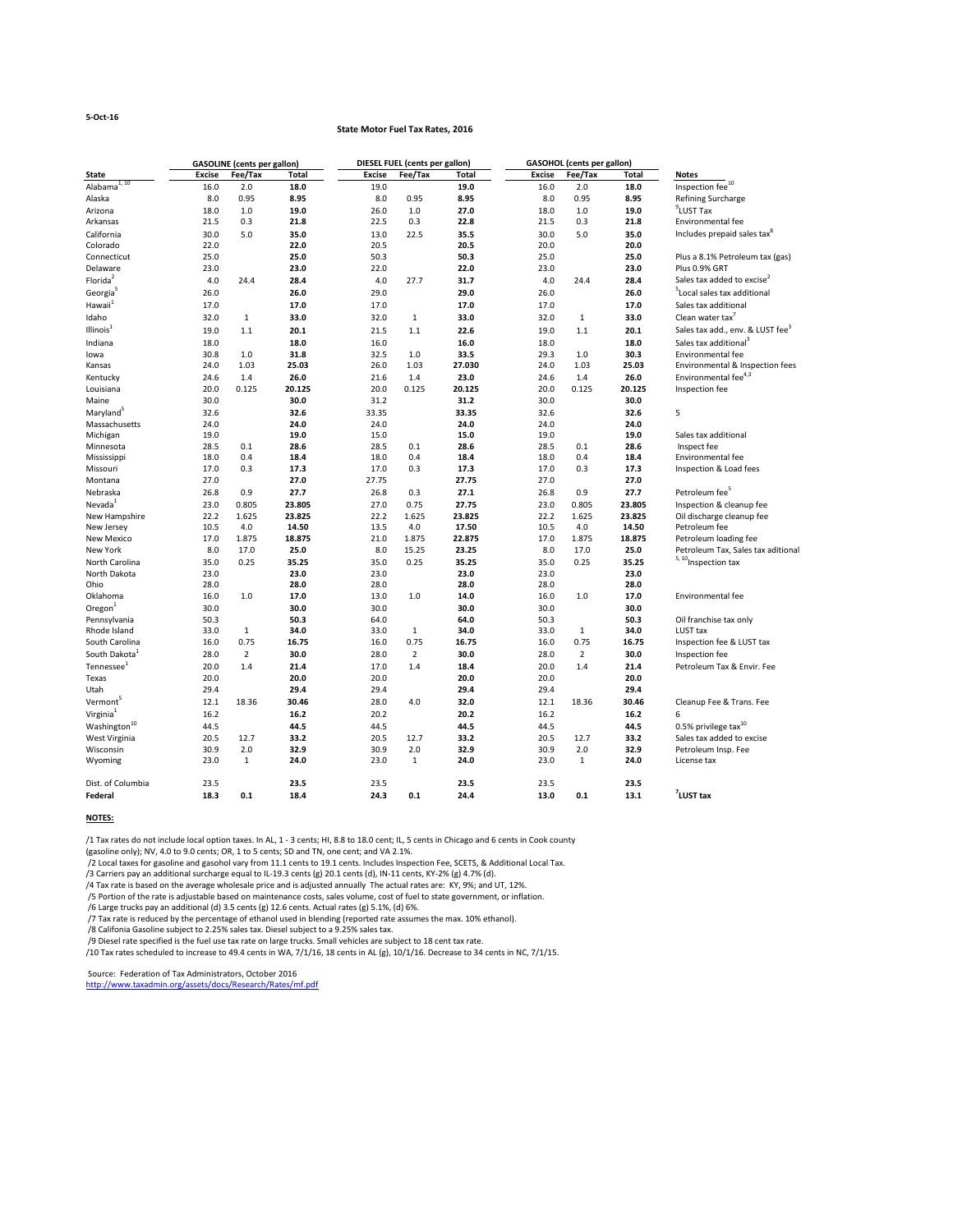#### **5-Oct-16**

## **State Motor Fuel Tax Rates, 2016**

|                                        |               | <b>GASOLINE</b> (cents per gallon) |              |               | <b>DIESEL FUEL (cents per gallon)</b> |               |               | <b>GASOHOL</b> (cents per gallon) |              |                                              |
|----------------------------------------|---------------|------------------------------------|--------------|---------------|---------------------------------------|---------------|---------------|-----------------------------------|--------------|----------------------------------------------|
| <b>State</b>                           | <b>Excise</b> | Fee/Tax                            | <b>Total</b> | <b>Excise</b> | Fee/Tax                               | <b>Total</b>  | <b>Excise</b> | Fee/Tax                           | <b>Total</b> | <b>Notes</b>                                 |
| Alabama $\overline{a^{1,10}}$          | 16.0          | 2.0                                | 18.0         | 19.0          |                                       | 19.0          | 16.0          | 2.0                               | 18.0         | Inspection fee <sup>10</sup>                 |
| Alaska                                 | 8.0           | 0.95                               | 8.95         | 8.0           | 0.95                                  | 8.95          | 8.0           | 0.95                              | 8.95         | Refining Surcharge                           |
| Arizona                                | 18.0          | 1.0                                | 19.0         | 26.0          | 1.0                                   | 27.0          | 18.0          | $1.0\,$                           | 19.0         | $9$ LUST Tax                                 |
| Arkansas                               | 21.5          | 0.3                                | 21.8         | 22.5          | 0.3                                   | 22.8          | 21.5          | 0.3                               | 21.8         | Environmental fee                            |
| California                             | 30.0          | 5.0                                | 35.0         | 13.0          | 22.5                                  | 35.5          | 30.0          | 5.0                               | 35.0         | Includes prepaid sales tax <sup>8</sup>      |
| Colorado                               | 22.0          |                                    | 22.0         | 20.5          |                                       | 20.5          | 20.0          |                                   | 20.0         |                                              |
| Connecticut                            | 25.0          |                                    | 25.0         | 50.3          |                                       | 50.3          | 25.0          |                                   | 25.0         | Plus a 8.1% Petroleum tax (gas)              |
| Delaware                               | 23.0          |                                    | 23.0         | 22.0          |                                       | 22.0          | 23.0          |                                   | 23.0         | Plus 0.9% GRT                                |
| Florida <sup>2</sup>                   | 4.0           | 24.4                               | 28.4         | 4.0           | 27.7                                  | 31.7          | 4.0           | 24.4                              | 28.4         | Sales tax added to excise <sup>2</sup>       |
| Georgia                                | 26.0          |                                    | 26.0         | 29.0          |                                       | 29.0          | 26.0          |                                   | 26.0         | <sup>5</sup> Local sales tax additional      |
| Hawaii <sup>1</sup>                    | 17.0          |                                    | 17.0         | 17.0          |                                       | 17.0          | 17.0          |                                   | 17.0         | Sales tax additional                         |
| Idaho                                  | 32.0          | $\mathbf{1}$                       | 33.0         | 32.0          | $\mathbf{1}$                          | 33.0          | 32.0          | $\mathbf{1}$                      | 33.0         | Clean water tax <sup>7</sup>                 |
| Illinois $1$                           | 19.0          | 1.1                                | 20.1         | 21.5          | 1.1                                   | 22.6          | 19.0          | 1.1                               | 20.1         | Sales tax add., env. & LUST fee <sup>3</sup> |
| Indiana                                | 18.0          |                                    | 18.0         | 16.0          |                                       | 16.0          | 18.0          |                                   | 18.0         | Sales tax additional <sup>3</sup>            |
| lowa                                   | 30.8          | 1.0                                | 31.8         | 32.5          | 1.0                                   | 33.5          | 29.3          | $1.0\,$                           | 30.3         | Environmental fee                            |
| Kansas                                 | 24.0          | 1.03                               | 25.03        | 26.0          | 1.03                                  | 27.030        | 24.0          | 1.03                              | 25.03        | Environmental & Inspection fees              |
|                                        | 24.6          | 1.4                                | 26.0         |               | 1.4                                   | 23.0          |               | 1.4                               | 26.0         | Environmental fee <sup>4,3</sup>             |
| Kentucky<br>Louisiana                  | 20.0          | 0.125                              | 20.125       | 21.6<br>20.0  | 0.125                                 | 20.125        | 24.6<br>20.0  | 0.125                             | 20.125       |                                              |
| Maine                                  | 30.0          |                                    | 30.0         | 31.2          |                                       | 31.2          | 30.0          |                                   | 30.0         | Inspection fee                               |
|                                        |               |                                    |              |               |                                       |               |               |                                   |              |                                              |
| Maryland <sup>5</sup><br>Massachusetts | 32.6<br>24.0  |                                    | 32.6<br>24.0 | 33.35<br>24.0 |                                       | 33.35<br>24.0 | 32.6<br>24.0  |                                   | 32.6<br>24.0 | 5                                            |
|                                        |               |                                    |              |               |                                       |               |               |                                   |              |                                              |
| Michigan                               | 19.0          | 0.1                                | 19.0<br>28.6 | 15.0          | 0.1                                   | 15.0<br>28.6  | 19.0          |                                   | 19.0<br>28.6 | Sales tax additional                         |
| Minnesota                              | 28.5<br>18.0  | 0.4                                | 18.4         | 28.5<br>18.0  | 0.4                                   | 18.4          | 28.5          | 0.1<br>0.4                        | 18.4         | Inspect fee<br>Environmental fee             |
| Mississippi<br>Missouri                | 17.0          | 0.3                                | 17.3         | 17.0          | 0.3                                   | 17.3          | 18.0<br>17.0  | 0.3                               | 17.3         | Inspection & Load fees                       |
| Montana                                | 27.0          |                                    | 27.0         | 27.75         |                                       | 27.75         | 27.0          |                                   | 27.0         |                                              |
|                                        |               |                                    |              |               |                                       |               |               |                                   |              | Petroleum fee <sup>5</sup>                   |
| Nebraska                               | 26.8          | 0.9                                | 27.7         | 26.8          | 0.3                                   | 27.1          | 26.8          | 0.9                               | 27.7         |                                              |
| Nevada <sup>1</sup>                    | 23.0          | 0.805                              | 23.805       | 27.0          | 0.75                                  | 27.75         | 23.0          | 0.805                             | 23.805       | Inspection & cleanup fee                     |
| New Hampshire                          | 22.2          | 1.625                              | 23.825       | 22.2          | 1.625                                 | 23.825        | 22.2          | 1.625                             | 23.825       | Oil discharge cleanup fee                    |
| New Jersey                             | 10.5          | 4.0                                | 14.50        | 13.5          | 4.0                                   | 17.50         | 10.5          | 4.0                               | 14.50        | Petroleum fee                                |
| New Mexico                             | 17.0          | 1.875                              | 18.875       | 21.0          | 1.875                                 | 22.875        | 17.0          | 1.875                             | 18.875       | Petroleum loading fee                        |
| New York                               | 8.0           | 17.0                               | 25.0         | 8.0           | 15.25                                 | 23.25         | 8.0           | 17.0                              | 25.0         | Petroleum Tax, Sales tax aditional           |
| North Carolina                         | 35.0          | 0.25                               | 35.25        | 35.0          | 0.25                                  | 35.25         | 35.0          | 0.25                              | 35.25        | $5,10$ Inspection tax                        |
| North Dakota                           | 23.0          |                                    | 23.0         | 23.0          |                                       | 23.0          | 23.0          |                                   | 23.0         |                                              |
| Ohio                                   | 28.0          |                                    | 28.0         | 28.0          |                                       | 28.0          | 28.0          |                                   | 28.0         |                                              |
| Oklahoma                               | 16.0          | 1.0                                | 17.0         | 13.0          | 1.0                                   | 14.0          | 16.0          | $1.0\,$                           | 17.0         | Environmental fee                            |
| Oregon $1$                             | 30.0          |                                    | 30.0         | 30.0          |                                       | 30.0          | 30.0          |                                   | 30.0         |                                              |
| Pennsylvania                           | 50.3          |                                    | 50.3         | 64.0          |                                       | 64.0          | 50.3          |                                   | 50.3         | Oil franchise tax only                       |
| Rhode Island                           | 33.0          | $\mathbf{1}$                       | 34.0         | 33.0          | 1                                     | 34.0          | 33.0          | $\mathbf{1}$                      | 34.0         | LUST tax                                     |
| South Carolina                         | 16.0          | 0.75                               | 16.75        | 16.0          | 0.75                                  | 16.75         | 16.0          | 0.75                              | 16.75        | Inspection fee & LUST tax                    |
| South Dakota                           | 28.0          | $\overline{2}$                     | 30.0         | 28.0          | $\overline{2}$                        | 30.0          | 28.0          | $\overline{2}$                    | 30.0         | Inspection fee                               |
| Tennessee <sup>1</sup>                 | 20.0          | 1.4                                | 21.4         | 17.0          | 1.4                                   | 18.4          | 20.0          | $1.4\,$                           | 21.4         | Petroleum Tax & Envir. Fee                   |
| Texas                                  | 20.0          |                                    | 20.0         | 20.0          |                                       | 20.0          | 20.0          |                                   | 20.0         |                                              |
| Utah                                   | 29.4          |                                    | 29.4         | 29.4          |                                       | 29.4          | 29.4          |                                   | 29.4         |                                              |
| Vermont <sup>5</sup>                   | 12.1          | 18.36                              | 30.46        | 28.0          | 4.0                                   | 32.0          | 12.1          | 18.36                             | 30.46        | Cleanup Fee & Trans. Fee                     |
| Virginia <sup>1</sup>                  | 16.2          |                                    | 16.2         | 20.2          |                                       | 20.2          | 16.2          |                                   | 16.2         | 6                                            |
| Washington <sup>10</sup>               | 44.5          |                                    | 44.5         | 44.5          |                                       | 44.5          | 44.5          |                                   | 44.5         | 0.5% privilege tax $^{10}$                   |
| West Virginia                          | 20.5          | 12.7                               | 33.2         | 20.5          | 12.7                                  | 33.2          | 20.5          | 12.7                              | 33.2         | Sales tax added to excise                    |

| Federal           | 18.3 | 0.1 | 18.4 | 24.3 | 0.1 | 24.4 | 13.0 | 0.1 | 13.1 | LUST tax            |
|-------------------|------|-----|------|------|-----|------|------|-----|------|---------------------|
| Dist. of Columbia | 23.5 |     | 23.5 | 23.5 |     | 23.5 | 23.5 |     | 23.5 |                     |
| Wyoming           | 23.0 |     | 24.0 | 23.0 |     | 24.0 | 23.0 |     | 24.0 | License tax         |
| ີ<br>Wisconsin    | 30.9 | 2.0 | 32.9 | 30.9 | 2.0 | 32.9 | 30.9 | 2.0 | 32.9 | Petroleum Insp. Fee |

## **NOTES:**

/1 Tax rates do not include local option taxes. In AL, 1 - 3 cents; HI, 8.8 to 18.0 cent; IL, 5 cents in Chicago and 6 cents in Cook county

(gasoline only); NV, 4.0 to 9.0 cents; OR, 1 to 5 cents; SD and TN, one cent; and VA 2.1%.

/2 Local taxes for gasoline and gasohol vary from 11.1 cents to 19.1 cents. Includes Inspection Fee, SCETS, & Additional Local Tax.

/3 Carriers pay an additional surcharge equal to IL-19.3 cents (g) 20.1 cents (d), IN-11 cents, KY-2% (g) 4.7% (d).

/4 Tax rate is based on the average wholesale price and is adjusted annually The actual rates are: KY, 9%; and UT, 12%.

/5 Portion of the rate is adjustable based on maintenance costs, sales volume, cost of fuel to state government, or inflation.

/6 Large trucks pay an additional (d) 3.5 cents (g) 12.6 cents. Actual rates (g) 5.1%, (d) 6%.

/7 Tax rate is reduced by the percentage of ethanol used in blending (reported rate assumes the max. 10% ethanol).

/8 Califonia Gasoline subject to 2.25% sales tax. Diesel subject to a 9.25% sales tax.

/9 Diesel rate specified is the fuel use tax rate on large trucks. Small vehicles are subject to 18 cent tax rate.

/10 Tax rates scheduled to increase to 49.4 cents in WA, 7/1/16, 18 cents in AL (g), 10/1/16. Decrease to 34 cents in NC, 7/1/15.

Source: Federation of Tax Administrators, October 2016

<http://www.taxadmin.org/assets/docs/Research/Rates/mf.pdf>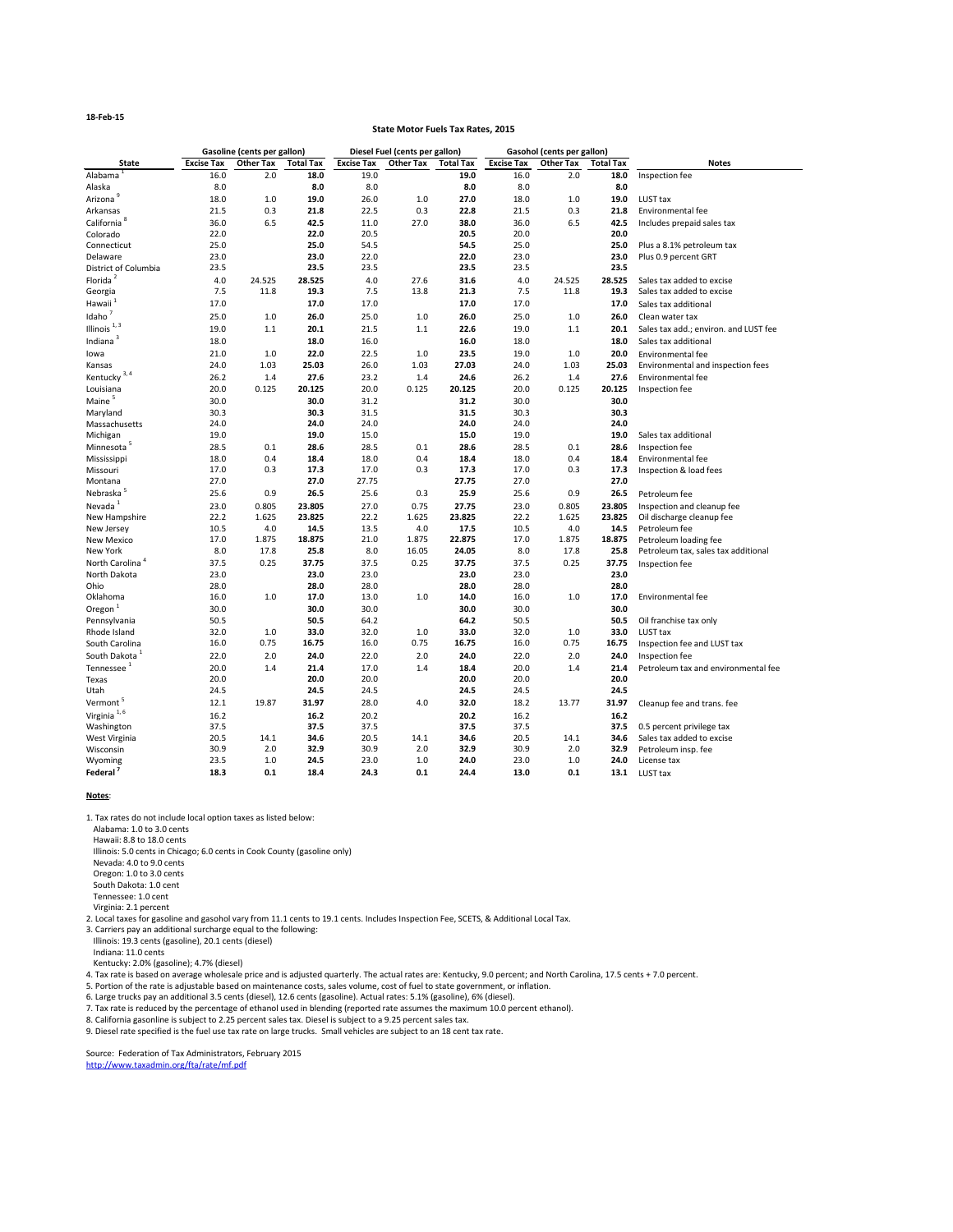### **18-Feb-15**

|                             |                   | <b>Gasoline (cents per gallon)</b> |                  |                   | Diesel Fuel (cents per gallon) |                  |                   | <b>Gasohol (cents per gallon)</b> |                  |                                            |
|-----------------------------|-------------------|------------------------------------|------------------|-------------------|--------------------------------|------------------|-------------------|-----------------------------------|------------------|--------------------------------------------|
| <b>State</b>                | <b>Excise Tax</b> | <b>Other Tax</b>                   | <b>Total Tax</b> | <b>Excise Tax</b> | <b>Other Tax</b>               | <b>Total Tax</b> | <b>Excise Tax</b> | Other Tax                         | <b>Total Tax</b> | <b>Notes</b>                               |
| Alabama                     | 16.0              | 2.0                                | 18.0             | 19.0              |                                | 19.0             | 16.0              | 2.0                               | 18.0             | Inspection fee                             |
| Alaska                      | 8.0               |                                    | 8.0              | 8.0               |                                | 8.0              | 8.0               |                                   | 8.0              |                                            |
| Arizona <sup>9</sup>        | 18.0              | 1.0                                | 19.0             | 26.0              | 1.0                            | 27.0             | 18.0              | 1.0                               | 19.0             | LUST tax                                   |
| Arkansas                    | 21.5              | 0.3                                | 21.8             | 22.5              | 0.3                            | 22.8             | 21.5              | 0.3                               | 21.8             | Environmental fee                          |
| California <sup>8</sup>     | 36.0              | 6.5                                | 42.5             | 11.0              | 27.0                           | 38.0             | 36.0              | 6.5                               | 42.5             | Includes prepaid sales tax                 |
| Colorado                    | 22.0              |                                    | 22.0             | 20.5              |                                | 20.5             | 20.0              |                                   | 20.0             |                                            |
| Connecticut                 | 25.0              |                                    | 25.0             | 54.5              |                                | 54.5             | 25.0              |                                   | 25.0             | Plus a 8.1% petroleum tax                  |
| Delaware                    | 23.0              |                                    | 23.0             | 22.0              |                                | 22.0             | 23.0              |                                   | 23.0             | Plus 0.9 percent GRT                       |
| District of Columbia        | 23.5              |                                    | 23.5             | 23.5              |                                | 23.5             | 23.5              |                                   | 23.5             |                                            |
| Florida <sup>2</sup>        | 4.0               | 24.525                             | 28.525           | 4.0               | 27.6                           | 31.6             | 4.0               | 24.525                            | 28.525           | Sales tax added to excise                  |
| Georgia                     | 7.5               | 11.8                               | 19.3             | 7.5               | 13.8                           | 21.3             | 7.5               | 11.8                              | 19.3             | Sales tax added to excise                  |
| Hawaii                      | 17.0              |                                    | 17.0             | 17.0              |                                | 17.0             | 17.0              |                                   | 17.0             | Sales tax additional                       |
| Idaho <sup>7</sup>          | 25.0              | 1.0                                | 26.0             | 25.0              | 1.0                            | 26.0             | 25.0              | 1.0                               | 26.0             | Clean water tax                            |
| Illinois $1,3$              | 19.0              | 1.1                                | 20.1             | 21.5              | 1.1                            | 22.6             | 19.0              | 1.1                               | 20.1             | Sales tax add.; environ. and LUST fee      |
| Indiana $3$                 | 18.0              |                                    | 18.0             | 16.0              |                                | 16.0             | 18.0              |                                   | 18.0             | Sales tax additional                       |
| lowa                        | 21.0              | 1.0                                | 22.0             | 22.5              | $1.0$                          | 23.5             | 19.0              | $1.0\,$                           | 20.0             | Environmental fee                          |
| Kansas                      | 24.0              | 1.03                               | 25.03            | 26.0              | 1.03                           | 27.03            | 24.0              | 1.03                              | 25.03            | Environmental and inspection fees          |
| Kentucky <sup>3,4</sup>     | 26.2              | 1.4                                | 27.6             | 23.2              | 1.4                            | 24.6             | 26.2              | 1.4                               | 27.6             | Environmental fee                          |
| Louisiana                   | 20.0              | 0.125                              | 20.125           | 20.0              | 0.125                          | 20.125           | 20.0              | 0.125                             | 20.125           | Inspection fee                             |
| Maine <sup>5</sup>          | 30.0              |                                    | 30.0             | 31.2              |                                | 31.2             | 30.0              |                                   | 30.0             |                                            |
| Maryland                    | 30.3              |                                    | 30.3             | 31.5              |                                | 31.5             | 30.3              |                                   | 30.3             |                                            |
| Massachusetts               | 24.0              |                                    | 24.0             | 24.0              |                                | 24.0             | 24.0              |                                   | 24.0             |                                            |
| Michigan                    | 19.0              |                                    | 19.0             | 15.0              |                                | 15.0             | 19.0              |                                   | 19.0             | Sales tax additional                       |
| Minnesota <sup>5</sup>      | 28.5              | 0.1                                | 28.6             | 28.5              | 0.1                            | 28.6             | 28.5              | 0.1                               | 28.6             | Inspection fee                             |
| Mississippi                 | 18.0              | 0.4                                | 18.4             | 18.0              | 0.4                            | 18.4             | 18.0              | 0.4                               | 18.4             | Environmental fee                          |
| Missouri                    | 17.0              | 0.3                                | 17.3             | 17.0              | 0.3                            | 17.3             | 17.0              | 0.3                               | 17.3             | Inspection & load fees                     |
| Montana                     | 27.0              |                                    | 27.0             | 27.75             |                                | 27.75            | 27.0              |                                   | 27.0             |                                            |
| Nebraska <sup>5</sup>       | 25.6              | 0.9                                | 26.5             | 25.6              | 0.3                            | 25.9             | 25.6              | 0.9                               | 26.5             | Petroleum fee                              |
| Nevada <sup>1</sup>         |                   |                                    |                  |                   |                                |                  |                   |                                   |                  |                                            |
|                             | 23.0              | 0.805                              | 23.805           | 27.0              | 0.75                           | 27.75            | 23.0              | 0.805                             | 23.805           | Inspection and cleanup fee                 |
| New Hampshire<br>New Jersey | 22.2<br>10.5      | 1.625<br>4.0                       | 23.825<br>14.5   | 22.2<br>13.5      | 1.625<br>4.0                   | 23.825<br>17.5   | 22.2<br>10.5      | 1.625<br>4.0                      | 23.825<br>14.5   | Oil discharge cleanup fee<br>Petroleum fee |
| <b>New Mexico</b>           | 17.0              | 1.875                              | 18.875           | 21.0              | 1.875                          | 22.875           | 17.0              | 1.875                             | 18.875           | Petroleum loading fee                      |
| New York                    | 8.0               | 17.8                               | 25.8             | 8.0               | 16.05                          | 24.05            | 8.0               | 17.8                              | 25.8             | Petroleum tax, sales tax additional        |
| North Carolina <sup>4</sup> | 37.5              | 0.25                               | 37.75            | 37.5              | 0.25                           | 37.75            | 37.5              | 0.25                              | 37.75            | Inspection fee                             |
| North Dakota                | 23.0              |                                    | 23.0             | 23.0              |                                | 23.0             | 23.0              |                                   | 23.0             |                                            |
| Ohio                        | 28.0              |                                    | 28.0             | 28.0              |                                | 28.0             | 28.0              |                                   | 28.0             |                                            |
| Oklahoma                    | 16.0              | 1.0                                | 17.0             | 13.0              | $1.0$                          | 14.0             | 16.0              | 1.0                               | 17.0             | Environmental fee                          |
| Oregon $1$                  | 30.0              |                                    | 30.0             | 30.0              |                                | 30.0             | 30.0              |                                   | 30.0             |                                            |
| Pennsylvania                | 50.5              |                                    | 50.5             | 64.2              |                                | 64.2             | 50.5              |                                   | 50.5             | Oil franchise tax only                     |
| Rhode Island                | 32.0              | 1.0                                | 33.0             | 32.0              | $1.0$                          | 33.0             | 32.0              | 1.0                               | 33.0             | LUST tax                                   |
| South Carolina              | 16.0              | 0.75                               | 16.75            | 16.0              | 0.75                           | 16.75            | 16.0              | 0.75                              | 16.75            | Inspection fee and LUST tax                |
| South Dakota <sup>1</sup>   | 22.0              | 2.0                                | 24.0             | 22.0              | 2.0                            | 24.0             | 22.0              | 2.0                               | 24.0             | Inspection fee                             |
| Tennessee <sup>1</sup>      | 20.0              | 1.4                                | 21.4             | 17.0              | 1.4                            | 18.4             | 20.0              | 1.4                               | 21.4             | Petroleum tax and environmental fee        |
|                             | 20.0              |                                    | 20.0             | 20.0              |                                | 20.0             | 20.0              |                                   | 20.0             |                                            |
| <b>Texas</b><br>Utah        |                   |                                    | 24.5             | 24.5              |                                | 24.5             | 24.5              |                                   | 24.5             |                                            |
|                             | 24.5              |                                    |                  |                   |                                |                  |                   |                                   |                  |                                            |
| Vermont <sup>5</sup>        | 12.1              | 19.87                              | 31.97            | 28.0              | 4.0                            | 32.0             | 18.2              | 13.77                             | 31.97            | Cleanup fee and trans. fee                 |
| Virginia $^{1,6}$           | 16.2              |                                    | 16.2             | 20.2              |                                | 20.2             | 16.2              |                                   | 16.2             |                                            |
| Washington                  | 37.5              |                                    | 37.5             | 37.5              |                                | 37.5             | 37.5              |                                   | 37.5             | 0.5 percent privilege tax                  |
| West Virginia               | 20.5              | 14.1                               | 34.6             | 20.5              | 14.1                           | 34.6             | 20.5              | 14.1                              | 34.6             | Sales tax added to excise                  |
| Wisconsin                   | 30.9              | 2.0                                | 32.9             | 30.9              | 2.0                            | 32.9             | 30.9              | 2.0                               | 32.9             | Petroleum insp. fee                        |

| Wyoming              | 23.5 |     | 24.5 | 23.0 |     | 24.0 | 23.0 | $1.0\,$ | 24.0 | License tax |
|----------------------|------|-----|------|------|-----|------|------|---------|------|-------------|
| Federal <sup>'</sup> | 18.3 | 0.1 | 18.4 | 24.3 | 0.1 | 24.4 | 13.0 | 0.1     | 13.1 | LUST tax    |

#### **Notes**:

8. California gasonline is subject to 2.25 percent sales tax. Diesel is subject to a 9.25 percent sales tax.

9. Diesel rate specified is the fuel use tax rate on large trucks. Small vehicles are subject to an 18 cent tax rate.

Source: Federation of Tax Administrators, February 2015 [http://www.taxadmin.o](http://www.taxadmin.org/fta/rate/mf.pdf)rg/fta/rate/mf.pdf

Indiana: 11.0 cents

Kentucky: 2.0% (gasoline); 4.7% (diesel)

4. Tax rate is based on average wholesale price and is adjusted quarterly. The actual rates are: Kentucky, 9.0 percent; and North Carolina, 17.5 cents + 7.0 percent.

5. Portion of the rate is adjustable based on maintenance costs, sales volume, cost of fuel to state government, or inflation.

6. Large trucks pay an additional 3.5 cents (diesel), 12.6 cents (gasoline). Actual rates: 5.1% (gasoline), 6% (diesel).

7. Tax rate is reduced by the percentage of ethanol used in blending (reported rate assumes the maximum 10.0 percent ethanol).

Illinois: 19.3 cents (gasoline), 20.1 cents (diesel)

1. Tax rates do not include local option taxes as listed below:

Alabama: 1.0 to 3.0 cents

Hawaii: 8.8 to 18.0 cents

Illinois: 5.0 cents in Chicago; 6.0 cents in Cook County (gasoline only)

Nevada: 4.0 to 9.0 cents

Oregon: 1.0 to 3.0 cents

South Dakota: 1.0 cent

Tennessee: 1.0 cent

Virginia: 2.1 percent

2. Local taxes for gasoline and gasohol vary from 11.1 cents to 19.1 cents. Includes Inspection Fee, SCETS, & Additional Local Tax.

3. Carriers pay an additional surcharge equal to the following:

#### **State Motor Fuels Tax Rates, 2015**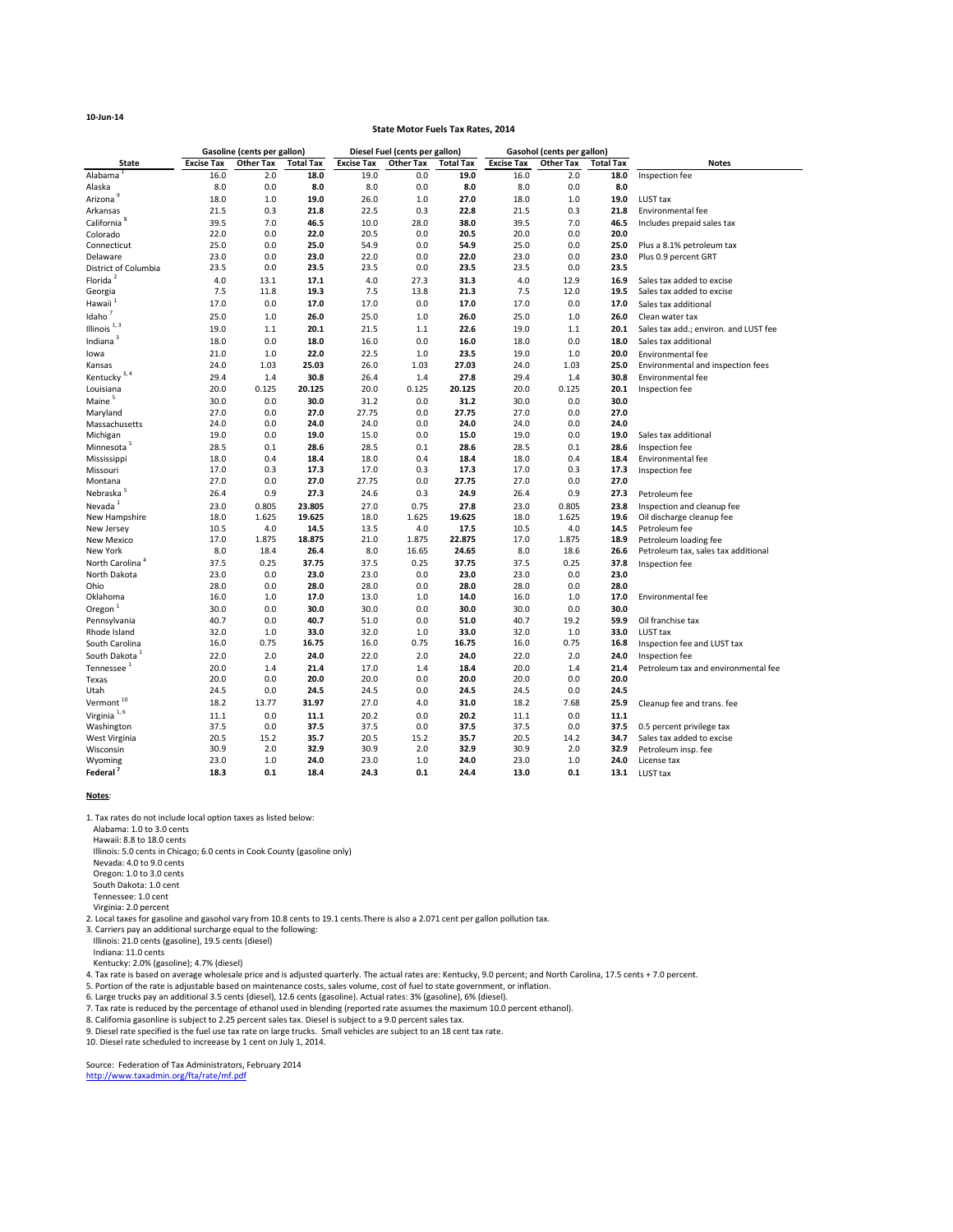## **10-Jun-14**

|                             |                   | <b>Gasoline (cents per gallon)</b> |                  | Diesel Fuel (cents per gallon) |                  |                  | <b>Gasohol (cents per gallon)</b> |           |                  |                                       |
|-----------------------------|-------------------|------------------------------------|------------------|--------------------------------|------------------|------------------|-----------------------------------|-----------|------------------|---------------------------------------|
| <b>State</b>                | <b>Excise Tax</b> | <b>Other Tax</b>                   | <b>Total Tax</b> | <b>Excise Tax</b>              | <b>Other Tax</b> | <b>Total Tax</b> | <b>Excise Tax</b>                 | Other Tax | <b>Total Tax</b> | <b>Notes</b>                          |
| Alabama                     | 16.0              | 2.0                                | 18.0             | 19.0                           | 0.0              | 19.0             | 16.0                              | 2.0       | 18.0             | Inspection fee                        |
| Alaska                      | 8.0               | 0.0                                | 8.0              | 8.0                            | 0.0              | 8.0              | 8.0                               | 0.0       | 8.0              |                                       |
| Arizona                     | 18.0              | 1.0                                | 19.0             | 26.0                           | 1.0              | 27.0             | 18.0                              | $1.0\,$   | 19.0             | LUST tax                              |
| Arkansas                    | 21.5              | 0.3                                | 21.8             | 22.5                           | 0.3              | 22.8             | 21.5                              | 0.3       | 21.8             | Environmental fee                     |
| California <sup>8</sup>     | 39.5              | 7.0                                | 46.5             | 10.0                           | 28.0             | 38.0             | 39.5                              | 7.0       | 46.5             | Includes prepaid sales tax            |
| Colorado                    | 22.0              | 0.0                                | 22.0             | 20.5                           | 0.0              | 20.5             | 20.0                              | 0.0       | 20.0             |                                       |
| Connecticut                 | 25.0              | 0.0                                | 25.0             | 54.9                           | 0.0              | 54.9             | 25.0                              | 0.0       | 25.0             | Plus a 8.1% petroleum tax             |
| Delaware                    | 23.0              | 0.0                                | 23.0             | 22.0                           | 0.0              | 22.0             | 23.0                              | 0.0       | 23.0             | Plus 0.9 percent GRT                  |
| District of Columbia        | 23.5              | 0.0                                | 23.5             | 23.5                           | 0.0              | 23.5             | 23.5                              | 0.0       | 23.5             |                                       |
| Florida <sup>2</sup>        | 4.0               | 13.1                               | 17.1             | 4.0                            | 27.3             | 31.3             | 4.0                               | 12.9      | 16.9             | Sales tax added to excise             |
| Georgia                     | 7.5               | 11.8                               | 19.3             | 7.5                            | 13.8             | 21.3             | 7.5                               | 12.0      | 19.5             | Sales tax added to excise             |
| Hawaii <sup>1</sup>         | 17.0              | 0.0                                | 17.0             | 17.0                           | 0.0              | 17.0             | 17.0                              | 0.0       | 17.0             | Sales tax additional                  |
| Idaho                       | 25.0              | 1.0                                | 26.0             | 25.0                           | 1.0              | 26.0             | 25.0                              | 1.0       | 26.0             | Clean water tax                       |
| Illinois $1,3$              | 19.0              | 1.1                                | 20.1             | 21.5                           | 1.1              | 22.6             | 19.0                              | 1.1       | 20.1             | Sales tax add.; environ. and LUST fee |
| Indiana <sup>3</sup>        | 18.0              | 0.0                                | 18.0             | 16.0                           | 0.0              | 16.0             | 18.0                              | 0.0       | 18.0             | Sales tax additional                  |
| lowa                        | 21.0              | 1.0                                | 22.0             | 22.5                           | 1.0              | 23.5             | 19.0                              | 1.0       | 20.0             | <b>Environmental fee</b>              |
| Kansas                      | 24.0              | 1.03                               | 25.03            | 26.0                           | 1.03             | 27.03            | 24.0                              | 1.03      | 25.0             | Environmental and inspection fees     |
| Kentucky <sup>3,4</sup>     | 29.4              | 1.4                                | 30.8             | 26.4                           | 1.4              | 27.8             | 29.4                              | 1.4       | 30.8             | <b>Environmental fee</b>              |
| Louisiana                   | 20.0              | 0.125                              | 20.125           | 20.0                           | 0.125            | 20.125           | 20.0                              | 0.125     | 20.1             | Inspection fee                        |
| Maine <sup>5</sup>          | 30.0              | 0.0                                | 30.0             | 31.2                           | 0.0              | 31.2             | 30.0                              | 0.0       | 30.0             |                                       |
| Maryland                    | 27.0              | 0.0                                | 27.0             | 27.75                          | 0.0              | 27.75            | 27.0                              | 0.0       | 27.0             |                                       |
| Massachusetts               | 24.0              | 0.0                                | 24.0             | 24.0                           | 0.0              | 24.0             | 24.0                              | 0.0       | 24.0             |                                       |
| Michigan                    | 19.0              | 0.0                                | 19.0             | 15.0                           | 0.0              | 15.0             | 19.0                              | 0.0       | 19.0             | Sales tax additional                  |
| Minnesota <sup>5</sup>      | 28.5              | 0.1                                | 28.6             | 28.5                           | 0.1              | 28.6             | 28.5                              | 0.1       | 28.6             | Inspection fee                        |
| Mississippi                 | 18.0              | 0.4                                | 18.4             | 18.0                           | 0.4              | 18.4             | 18.0                              | 0.4       | 18.4             | <b>Environmental fee</b>              |
| Missouri                    | 17.0              | 0.3                                | 17.3             | 17.0                           | 0.3              | 17.3             | 17.0                              | 0.3       | 17.3             | Inspection fee                        |
| Montana                     | 27.0              | 0.0                                | 27.0             | 27.75                          | 0.0              | 27.75            | 27.0                              | 0.0       | 27.0             |                                       |
| Nebraska <sup>5</sup>       | 26.4              | 0.9                                | 27.3             | 24.6                           | 0.3              | 24.9             | 26.4                              | 0.9       | 27.3             | Petroleum fee                         |
| Nevada <sup>1</sup>         | 23.0              | 0.805                              | 23.805           | 27.0                           | 0.75             | 27.8             | 23.0                              | 0.805     | 23.8             | Inspection and cleanup fee            |
| New Hampshire               | 18.0              | 1.625                              | 19.625           | 18.0                           | 1.625            | 19.625           | 18.0                              | 1.625     | 19.6             | Oil discharge cleanup fee             |
| New Jersey                  | 10.5              | 4.0                                | 14.5             | 13.5                           | 4.0              | 17.5             | 10.5                              | 4.0       | 14.5             | Petroleum fee                         |
| <b>New Mexico</b>           | 17.0              | 1.875                              | 18.875           | 21.0                           | 1.875            | 22.875           | 17.0                              | 1.875     | 18.9             | Petroleum loading fee                 |
| New York                    | 8.0               | 18.4                               | 26.4             | 8.0                            | 16.65            | 24.65            | 8.0                               | 18.6      | 26.6             | Petroleum tax, sales tax additional   |
| North Carolina <sup>4</sup> | 37.5              | 0.25                               | 37.75            | 37.5                           | 0.25             | 37.75            | 37.5                              | 0.25      | 37.8             | Inspection fee                        |
| North Dakota                | 23.0              | 0.0                                | 23.0             | 23.0                           | 0.0              | 23.0             | 23.0                              | 0.0       | 23.0             |                                       |
| Ohio                        | 28.0              | 0.0                                | 28.0             | 28.0                           | 0.0              | 28.0             | 28.0                              | 0.0       | 28.0             |                                       |
| Oklahoma                    | 16.0              | 1.0                                | 17.0             | 13.0                           | 1.0              | 14.0             | 16.0                              | 1.0       | 17.0             | <b>Environmental fee</b>              |
| Oregon <sup>1</sup>         | 30.0              | 0.0                                | 30.0             | 30.0                           | 0.0              | 30.0             | 30.0                              | 0.0       | 30.0             |                                       |
| Pennsylvania                | 40.7              | 0.0                                | 40.7             | 51.0                           | 0.0              | 51.0             | 40.7                              | 19.2      | 59.9             | Oil franchise tax                     |
| Rhode Island                | 32.0              | 1.0                                | 33.0             | 32.0                           | 1.0              | 33.0             | 32.0                              | 1.0       | 33.0             | LUST tax                              |
| South Carolina              | 16.0              | 0.75                               | 16.75            | 16.0                           | 0.75             | 16.75            | 16.0                              | 0.75      | 16.8             | Inspection fee and LUST tax           |
| South Dakota <sup>1</sup>   | 22.0              | 2.0                                | 24.0             | 22.0                           | 2.0              | 24.0             | 22.0                              | 2.0       | 24.0             | Inspection fee                        |
| Tennessee <sup>1</sup>      | 20.0              | 1.4                                | 21.4             | 17.0                           | 1.4              | 18.4             | 20.0                              | 1.4       | 21.4             | Petroleum tax and environmental fee   |
| Texas                       | 20.0              | 0.0                                | 20.0             | 20.0                           | 0.0              | 20.0             | 20.0                              | 0.0       | 20.0             |                                       |
| Utah                        | 24.5              | 0.0                                | 24.5             | 24.5                           | 0.0              | 24.5             | 24.5                              | 0.0       | 24.5             |                                       |
| Vermont <sup>10</sup>       | 18.2              | 13.77                              | 31.97            | 27.0                           | 4.0              | 31.0             | 18.2                              | 7.68      | 25.9             | Cleanup fee and trans. fee            |
| Virginia <sup>1,6</sup>     | 11.1              | 0.0                                | 11.1             | 20.2                           | 0.0              | 20.2             | 11.1                              | 0.0       | 11.1             |                                       |
| Washington                  | 37.5              | 0.0                                | 37.5             | 37.5                           | 0.0              | 37.5             | 37.5                              | 0.0       | 37.5             | 0.5 percent privilege tax             |
| West Virginia               | 20.5              | 15.2                               | 35.7             | 20.5                           | 15.2             | 35.7             | 20.5                              | 14.2      | 34.7             | Sales tax added to excise             |
| Wisconsin                   | 30.9              | 2.0                                | 32.9             | 30.9                           | 2.0              | 32.9             | 30.9                              | 2.0       | 32.9             | Petroleum insp. fee                   |
| Wyoming                     | 23.0              | 1.0                                | 24.0             | 23.0                           | 1.0              | 24.0             | 23.0                              | 1.0       | 24.0             | License tax                           |
| Federal <sup>7</sup>        | 18.3              | 0.1                                | 18.4             | 24.3                           | 0.1              | 24.4             | 13.0                              | 0.1       | 13.1             | LUST tax                              |

#### **Notes**:

#### **State Motor Fuels Tax Rates, 2014**

1. Tax rates do not include local option taxes as listed below:

Alabama: 1.0 to 3.0 cents

Hawaii: 8.8 to 18.0 cents

Illinois: 5.0 cents in Chicago; 6.0 cents in Cook County (gasoline only)

Nevada: 4.0 to 9.0 cents

Oregon: 1.0 to 3.0 cents

7. Tax rate is reduced by the percentage of ethanol used in blending (reported rate assumes the maximum 10.0 percent ethanol).

South Dakota: 1.0 cent

Tennessee: 1.0 cent

Virginia: 2.0 percent

2. Local taxes for gasoline and gasohol vary from 10.8 cents to 19.1 cents.There is also a 2.071 cent per gallon pollution tax.

3. Carriers pay an additional surcharge equal to the following:

Illinois: 21.0 cents (gasoline), 19.5 cents (diesel)

Indiana: 11.0 cents

Kentucky: 2.0% (gasoline); 4.7% (diesel)

4. Tax rate is based on average wholesale price and is adjusted quarterly. The actual rates are: Kentucky, 9.0 percent; and North Carolina, 17.5 cents + 7.0 percent.

5. Portion of the rate is adjustable based on maintenance costs, sales volume, cost of fuel to state government, or inflation.

6. Large trucks pay an additional 3.5 cents (diesel), 12.6 cents (gasoline). Actual rates: 3% (gasoline), 6% (diesel).

8. California gasonline is subject to 2.25 percent sales tax. Diesel is subject to a 9.0 percent sales tax.

9. Diesel rate specified is the fuel use tax rate on large trucks. Small vehicles are subject to an 18 cent tax rate.

Source: Federation of Tax Administrators, February 2014 [http://www.taxadmin.o](http://www.taxadmin.org/fta/rate/mf.pdf)rg/fta/rate/mf.pdf

10. Diesel rate scheduled to increease by 1 cent on July 1, 2014.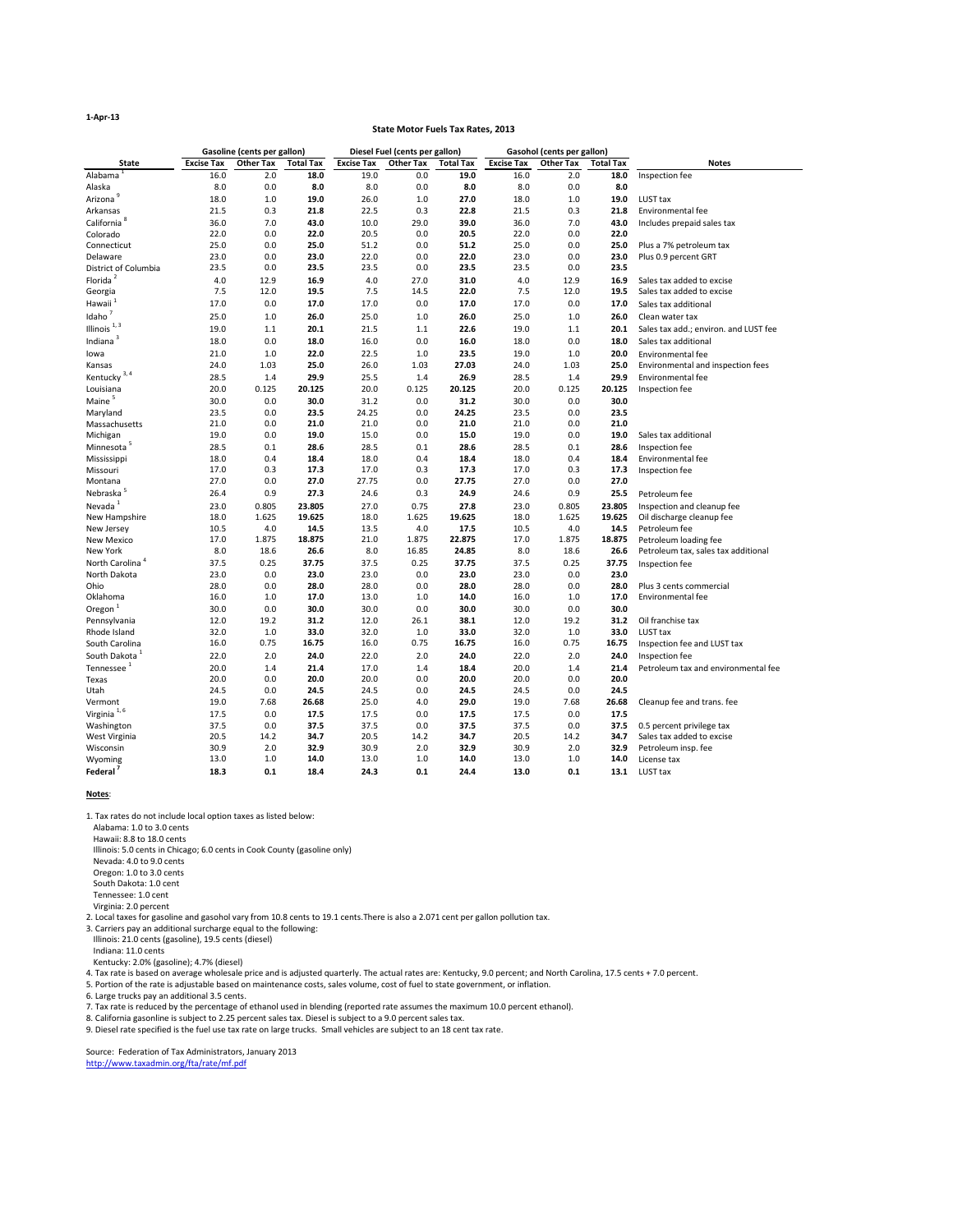#### **1-Apr-13**

|                             |                   | <b>Gasoline (cents per gallon)</b> |                  |                   | Diesel Fuel (cents per gallon) |                  |                   | <b>Gasohol (cents per gallon)</b> |                  |                                       |  |
|-----------------------------|-------------------|------------------------------------|------------------|-------------------|--------------------------------|------------------|-------------------|-----------------------------------|------------------|---------------------------------------|--|
| <b>State</b>                | <b>Excise Tax</b> | <b>Other Tax</b>                   | <b>Total Tax</b> | <b>Excise Tax</b> | <b>Other Tax</b>               | <b>Total Tax</b> | <b>Excise Tax</b> | <b>Other Tax</b>                  | <b>Total Tax</b> | <b>Notes</b>                          |  |
| Alabama                     | 16.0              | 2.0                                | 18.0             | 19.0              | 0.0                            | 19.0             | 16.0              | 2.0                               | 18.0             | Inspection fee                        |  |
| Alaska                      | 8.0               | 0.0                                | 8.0              | 8.0               | 0.0                            | 8.0              | 8.0               | 0.0                               | 8.0              |                                       |  |
| Arizona <sup>9</sup>        | 18.0              | $1.0$                              | 19.0             | 26.0              | 1.0                            | 27.0             | 18.0              | 1.0                               | 19.0             | LUST tax                              |  |
| Arkansas                    | 21.5              | 0.3                                | 21.8             | 22.5              | 0.3                            | 22.8             | 21.5              | 0.3                               | 21.8             | <b>Environmental fee</b>              |  |
| California <sup>8</sup>     | 36.0              | 7.0                                | 43.0             | 10.0              | 29.0                           | 39.0             | 36.0              | 7.0                               | 43.0             | Includes prepaid sales tax            |  |
| Colorado                    | 22.0              | 0.0                                | 22.0             | 20.5              | 0.0                            | 20.5             | 22.0              | 0.0                               | 22.0             |                                       |  |
| Connecticut                 | 25.0              | 0.0                                | 25.0             | 51.2              | 0.0                            | 51.2             | 25.0              | 0.0                               | 25.0             | Plus a 7% petroleum tax               |  |
| Delaware                    | 23.0              | 0.0                                | 23.0             | 22.0              | 0.0                            | 22.0             | 23.0              | 0.0                               | 23.0             | Plus 0.9 percent GRT                  |  |
| District of Columbia        | 23.5              | 0.0                                | 23.5             | 23.5              | 0.0                            | 23.5             | 23.5              | 0.0                               | 23.5             |                                       |  |
| Florida <sup>2</sup>        | 4.0               | 12.9                               | 16.9             | 4.0               | 27.0                           | 31.0             | 4.0               | 12.9                              | 16.9             | Sales tax added to excise             |  |
| Georgia                     | 7.5               | 12.0                               | 19.5             | 7.5               | 14.5                           | 22.0             | 7.5               | 12.0                              | 19.5             | Sales tax added to excise             |  |
| Hawaii <sup>1</sup>         | 17.0              | 0.0                                | 17.0             | 17.0              | 0.0                            | 17.0             | 17.0              | 0.0                               | 17.0             | Sales tax additional                  |  |
| Idaho                       | 25.0              | 1.0                                | 26.0             | 25.0              | 1.0                            | 26.0             | 25.0              | 1.0                               | 26.0             | Clean water tax                       |  |
| Illinois $1, 3$             | 19.0              | 1.1                                | 20.1             | 21.5              | 1.1                            | 22.6             | 19.0              | 1.1                               | 20.1             | Sales tax add.; environ. and LUST fee |  |
| Indiana <sup>3</sup>        | 18.0              | 0.0                                | 18.0             | 16.0              | 0.0                            | 16.0             | 18.0              | 0.0                               | 18.0             | Sales tax additional                  |  |
| lowa                        | 21.0              | $1.0$                              | 22.0             | 22.5              | 1.0                            | 23.5             | 19.0              | 1.0                               | 20.0             | Environmental fee                     |  |
| Kansas                      | 24.0              | 1.03                               | 25.0             | 26.0              | 1.03                           | 27.03            | 24.0              | 1.03                              | 25.0             | Environmental and inspection fees     |  |
| Kentucky <sup>3,4</sup>     | 28.5              | 1.4                                | 29.9             | 25.5              | 1.4                            | 26.9             | 28.5              | 1.4                               | 29.9             | <b>Environmental fee</b>              |  |
| Louisiana                   | 20.0              | 0.125                              | 20.125           | 20.0              | 0.125                          | 20.125           | 20.0              | 0.125                             | 20.125           | Inspection fee                        |  |
| Maine <sup>5</sup>          | 30.0              | 0.0                                | 30.0             | 31.2              | 0.0                            | 31.2             | 30.0              | 0.0                               | 30.0             |                                       |  |
| Maryland                    | 23.5              | 0.0                                | 23.5             | 24.25             | 0.0                            | 24.25            | 23.5              | 0.0                               | 23.5             |                                       |  |
| Massachusetts               | 21.0              | 0.0                                | 21.0             | 21.0              | 0.0                            | 21.0             | 21.0              | 0.0                               | 21.0             |                                       |  |
| Michigan                    | 19.0              | 0.0                                | 19.0             | 15.0              | 0.0                            | 15.0             | 19.0              | 0.0                               | 19.0             | Sales tax additional                  |  |
| Minnesota <sup>5</sup>      | 28.5              | 0.1                                | 28.6             | 28.5              | 0.1                            | 28.6             | 28.5              | 0.1                               | 28.6             | Inspection fee                        |  |
| Mississippi                 | 18.0              | 0.4                                | 18.4             | 18.0              | 0.4                            | 18.4             | 18.0              | 0.4                               | 18.4             | <b>Environmental fee</b>              |  |
| Missouri                    | 17.0              | 0.3                                | 17.3             | 17.0              | 0.3                            | 17.3             | 17.0              | 0.3                               | 17.3             | Inspection fee                        |  |
| Montana                     | 27.0              | 0.0                                | 27.0             | 27.75             | 0.0                            | 27.75            | 27.0              | 0.0                               | 27.0             |                                       |  |
| Nebraska <sup>5</sup>       | 26.4              | 0.9                                | 27.3             | 24.6              | 0.3                            | 24.9             | 24.6              | 0.9                               | 25.5             | Petroleum fee                         |  |
| Nevada <sup>1</sup>         | 23.0              | 0.805                              | 23.805           | 27.0              | 0.75                           | 27.8             | 23.0              | 0.805                             | 23.805           | Inspection and cleanup fee            |  |
| New Hampshire               | 18.0              | 1.625                              | 19.625           | 18.0              | 1.625                          | 19.625           | 18.0              | 1.625                             | 19.625           | Oil discharge cleanup fee             |  |
| New Jersey                  | 10.5              | 4.0                                | 14.5             | 13.5              | 4.0                            | 17.5             | 10.5              | 4.0                               | 14.5             | Petroleum fee                         |  |
| <b>New Mexico</b>           | 17.0              | 1.875                              | 18.875           | 21.0              | 1.875                          | 22.875           | 17.0              | 1.875                             | 18.875           | Petroleum loading fee                 |  |
| New York                    | 8.0               | 18.6                               | 26.6             | 8.0               | 16.85                          | 24.85            | 8.0               | 18.6                              | 26.6             | Petroleum tax, sales tax additional   |  |
| North Carolina <sup>4</sup> | 37.5              | 0.25                               | 37.75            | 37.5              | 0.25                           | 37.75            | 37.5              | 0.25                              | 37.75            | Inspection fee                        |  |
| North Dakota                | 23.0              | 0.0                                | 23.0             | 23.0              | 0.0                            | 23.0             | 23.0              | 0.0                               | 23.0             |                                       |  |
| Ohio                        | 28.0              | 0.0                                | 28.0             | 28.0              | 0.0                            | 28.0             | 28.0              | 0.0                               | 28.0             | Plus 3 cents commercial               |  |
| Oklahoma                    | 16.0              | $1.0$                              | 17.0             | 13.0              | 1.0                            | 14.0             | 16.0              | 1.0                               | 17.0             | Environmental fee                     |  |
| Oregon <sup>1</sup>         | 30.0              | 0.0                                | 30.0             | 30.0              | 0.0                            | 30.0             | 30.0              | 0.0                               | 30.0             |                                       |  |
| Pennsylvania                | 12.0              | 19.2                               | 31.2             | 12.0              | 26.1                           | 38.1             | 12.0              | 19.2                              | 31.2             | Oil franchise tax                     |  |
| Rhode Island                | 32.0              | 1.0                                | 33.0             | 32.0              | 1.0                            | 33.0             | 32.0              | 1.0                               | 33.0             | LUST tax                              |  |
| South Carolina              | 16.0              | 0.75                               | 16.75            | 16.0              | 0.75                           | 16.75            | 16.0              | 0.75                              | 16.75            | Inspection fee and LUST tax           |  |
| South Dakota <sup>1</sup>   | 22.0              | 2.0                                | 24.0             | 22.0              | 2.0                            | 24.0             | 22.0              | 2.0                               | 24.0             | Inspection fee                        |  |
| Tennessee <sup>1</sup>      | 20.0              | 1.4                                | 21.4             | 17.0              | 1.4                            | 18.4             | 20.0              | 1.4                               | 21.4             | Petroleum tax and environmental fee   |  |
| Texas                       | 20.0              | 0.0                                | 20.0             | 20.0              | 0.0                            | 20.0             | 20.0              | 0.0                               | 20.0             |                                       |  |
| Utah                        | 24.5              | 0.0                                | 24.5             | 24.5              | 0.0                            | 24.5             | 24.5              | 0.0                               | 24.5             |                                       |  |
| Vermont                     | 19.0              | 7.68                               | 26.68            | 25.0              | 4.0                            | 29.0             | 19.0              | 7.68                              | 26.68            | Cleanup fee and trans. fee            |  |
| Virginia $^{1,6}$           | 17.5              | 0.0                                | 17.5             | 17.5              | 0.0                            | 17.5             | 17.5              | 0.0                               | 17.5             |                                       |  |
| Washington                  | 37.5              | 0.0                                | 37.5             | 37.5              | 0.0                            | 37.5             | 37.5              | 0.0                               | 37.5             | 0.5 percent privilege tax             |  |
| West Virginia               | 20.5              | 14.2                               | 34.7             | 20.5              | 14.2                           | 34.7             | 20.5              | 14.2                              | 34.7             | Sales tax added to excise             |  |
| Wisconsin                   | 30.9              | 2.0                                | 32.9             | 30.9              | 2.0                            | 32.9             | 30.9              | 2.0                               | 32.9             | Petroleum insp. fee                   |  |

| Wyoming              | 13.0 |     | 14.0 | 13.0 | 1.0 | 14.0 | 13.0 | 1.0                      | 14.0 | License tax |
|----------------------|------|-----|------|------|-----|------|------|--------------------------|------|-------------|
| Federal <sup>7</sup> | 18.3 | 0.1 | 18.4 | 24.3 | 0.1 | 24.4 | 13.0 | <b>0.1 13.1</b> LUST tax |      |             |

#### **Notes**:

Hawaii: 8.8 to 18.0 cents

Virginia: 2.0 percent

#### **State Motor Fuels Tax Rates, 2013**

4. Tax rate is based on average wholesale price and is adjusted quarterly. The actual rates are: Kentucky, 9.0 percent; and North Carolina, 17.5 cents + 7.0 percent.

1. Tax rates do not include local option taxes as listed below:

Alabama: 1.0 to 3.0 cents

Illinois: 5.0 cents in Chicago; 6.0 cents in Cook County (gasoline only)

Nevada: 4.0 to 9.0 cents

Oregon: 1.0 to 3.0 cents

South Dakota: 1.0 cent

Tennessee: 1.0 cent

5. Portion of the rate is adjustable based on maintenance costs, sales volume, cost of fuel to state government, or inflation.

6. Large trucks pay an additional 3.5 cents.

7. Tax rate is reduced by the percentage of ethanol used in blending (reported rate assumes the maximum 10.0 percent ethanol).

[http://www.taxadmin.o](http://www.taxadmin.org/fta/rate/mf.pdf)rg/fta/rate/mf.pdf Source: Federation of Tax Administrators, January 2013

8. California gasonline is subject to 2.25 percent sales tax. Diesel is subject to a 9.0 percent sales tax.

9. Diesel rate specified is the fuel use tax rate on large trucks. Small vehicles are subject to an 18 cent tax rate.

2. Local taxes for gasoline and gasohol vary from 10.8 cents to 19.1 cents.There is also a 2.071 cent per gallon pollution tax.

3. Carriers pay an additional surcharge equal to the following:

Illinois: 21.0 cents (gasoline), 19.5 cents (diesel)

Indiana: 11.0 cents

Kentucky: 2.0% (gasoline); 4.7% (diesel)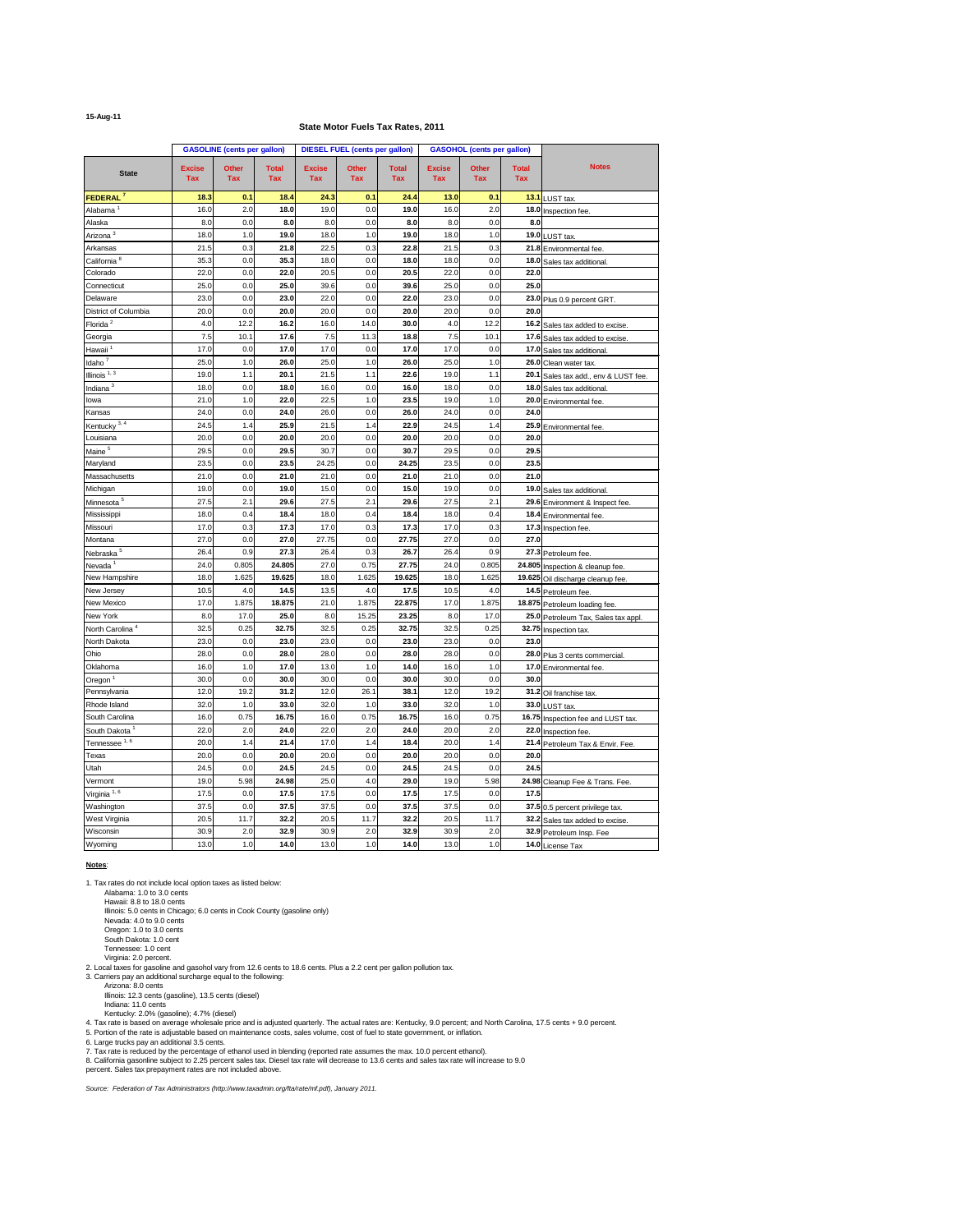## **15-Aug-11**

| <b>Notes</b><br><b>Excise</b><br><b>Other</b><br><b>Total</b><br><b>Excise</b><br><b>Other</b><br><b>Excise</b><br><b>Other</b><br><b>Total</b><br><b>Total</b><br><b>State</b><br><b>Tax</b><br><b>Tax</b><br><b>Tax</b><br><b>Tax</b><br><b>Tax</b><br><b>Tax</b><br><b>Tax</b><br><b>Tax</b><br><b>Tax</b><br>FEDERAL <sup>7</sup><br>18.3<br>18.4<br>24.3<br>$13.0$<br>0.1<br>0.1<br>24.4<br>0.1<br>13.1 LUST tax.<br>16.0<br>2.0<br>19.0<br>0.0<br>16.0<br>2.0<br>18.0<br>19.0<br>Alabama <sup>1</sup><br>18.0 Inspection fee.<br>8.0<br>0.0<br>8.0<br>8.0<br>0.0<br>8.0<br>8.0<br>0.0<br>Alaska<br>8.0<br>Arizona <sup>3</sup><br>18.0<br>19.0<br>18.0<br>19.0<br>18.0<br>1.0<br>1.0<br>1.0<br>19.0 LUST tax.<br>0.3<br>22.5<br>0.3<br>21.5<br>21.5<br>21.8<br>22.8<br>0.3<br>Arkansas<br>21.8 Environmental fee.<br>California <sup>8</sup><br>35.3<br>$0.0\,$<br>35.3<br>18.0<br>0.0<br>18.0<br>18.0<br>0.0<br>18.0 Sales tax additional.<br>20.5<br>20.5<br>22.0<br>22.0<br>0.0<br>22.0<br>0.0<br>0.0<br>22.0<br>Colorado<br>25.0<br>0.0<br>25.0<br>39.6<br>0.0<br>25.0<br>0.0<br>25.0<br>39.6<br>Connecticut<br>0.0<br>23.0<br>22.0<br>0.0<br>22.0<br>23.0<br>0.0<br>Delaware<br>23.0<br>23.0 Plus 0.9 percent GRT.<br>District of Columbia<br>0.0<br>20.0<br>0.0<br>20.0<br>20.0<br>0.0<br>20.0<br>20.0<br>20.0<br>Florida <sup>2</sup><br>12.2<br>14.0<br>12.2<br>16.2<br>16.0<br>30.0<br>4.0<br>4.0<br>16.2 Sales tax added to excise.<br>17.6<br>18.8<br>10.1<br>7.5<br>10.1<br>7.5<br>11.3<br>7.5<br>Georgia<br>17.6 Sales tax added to excise.<br>Hawaii <sup>1</sup><br>17.0<br>17.0<br>0.0<br>17.0<br>0.0<br>17.0<br>17.0<br>0.0<br>17.0 Sales tax additional.<br>Idaho $7$<br>26.0<br>25.0<br>25.0<br>25.0<br>1.0<br>26.0<br>1.0<br>1.0<br>26.0 Clean water tax.<br>Illinois $1, 3$<br>19.0<br>1.1<br>20.1<br>21.5<br>1.1<br>22.6<br>19.0<br>1.1<br>20.1 Sales tax add., env & LUST fee.<br>Indiana $3$<br>0.0<br>16.0<br>0.0<br>16.0<br>0.0<br>18.0<br>18.0<br>18.0<br>18.0 Sales tax additional.<br>21.0<br>22.0<br>22.5<br>23.5<br>1.0<br>1.0<br>19.0<br>1.0<br>lowa<br>20.0 Environmental fee.<br>0.0<br>24.0<br>26.0<br>26.0<br>24.0<br>0.0<br>24.0<br>0.0<br>24.0<br>Kansas<br>Kentucky $3, 4$<br>25.9<br>21.5<br>22.9<br>24.5<br>24.5<br>1.4<br>1.4<br>1.4<br>25.9 Environmental fee.<br>Louisiana<br>0.0<br>0.0<br>20.0<br>20.0<br>20.0<br>20.0<br>20.0<br>0.0<br>20.0<br>Maine <sup>5</sup><br>0.0<br>29.5<br>30.7<br>30.7<br>29.5<br>29.5<br>0.0<br>29.5<br>0.0<br>23.5<br>0.0<br>23.5<br>24.25<br>0.0<br>24.25<br>23.5<br>23.5<br>Maryland<br>0.0<br>21.0<br>0.0<br>21.0<br>21.0<br>0.0<br>21.0<br>0.0<br>21.0<br>21.0<br>Massachusetts<br>19.0<br>0.0<br>19.0<br>15.0<br>15.0<br>19.0<br>0.0<br>Michigan<br>0.0<br>19.0 Sales tax additional.<br>Minnesota <sup>5</sup><br>27.5<br>2.1<br>29.6<br>27.5<br>2.1<br>29.6<br>27.5<br>2.1<br>29.6 Environment & Inspect fee.<br>0.4<br>0.4<br>18.0<br>18.4<br>18.0<br>18.4<br>18.0<br>0.4<br>Mississippi<br>18.4 Environmental fee.<br>17.0<br>0.3<br>17.3<br>17.0<br>0.3<br>17.3<br>17.0<br>0.3<br>Missouri<br>17.3 Inspection fee.<br>27.0<br>0.0<br>27.0<br>27.75<br>0.0<br>27.75<br>27.0<br>0.0<br>27.0<br>Montana<br>Nebraska <sup>5</sup><br>26.4<br>0.9<br>27.3<br>26.4<br>0.3<br>26.7<br>26.4<br>0.9<br>27.3 Petroleum fee.<br>0.805<br>24.805<br>0.75<br>Nevada <sup>1</sup><br>24.0<br>27.0<br>27.75<br>24.0<br>0.805<br>24.805 Inspection & cleanup fee.<br>18.0<br>19.625<br>18.0<br>19.625<br>18.0<br>New Hampshire<br>1.625<br>1.625<br>1.625<br>19.625 Oil discharge cleanup fee.<br>14.5<br>New Jersey<br>10.5<br>4.0<br>13.5<br>4.0<br>17.5<br>10.5<br>4.0<br>14.5 Petroleum fee.<br><b>New Mexico</b><br>17.0<br>1.875<br>18.875<br>21.0<br>1.875<br>22.875<br>17.0<br>1.875<br>18.875 Petroleum loading fee.<br>New York<br>8.0<br>25.0<br>23.25<br>17.0<br>8.0<br>15.25<br>8.0<br>17.0<br>25.0 Petroleum Tax, Sales tax appl.<br>North Carolina <sup>4</sup><br>32.5<br>32.5<br>32.5<br>0.25<br>32.75<br>0.25<br>32.75<br>0.25<br>32.75 Inspection tax.<br>North Dakota<br>23.0<br>23.0<br>23.0<br>23.0<br>23.0<br>0.0<br>0.0<br>0.0<br>23.0<br>28.0<br>Ohio<br>28.0<br>0.0<br>28.0<br>0.0<br>28.0<br>28.0<br>0.0<br>28.0 Plus 3 cents commercial.<br>Oklahoma<br>14.0<br>16.0<br>16.0<br>1.0<br>17.0<br>13.0<br>1.0<br>1.0<br>17.0 Environmental fee.<br>Oregon <sup>1</sup><br>30.0<br>0.0<br>30.0<br>30.0<br>0.0<br>30.0<br>30.0<br>0.0<br>30.0<br>19.2<br>31.2<br>12.0<br>26.1<br>38.1<br>12.0<br>12.0<br>19.2<br>Pennsylvania<br>31.2 Oil franchise tax.<br>Rhode Island<br>32.0<br>32.0<br>32.0<br>33.0<br>33.0<br>1.0<br>1.0<br>1.0<br>33.0 LUST tax.<br>16.0<br>16.0<br>South Carolina<br>16.0<br>0.75<br>16.75<br>0.75<br>16.75<br>0.75<br>16.75 Inspection fee and LUST tax.<br>22.0<br>20.0<br>22.0<br>2.0<br>24.0<br>2.0<br>24.0<br>2.0<br>South Dakota <sup>1</sup><br>22.0 Inspection fee.<br>Tennessee <sup>1, 6</sup><br>21.4<br>20.0<br>17.0<br>18.4<br>20.0<br>1.4<br>1.4<br>1.4<br>21.4 Petroleum Tax & Envir. Fee.<br>0.0<br>20.0<br>20.0<br>0.0<br>20.0<br>20.0<br>0.0<br>20.0<br>20.0<br>Texas<br>Utah<br>0.0<br>24.5<br>0.0<br>0.0<br>24.5<br>24.5<br>24.5<br>24.5<br>24.5<br>5.98<br>24.98<br>25.0<br>29.0<br>5.98<br>Vermont<br>19.0<br>4.0<br>19.0<br>24.98 Cleanup Fee & Trans. Fee.<br>Virginia $1, 6$<br>17.5<br>17.5<br>17.5<br>0.0<br>17.5<br>0.0<br>17.5<br>0.0<br>17.5<br>37.5<br>37.5<br>0.0<br>37.5<br>0.0<br>37.5<br>37.5<br>0.0<br>Washington<br>37.5 0.5 percent privilege tax.<br>20.5<br>$11.7$<br>32.2<br>20.5<br>$11.7$<br>32.2<br>20.5<br>$11.7$<br>West Virginia<br>32.2 Sales tax added to excise.<br>30.9<br>2.0<br>32.9<br>30.9<br>2.0<br>32.9<br>30.9<br>2.0<br>Wisconsin<br>32.9 Petroleum Insp. Fee<br>13.0<br>1.0<br>14.0<br>13.0<br>1.0<br>14.0<br>13.0<br>Wyoming<br>1.0<br>14.0 License Tax |  | <b>GASOLINE</b> (cents per gallon) |  | <b>DIESEL FUEL (cents per gallon)</b> |  | <b>GASOHOL (cents per gallon)</b> |  |
|-------------------------------------------------------------------------------------------------------------------------------------------------------------------------------------------------------------------------------------------------------------------------------------------------------------------------------------------------------------------------------------------------------------------------------------------------------------------------------------------------------------------------------------------------------------------------------------------------------------------------------------------------------------------------------------------------------------------------------------------------------------------------------------------------------------------------------------------------------------------------------------------------------------------------------------------------------------------------------------------------------------------------------------------------------------------------------------------------------------------------------------------------------------------------------------------------------------------------------------------------------------------------------------------------------------------------------------------------------------------------------------------------------------------------------------------------------------------------------------------------------------------------------------------------------------------------------------------------------------------------------------------------------------------------------------------------------------------------------------------------------------------------------------------------------------------------------------------------------------------------------------------------------------------------------------------------------------------------------------------------------------------------------------------------------------------------------------------------------------------------------------------------------------------------------------------------------------------------------------------------------------------------------------------------------------------------------------------------------------------------------------------------------------------------------------------------------------------------------------------------------------------------------------------------------------------------------------------------------------------------------------------------------------------------------------------------------------------------------------------------------------------------------------------------------------------------------------------------------------------------------------------------------------------------------------------------------------------------------------------------------------------------------------------------------------------------------------------------------------------------------------------------------------------------------------------------------------------------------------------------------------------------------------------------------------------------------------------------------------------------------------------------------------------------------------------------------------------------------------------------------------------------------------------------------------------------------------------------------------------------------------------------------------------------------------------------------------------------------------------------------------------------------------------------------------------------------------------------------------------------------------------------------------------------------------------------------------------------------------------------------------------------------------------------------------------------------------------------------------------------------------------------------------------------------------------------------------------------------------------------------------------------------------------------------------------------------------------------------------------------------------------------------------------------------------------------------------------------------------------------------------------------------------------------------------------------------------------------------------------------------------------------------------------------------------------------------------------------------------------------------------------------------------------------------------------------------------------------------------------------------------------------------------------------------------------------------------------------------------------------------------------------------------------------------------------------------------------------------------------------------------------------------------------------------------------------------------------------------------------------------------------------------------------------------------------------------------------------------------------------------------------------------------------------------------------------------------------------------------------------------------------------------------------------------------------------------------------------------------------------------------------------------------------------------------------------------------------------------------------------------------------------------------------------------------------------------------------------|--|------------------------------------|--|---------------------------------------|--|-----------------------------------|--|
|                                                                                                                                                                                                                                                                                                                                                                                                                                                                                                                                                                                                                                                                                                                                                                                                                                                                                                                                                                                                                                                                                                                                                                                                                                                                                                                                                                                                                                                                                                                                                                                                                                                                                                                                                                                                                                                                                                                                                                                                                                                                                                                                                                                                                                                                                                                                                                                                                                                                                                                                                                                                                                                                                                                                                                                                                                                                                                                                                                                                                                                                                                                                                                                                                                                                                                                                                                                                                                                                                                                                                                                                                                                                                                                                                                                                                                                                                                                                                                                                                                                                                                                                                                                                                                                                                                                                                                                                                                                                                                                                                                                                                                                                                                                                                                                                                                                                                                                                                                                                                                                                                                                                                                                                                                                                                                                                                                                                                                                                                                                                                                                                                                                                                                                                                                                                                                                 |  |                                    |  |                                       |  |                                   |  |
|                                                                                                                                                                                                                                                                                                                                                                                                                                                                                                                                                                                                                                                                                                                                                                                                                                                                                                                                                                                                                                                                                                                                                                                                                                                                                                                                                                                                                                                                                                                                                                                                                                                                                                                                                                                                                                                                                                                                                                                                                                                                                                                                                                                                                                                                                                                                                                                                                                                                                                                                                                                                                                                                                                                                                                                                                                                                                                                                                                                                                                                                                                                                                                                                                                                                                                                                                                                                                                                                                                                                                                                                                                                                                                                                                                                                                                                                                                                                                                                                                                                                                                                                                                                                                                                                                                                                                                                                                                                                                                                                                                                                                                                                                                                                                                                                                                                                                                                                                                                                                                                                                                                                                                                                                                                                                                                                                                                                                                                                                                                                                                                                                                                                                                                                                                                                                                                 |  |                                    |  |                                       |  |                                   |  |
|                                                                                                                                                                                                                                                                                                                                                                                                                                                                                                                                                                                                                                                                                                                                                                                                                                                                                                                                                                                                                                                                                                                                                                                                                                                                                                                                                                                                                                                                                                                                                                                                                                                                                                                                                                                                                                                                                                                                                                                                                                                                                                                                                                                                                                                                                                                                                                                                                                                                                                                                                                                                                                                                                                                                                                                                                                                                                                                                                                                                                                                                                                                                                                                                                                                                                                                                                                                                                                                                                                                                                                                                                                                                                                                                                                                                                                                                                                                                                                                                                                                                                                                                                                                                                                                                                                                                                                                                                                                                                                                                                                                                                                                                                                                                                                                                                                                                                                                                                                                                                                                                                                                                                                                                                                                                                                                                                                                                                                                                                                                                                                                                                                                                                                                                                                                                                                                 |  |                                    |  |                                       |  |                                   |  |
|                                                                                                                                                                                                                                                                                                                                                                                                                                                                                                                                                                                                                                                                                                                                                                                                                                                                                                                                                                                                                                                                                                                                                                                                                                                                                                                                                                                                                                                                                                                                                                                                                                                                                                                                                                                                                                                                                                                                                                                                                                                                                                                                                                                                                                                                                                                                                                                                                                                                                                                                                                                                                                                                                                                                                                                                                                                                                                                                                                                                                                                                                                                                                                                                                                                                                                                                                                                                                                                                                                                                                                                                                                                                                                                                                                                                                                                                                                                                                                                                                                                                                                                                                                                                                                                                                                                                                                                                                                                                                                                                                                                                                                                                                                                                                                                                                                                                                                                                                                                                                                                                                                                                                                                                                                                                                                                                                                                                                                                                                                                                                                                                                                                                                                                                                                                                                                                 |  |                                    |  |                                       |  |                                   |  |
|                                                                                                                                                                                                                                                                                                                                                                                                                                                                                                                                                                                                                                                                                                                                                                                                                                                                                                                                                                                                                                                                                                                                                                                                                                                                                                                                                                                                                                                                                                                                                                                                                                                                                                                                                                                                                                                                                                                                                                                                                                                                                                                                                                                                                                                                                                                                                                                                                                                                                                                                                                                                                                                                                                                                                                                                                                                                                                                                                                                                                                                                                                                                                                                                                                                                                                                                                                                                                                                                                                                                                                                                                                                                                                                                                                                                                                                                                                                                                                                                                                                                                                                                                                                                                                                                                                                                                                                                                                                                                                                                                                                                                                                                                                                                                                                                                                                                                                                                                                                                                                                                                                                                                                                                                                                                                                                                                                                                                                                                                                                                                                                                                                                                                                                                                                                                                                                 |  |                                    |  |                                       |  |                                   |  |
|                                                                                                                                                                                                                                                                                                                                                                                                                                                                                                                                                                                                                                                                                                                                                                                                                                                                                                                                                                                                                                                                                                                                                                                                                                                                                                                                                                                                                                                                                                                                                                                                                                                                                                                                                                                                                                                                                                                                                                                                                                                                                                                                                                                                                                                                                                                                                                                                                                                                                                                                                                                                                                                                                                                                                                                                                                                                                                                                                                                                                                                                                                                                                                                                                                                                                                                                                                                                                                                                                                                                                                                                                                                                                                                                                                                                                                                                                                                                                                                                                                                                                                                                                                                                                                                                                                                                                                                                                                                                                                                                                                                                                                                                                                                                                                                                                                                                                                                                                                                                                                                                                                                                                                                                                                                                                                                                                                                                                                                                                                                                                                                                                                                                                                                                                                                                                                                 |  |                                    |  |                                       |  |                                   |  |
|                                                                                                                                                                                                                                                                                                                                                                                                                                                                                                                                                                                                                                                                                                                                                                                                                                                                                                                                                                                                                                                                                                                                                                                                                                                                                                                                                                                                                                                                                                                                                                                                                                                                                                                                                                                                                                                                                                                                                                                                                                                                                                                                                                                                                                                                                                                                                                                                                                                                                                                                                                                                                                                                                                                                                                                                                                                                                                                                                                                                                                                                                                                                                                                                                                                                                                                                                                                                                                                                                                                                                                                                                                                                                                                                                                                                                                                                                                                                                                                                                                                                                                                                                                                                                                                                                                                                                                                                                                                                                                                                                                                                                                                                                                                                                                                                                                                                                                                                                                                                                                                                                                                                                                                                                                                                                                                                                                                                                                                                                                                                                                                                                                                                                                                                                                                                                                                 |  |                                    |  |                                       |  |                                   |  |
|                                                                                                                                                                                                                                                                                                                                                                                                                                                                                                                                                                                                                                                                                                                                                                                                                                                                                                                                                                                                                                                                                                                                                                                                                                                                                                                                                                                                                                                                                                                                                                                                                                                                                                                                                                                                                                                                                                                                                                                                                                                                                                                                                                                                                                                                                                                                                                                                                                                                                                                                                                                                                                                                                                                                                                                                                                                                                                                                                                                                                                                                                                                                                                                                                                                                                                                                                                                                                                                                                                                                                                                                                                                                                                                                                                                                                                                                                                                                                                                                                                                                                                                                                                                                                                                                                                                                                                                                                                                                                                                                                                                                                                                                                                                                                                                                                                                                                                                                                                                                                                                                                                                                                                                                                                                                                                                                                                                                                                                                                                                                                                                                                                                                                                                                                                                                                                                 |  |                                    |  |                                       |  |                                   |  |
|                                                                                                                                                                                                                                                                                                                                                                                                                                                                                                                                                                                                                                                                                                                                                                                                                                                                                                                                                                                                                                                                                                                                                                                                                                                                                                                                                                                                                                                                                                                                                                                                                                                                                                                                                                                                                                                                                                                                                                                                                                                                                                                                                                                                                                                                                                                                                                                                                                                                                                                                                                                                                                                                                                                                                                                                                                                                                                                                                                                                                                                                                                                                                                                                                                                                                                                                                                                                                                                                                                                                                                                                                                                                                                                                                                                                                                                                                                                                                                                                                                                                                                                                                                                                                                                                                                                                                                                                                                                                                                                                                                                                                                                                                                                                                                                                                                                                                                                                                                                                                                                                                                                                                                                                                                                                                                                                                                                                                                                                                                                                                                                                                                                                                                                                                                                                                                                 |  |                                    |  |                                       |  |                                   |  |
|                                                                                                                                                                                                                                                                                                                                                                                                                                                                                                                                                                                                                                                                                                                                                                                                                                                                                                                                                                                                                                                                                                                                                                                                                                                                                                                                                                                                                                                                                                                                                                                                                                                                                                                                                                                                                                                                                                                                                                                                                                                                                                                                                                                                                                                                                                                                                                                                                                                                                                                                                                                                                                                                                                                                                                                                                                                                                                                                                                                                                                                                                                                                                                                                                                                                                                                                                                                                                                                                                                                                                                                                                                                                                                                                                                                                                                                                                                                                                                                                                                                                                                                                                                                                                                                                                                                                                                                                                                                                                                                                                                                                                                                                                                                                                                                                                                                                                                                                                                                                                                                                                                                                                                                                                                                                                                                                                                                                                                                                                                                                                                                                                                                                                                                                                                                                                                                 |  |                                    |  |                                       |  |                                   |  |
|                                                                                                                                                                                                                                                                                                                                                                                                                                                                                                                                                                                                                                                                                                                                                                                                                                                                                                                                                                                                                                                                                                                                                                                                                                                                                                                                                                                                                                                                                                                                                                                                                                                                                                                                                                                                                                                                                                                                                                                                                                                                                                                                                                                                                                                                                                                                                                                                                                                                                                                                                                                                                                                                                                                                                                                                                                                                                                                                                                                                                                                                                                                                                                                                                                                                                                                                                                                                                                                                                                                                                                                                                                                                                                                                                                                                                                                                                                                                                                                                                                                                                                                                                                                                                                                                                                                                                                                                                                                                                                                                                                                                                                                                                                                                                                                                                                                                                                                                                                                                                                                                                                                                                                                                                                                                                                                                                                                                                                                                                                                                                                                                                                                                                                                                                                                                                                                 |  |                                    |  |                                       |  |                                   |  |
|                                                                                                                                                                                                                                                                                                                                                                                                                                                                                                                                                                                                                                                                                                                                                                                                                                                                                                                                                                                                                                                                                                                                                                                                                                                                                                                                                                                                                                                                                                                                                                                                                                                                                                                                                                                                                                                                                                                                                                                                                                                                                                                                                                                                                                                                                                                                                                                                                                                                                                                                                                                                                                                                                                                                                                                                                                                                                                                                                                                                                                                                                                                                                                                                                                                                                                                                                                                                                                                                                                                                                                                                                                                                                                                                                                                                                                                                                                                                                                                                                                                                                                                                                                                                                                                                                                                                                                                                                                                                                                                                                                                                                                                                                                                                                                                                                                                                                                                                                                                                                                                                                                                                                                                                                                                                                                                                                                                                                                                                                                                                                                                                                                                                                                                                                                                                                                                 |  |                                    |  |                                       |  |                                   |  |
|                                                                                                                                                                                                                                                                                                                                                                                                                                                                                                                                                                                                                                                                                                                                                                                                                                                                                                                                                                                                                                                                                                                                                                                                                                                                                                                                                                                                                                                                                                                                                                                                                                                                                                                                                                                                                                                                                                                                                                                                                                                                                                                                                                                                                                                                                                                                                                                                                                                                                                                                                                                                                                                                                                                                                                                                                                                                                                                                                                                                                                                                                                                                                                                                                                                                                                                                                                                                                                                                                                                                                                                                                                                                                                                                                                                                                                                                                                                                                                                                                                                                                                                                                                                                                                                                                                                                                                                                                                                                                                                                                                                                                                                                                                                                                                                                                                                                                                                                                                                                                                                                                                                                                                                                                                                                                                                                                                                                                                                                                                                                                                                                                                                                                                                                                                                                                                                 |  |                                    |  |                                       |  |                                   |  |
|                                                                                                                                                                                                                                                                                                                                                                                                                                                                                                                                                                                                                                                                                                                                                                                                                                                                                                                                                                                                                                                                                                                                                                                                                                                                                                                                                                                                                                                                                                                                                                                                                                                                                                                                                                                                                                                                                                                                                                                                                                                                                                                                                                                                                                                                                                                                                                                                                                                                                                                                                                                                                                                                                                                                                                                                                                                                                                                                                                                                                                                                                                                                                                                                                                                                                                                                                                                                                                                                                                                                                                                                                                                                                                                                                                                                                                                                                                                                                                                                                                                                                                                                                                                                                                                                                                                                                                                                                                                                                                                                                                                                                                                                                                                                                                                                                                                                                                                                                                                                                                                                                                                                                                                                                                                                                                                                                                                                                                                                                                                                                                                                                                                                                                                                                                                                                                                 |  |                                    |  |                                       |  |                                   |  |
|                                                                                                                                                                                                                                                                                                                                                                                                                                                                                                                                                                                                                                                                                                                                                                                                                                                                                                                                                                                                                                                                                                                                                                                                                                                                                                                                                                                                                                                                                                                                                                                                                                                                                                                                                                                                                                                                                                                                                                                                                                                                                                                                                                                                                                                                                                                                                                                                                                                                                                                                                                                                                                                                                                                                                                                                                                                                                                                                                                                                                                                                                                                                                                                                                                                                                                                                                                                                                                                                                                                                                                                                                                                                                                                                                                                                                                                                                                                                                                                                                                                                                                                                                                                                                                                                                                                                                                                                                                                                                                                                                                                                                                                                                                                                                                                                                                                                                                                                                                                                                                                                                                                                                                                                                                                                                                                                                                                                                                                                                                                                                                                                                                                                                                                                                                                                                                                 |  |                                    |  |                                       |  |                                   |  |
|                                                                                                                                                                                                                                                                                                                                                                                                                                                                                                                                                                                                                                                                                                                                                                                                                                                                                                                                                                                                                                                                                                                                                                                                                                                                                                                                                                                                                                                                                                                                                                                                                                                                                                                                                                                                                                                                                                                                                                                                                                                                                                                                                                                                                                                                                                                                                                                                                                                                                                                                                                                                                                                                                                                                                                                                                                                                                                                                                                                                                                                                                                                                                                                                                                                                                                                                                                                                                                                                                                                                                                                                                                                                                                                                                                                                                                                                                                                                                                                                                                                                                                                                                                                                                                                                                                                                                                                                                                                                                                                                                                                                                                                                                                                                                                                                                                                                                                                                                                                                                                                                                                                                                                                                                                                                                                                                                                                                                                                                                                                                                                                                                                                                                                                                                                                                                                                 |  |                                    |  |                                       |  |                                   |  |
|                                                                                                                                                                                                                                                                                                                                                                                                                                                                                                                                                                                                                                                                                                                                                                                                                                                                                                                                                                                                                                                                                                                                                                                                                                                                                                                                                                                                                                                                                                                                                                                                                                                                                                                                                                                                                                                                                                                                                                                                                                                                                                                                                                                                                                                                                                                                                                                                                                                                                                                                                                                                                                                                                                                                                                                                                                                                                                                                                                                                                                                                                                                                                                                                                                                                                                                                                                                                                                                                                                                                                                                                                                                                                                                                                                                                                                                                                                                                                                                                                                                                                                                                                                                                                                                                                                                                                                                                                                                                                                                                                                                                                                                                                                                                                                                                                                                                                                                                                                                                                                                                                                                                                                                                                                                                                                                                                                                                                                                                                                                                                                                                                                                                                                                                                                                                                                                 |  |                                    |  |                                       |  |                                   |  |
|                                                                                                                                                                                                                                                                                                                                                                                                                                                                                                                                                                                                                                                                                                                                                                                                                                                                                                                                                                                                                                                                                                                                                                                                                                                                                                                                                                                                                                                                                                                                                                                                                                                                                                                                                                                                                                                                                                                                                                                                                                                                                                                                                                                                                                                                                                                                                                                                                                                                                                                                                                                                                                                                                                                                                                                                                                                                                                                                                                                                                                                                                                                                                                                                                                                                                                                                                                                                                                                                                                                                                                                                                                                                                                                                                                                                                                                                                                                                                                                                                                                                                                                                                                                                                                                                                                                                                                                                                                                                                                                                                                                                                                                                                                                                                                                                                                                                                                                                                                                                                                                                                                                                                                                                                                                                                                                                                                                                                                                                                                                                                                                                                                                                                                                                                                                                                                                 |  |                                    |  |                                       |  |                                   |  |
|                                                                                                                                                                                                                                                                                                                                                                                                                                                                                                                                                                                                                                                                                                                                                                                                                                                                                                                                                                                                                                                                                                                                                                                                                                                                                                                                                                                                                                                                                                                                                                                                                                                                                                                                                                                                                                                                                                                                                                                                                                                                                                                                                                                                                                                                                                                                                                                                                                                                                                                                                                                                                                                                                                                                                                                                                                                                                                                                                                                                                                                                                                                                                                                                                                                                                                                                                                                                                                                                                                                                                                                                                                                                                                                                                                                                                                                                                                                                                                                                                                                                                                                                                                                                                                                                                                                                                                                                                                                                                                                                                                                                                                                                                                                                                                                                                                                                                                                                                                                                                                                                                                                                                                                                                                                                                                                                                                                                                                                                                                                                                                                                                                                                                                                                                                                                                                                 |  |                                    |  |                                       |  |                                   |  |
|                                                                                                                                                                                                                                                                                                                                                                                                                                                                                                                                                                                                                                                                                                                                                                                                                                                                                                                                                                                                                                                                                                                                                                                                                                                                                                                                                                                                                                                                                                                                                                                                                                                                                                                                                                                                                                                                                                                                                                                                                                                                                                                                                                                                                                                                                                                                                                                                                                                                                                                                                                                                                                                                                                                                                                                                                                                                                                                                                                                                                                                                                                                                                                                                                                                                                                                                                                                                                                                                                                                                                                                                                                                                                                                                                                                                                                                                                                                                                                                                                                                                                                                                                                                                                                                                                                                                                                                                                                                                                                                                                                                                                                                                                                                                                                                                                                                                                                                                                                                                                                                                                                                                                                                                                                                                                                                                                                                                                                                                                                                                                                                                                                                                                                                                                                                                                                                 |  |                                    |  |                                       |  |                                   |  |
|                                                                                                                                                                                                                                                                                                                                                                                                                                                                                                                                                                                                                                                                                                                                                                                                                                                                                                                                                                                                                                                                                                                                                                                                                                                                                                                                                                                                                                                                                                                                                                                                                                                                                                                                                                                                                                                                                                                                                                                                                                                                                                                                                                                                                                                                                                                                                                                                                                                                                                                                                                                                                                                                                                                                                                                                                                                                                                                                                                                                                                                                                                                                                                                                                                                                                                                                                                                                                                                                                                                                                                                                                                                                                                                                                                                                                                                                                                                                                                                                                                                                                                                                                                                                                                                                                                                                                                                                                                                                                                                                                                                                                                                                                                                                                                                                                                                                                                                                                                                                                                                                                                                                                                                                                                                                                                                                                                                                                                                                                                                                                                                                                                                                                                                                                                                                                                                 |  |                                    |  |                                       |  |                                   |  |
|                                                                                                                                                                                                                                                                                                                                                                                                                                                                                                                                                                                                                                                                                                                                                                                                                                                                                                                                                                                                                                                                                                                                                                                                                                                                                                                                                                                                                                                                                                                                                                                                                                                                                                                                                                                                                                                                                                                                                                                                                                                                                                                                                                                                                                                                                                                                                                                                                                                                                                                                                                                                                                                                                                                                                                                                                                                                                                                                                                                                                                                                                                                                                                                                                                                                                                                                                                                                                                                                                                                                                                                                                                                                                                                                                                                                                                                                                                                                                                                                                                                                                                                                                                                                                                                                                                                                                                                                                                                                                                                                                                                                                                                                                                                                                                                                                                                                                                                                                                                                                                                                                                                                                                                                                                                                                                                                                                                                                                                                                                                                                                                                                                                                                                                                                                                                                                                 |  |                                    |  |                                       |  |                                   |  |
|                                                                                                                                                                                                                                                                                                                                                                                                                                                                                                                                                                                                                                                                                                                                                                                                                                                                                                                                                                                                                                                                                                                                                                                                                                                                                                                                                                                                                                                                                                                                                                                                                                                                                                                                                                                                                                                                                                                                                                                                                                                                                                                                                                                                                                                                                                                                                                                                                                                                                                                                                                                                                                                                                                                                                                                                                                                                                                                                                                                                                                                                                                                                                                                                                                                                                                                                                                                                                                                                                                                                                                                                                                                                                                                                                                                                                                                                                                                                                                                                                                                                                                                                                                                                                                                                                                                                                                                                                                                                                                                                                                                                                                                                                                                                                                                                                                                                                                                                                                                                                                                                                                                                                                                                                                                                                                                                                                                                                                                                                                                                                                                                                                                                                                                                                                                                                                                 |  |                                    |  |                                       |  |                                   |  |
|                                                                                                                                                                                                                                                                                                                                                                                                                                                                                                                                                                                                                                                                                                                                                                                                                                                                                                                                                                                                                                                                                                                                                                                                                                                                                                                                                                                                                                                                                                                                                                                                                                                                                                                                                                                                                                                                                                                                                                                                                                                                                                                                                                                                                                                                                                                                                                                                                                                                                                                                                                                                                                                                                                                                                                                                                                                                                                                                                                                                                                                                                                                                                                                                                                                                                                                                                                                                                                                                                                                                                                                                                                                                                                                                                                                                                                                                                                                                                                                                                                                                                                                                                                                                                                                                                                                                                                                                                                                                                                                                                                                                                                                                                                                                                                                                                                                                                                                                                                                                                                                                                                                                                                                                                                                                                                                                                                                                                                                                                                                                                                                                                                                                                                                                                                                                                                                 |  |                                    |  |                                       |  |                                   |  |
|                                                                                                                                                                                                                                                                                                                                                                                                                                                                                                                                                                                                                                                                                                                                                                                                                                                                                                                                                                                                                                                                                                                                                                                                                                                                                                                                                                                                                                                                                                                                                                                                                                                                                                                                                                                                                                                                                                                                                                                                                                                                                                                                                                                                                                                                                                                                                                                                                                                                                                                                                                                                                                                                                                                                                                                                                                                                                                                                                                                                                                                                                                                                                                                                                                                                                                                                                                                                                                                                                                                                                                                                                                                                                                                                                                                                                                                                                                                                                                                                                                                                                                                                                                                                                                                                                                                                                                                                                                                                                                                                                                                                                                                                                                                                                                                                                                                                                                                                                                                                                                                                                                                                                                                                                                                                                                                                                                                                                                                                                                                                                                                                                                                                                                                                                                                                                                                 |  |                                    |  |                                       |  |                                   |  |
|                                                                                                                                                                                                                                                                                                                                                                                                                                                                                                                                                                                                                                                                                                                                                                                                                                                                                                                                                                                                                                                                                                                                                                                                                                                                                                                                                                                                                                                                                                                                                                                                                                                                                                                                                                                                                                                                                                                                                                                                                                                                                                                                                                                                                                                                                                                                                                                                                                                                                                                                                                                                                                                                                                                                                                                                                                                                                                                                                                                                                                                                                                                                                                                                                                                                                                                                                                                                                                                                                                                                                                                                                                                                                                                                                                                                                                                                                                                                                                                                                                                                                                                                                                                                                                                                                                                                                                                                                                                                                                                                                                                                                                                                                                                                                                                                                                                                                                                                                                                                                                                                                                                                                                                                                                                                                                                                                                                                                                                                                                                                                                                                                                                                                                                                                                                                                                                 |  |                                    |  |                                       |  |                                   |  |
|                                                                                                                                                                                                                                                                                                                                                                                                                                                                                                                                                                                                                                                                                                                                                                                                                                                                                                                                                                                                                                                                                                                                                                                                                                                                                                                                                                                                                                                                                                                                                                                                                                                                                                                                                                                                                                                                                                                                                                                                                                                                                                                                                                                                                                                                                                                                                                                                                                                                                                                                                                                                                                                                                                                                                                                                                                                                                                                                                                                                                                                                                                                                                                                                                                                                                                                                                                                                                                                                                                                                                                                                                                                                                                                                                                                                                                                                                                                                                                                                                                                                                                                                                                                                                                                                                                                                                                                                                                                                                                                                                                                                                                                                                                                                                                                                                                                                                                                                                                                                                                                                                                                                                                                                                                                                                                                                                                                                                                                                                                                                                                                                                                                                                                                                                                                                                                                 |  |                                    |  |                                       |  |                                   |  |
|                                                                                                                                                                                                                                                                                                                                                                                                                                                                                                                                                                                                                                                                                                                                                                                                                                                                                                                                                                                                                                                                                                                                                                                                                                                                                                                                                                                                                                                                                                                                                                                                                                                                                                                                                                                                                                                                                                                                                                                                                                                                                                                                                                                                                                                                                                                                                                                                                                                                                                                                                                                                                                                                                                                                                                                                                                                                                                                                                                                                                                                                                                                                                                                                                                                                                                                                                                                                                                                                                                                                                                                                                                                                                                                                                                                                                                                                                                                                                                                                                                                                                                                                                                                                                                                                                                                                                                                                                                                                                                                                                                                                                                                                                                                                                                                                                                                                                                                                                                                                                                                                                                                                                                                                                                                                                                                                                                                                                                                                                                                                                                                                                                                                                                                                                                                                                                                 |  |                                    |  |                                       |  |                                   |  |
|                                                                                                                                                                                                                                                                                                                                                                                                                                                                                                                                                                                                                                                                                                                                                                                                                                                                                                                                                                                                                                                                                                                                                                                                                                                                                                                                                                                                                                                                                                                                                                                                                                                                                                                                                                                                                                                                                                                                                                                                                                                                                                                                                                                                                                                                                                                                                                                                                                                                                                                                                                                                                                                                                                                                                                                                                                                                                                                                                                                                                                                                                                                                                                                                                                                                                                                                                                                                                                                                                                                                                                                                                                                                                                                                                                                                                                                                                                                                                                                                                                                                                                                                                                                                                                                                                                                                                                                                                                                                                                                                                                                                                                                                                                                                                                                                                                                                                                                                                                                                                                                                                                                                                                                                                                                                                                                                                                                                                                                                                                                                                                                                                                                                                                                                                                                                                                                 |  |                                    |  |                                       |  |                                   |  |
|                                                                                                                                                                                                                                                                                                                                                                                                                                                                                                                                                                                                                                                                                                                                                                                                                                                                                                                                                                                                                                                                                                                                                                                                                                                                                                                                                                                                                                                                                                                                                                                                                                                                                                                                                                                                                                                                                                                                                                                                                                                                                                                                                                                                                                                                                                                                                                                                                                                                                                                                                                                                                                                                                                                                                                                                                                                                                                                                                                                                                                                                                                                                                                                                                                                                                                                                                                                                                                                                                                                                                                                                                                                                                                                                                                                                                                                                                                                                                                                                                                                                                                                                                                                                                                                                                                                                                                                                                                                                                                                                                                                                                                                                                                                                                                                                                                                                                                                                                                                                                                                                                                                                                                                                                                                                                                                                                                                                                                                                                                                                                                                                                                                                                                                                                                                                                                                 |  |                                    |  |                                       |  |                                   |  |
|                                                                                                                                                                                                                                                                                                                                                                                                                                                                                                                                                                                                                                                                                                                                                                                                                                                                                                                                                                                                                                                                                                                                                                                                                                                                                                                                                                                                                                                                                                                                                                                                                                                                                                                                                                                                                                                                                                                                                                                                                                                                                                                                                                                                                                                                                                                                                                                                                                                                                                                                                                                                                                                                                                                                                                                                                                                                                                                                                                                                                                                                                                                                                                                                                                                                                                                                                                                                                                                                                                                                                                                                                                                                                                                                                                                                                                                                                                                                                                                                                                                                                                                                                                                                                                                                                                                                                                                                                                                                                                                                                                                                                                                                                                                                                                                                                                                                                                                                                                                                                                                                                                                                                                                                                                                                                                                                                                                                                                                                                                                                                                                                                                                                                                                                                                                                                                                 |  |                                    |  |                                       |  |                                   |  |
|                                                                                                                                                                                                                                                                                                                                                                                                                                                                                                                                                                                                                                                                                                                                                                                                                                                                                                                                                                                                                                                                                                                                                                                                                                                                                                                                                                                                                                                                                                                                                                                                                                                                                                                                                                                                                                                                                                                                                                                                                                                                                                                                                                                                                                                                                                                                                                                                                                                                                                                                                                                                                                                                                                                                                                                                                                                                                                                                                                                                                                                                                                                                                                                                                                                                                                                                                                                                                                                                                                                                                                                                                                                                                                                                                                                                                                                                                                                                                                                                                                                                                                                                                                                                                                                                                                                                                                                                                                                                                                                                                                                                                                                                                                                                                                                                                                                                                                                                                                                                                                                                                                                                                                                                                                                                                                                                                                                                                                                                                                                                                                                                                                                                                                                                                                                                                                                 |  |                                    |  |                                       |  |                                   |  |
|                                                                                                                                                                                                                                                                                                                                                                                                                                                                                                                                                                                                                                                                                                                                                                                                                                                                                                                                                                                                                                                                                                                                                                                                                                                                                                                                                                                                                                                                                                                                                                                                                                                                                                                                                                                                                                                                                                                                                                                                                                                                                                                                                                                                                                                                                                                                                                                                                                                                                                                                                                                                                                                                                                                                                                                                                                                                                                                                                                                                                                                                                                                                                                                                                                                                                                                                                                                                                                                                                                                                                                                                                                                                                                                                                                                                                                                                                                                                                                                                                                                                                                                                                                                                                                                                                                                                                                                                                                                                                                                                                                                                                                                                                                                                                                                                                                                                                                                                                                                                                                                                                                                                                                                                                                                                                                                                                                                                                                                                                                                                                                                                                                                                                                                                                                                                                                                 |  |                                    |  |                                       |  |                                   |  |
|                                                                                                                                                                                                                                                                                                                                                                                                                                                                                                                                                                                                                                                                                                                                                                                                                                                                                                                                                                                                                                                                                                                                                                                                                                                                                                                                                                                                                                                                                                                                                                                                                                                                                                                                                                                                                                                                                                                                                                                                                                                                                                                                                                                                                                                                                                                                                                                                                                                                                                                                                                                                                                                                                                                                                                                                                                                                                                                                                                                                                                                                                                                                                                                                                                                                                                                                                                                                                                                                                                                                                                                                                                                                                                                                                                                                                                                                                                                                                                                                                                                                                                                                                                                                                                                                                                                                                                                                                                                                                                                                                                                                                                                                                                                                                                                                                                                                                                                                                                                                                                                                                                                                                                                                                                                                                                                                                                                                                                                                                                                                                                                                                                                                                                                                                                                                                                                 |  |                                    |  |                                       |  |                                   |  |
|                                                                                                                                                                                                                                                                                                                                                                                                                                                                                                                                                                                                                                                                                                                                                                                                                                                                                                                                                                                                                                                                                                                                                                                                                                                                                                                                                                                                                                                                                                                                                                                                                                                                                                                                                                                                                                                                                                                                                                                                                                                                                                                                                                                                                                                                                                                                                                                                                                                                                                                                                                                                                                                                                                                                                                                                                                                                                                                                                                                                                                                                                                                                                                                                                                                                                                                                                                                                                                                                                                                                                                                                                                                                                                                                                                                                                                                                                                                                                                                                                                                                                                                                                                                                                                                                                                                                                                                                                                                                                                                                                                                                                                                                                                                                                                                                                                                                                                                                                                                                                                                                                                                                                                                                                                                                                                                                                                                                                                                                                                                                                                                                                                                                                                                                                                                                                                                 |  |                                    |  |                                       |  |                                   |  |
|                                                                                                                                                                                                                                                                                                                                                                                                                                                                                                                                                                                                                                                                                                                                                                                                                                                                                                                                                                                                                                                                                                                                                                                                                                                                                                                                                                                                                                                                                                                                                                                                                                                                                                                                                                                                                                                                                                                                                                                                                                                                                                                                                                                                                                                                                                                                                                                                                                                                                                                                                                                                                                                                                                                                                                                                                                                                                                                                                                                                                                                                                                                                                                                                                                                                                                                                                                                                                                                                                                                                                                                                                                                                                                                                                                                                                                                                                                                                                                                                                                                                                                                                                                                                                                                                                                                                                                                                                                                                                                                                                                                                                                                                                                                                                                                                                                                                                                                                                                                                                                                                                                                                                                                                                                                                                                                                                                                                                                                                                                                                                                                                                                                                                                                                                                                                                                                 |  |                                    |  |                                       |  |                                   |  |
|                                                                                                                                                                                                                                                                                                                                                                                                                                                                                                                                                                                                                                                                                                                                                                                                                                                                                                                                                                                                                                                                                                                                                                                                                                                                                                                                                                                                                                                                                                                                                                                                                                                                                                                                                                                                                                                                                                                                                                                                                                                                                                                                                                                                                                                                                                                                                                                                                                                                                                                                                                                                                                                                                                                                                                                                                                                                                                                                                                                                                                                                                                                                                                                                                                                                                                                                                                                                                                                                                                                                                                                                                                                                                                                                                                                                                                                                                                                                                                                                                                                                                                                                                                                                                                                                                                                                                                                                                                                                                                                                                                                                                                                                                                                                                                                                                                                                                                                                                                                                                                                                                                                                                                                                                                                                                                                                                                                                                                                                                                                                                                                                                                                                                                                                                                                                                                                 |  |                                    |  |                                       |  |                                   |  |
|                                                                                                                                                                                                                                                                                                                                                                                                                                                                                                                                                                                                                                                                                                                                                                                                                                                                                                                                                                                                                                                                                                                                                                                                                                                                                                                                                                                                                                                                                                                                                                                                                                                                                                                                                                                                                                                                                                                                                                                                                                                                                                                                                                                                                                                                                                                                                                                                                                                                                                                                                                                                                                                                                                                                                                                                                                                                                                                                                                                                                                                                                                                                                                                                                                                                                                                                                                                                                                                                                                                                                                                                                                                                                                                                                                                                                                                                                                                                                                                                                                                                                                                                                                                                                                                                                                                                                                                                                                                                                                                                                                                                                                                                                                                                                                                                                                                                                                                                                                                                                                                                                                                                                                                                                                                                                                                                                                                                                                                                                                                                                                                                                                                                                                                                                                                                                                                 |  |                                    |  |                                       |  |                                   |  |
|                                                                                                                                                                                                                                                                                                                                                                                                                                                                                                                                                                                                                                                                                                                                                                                                                                                                                                                                                                                                                                                                                                                                                                                                                                                                                                                                                                                                                                                                                                                                                                                                                                                                                                                                                                                                                                                                                                                                                                                                                                                                                                                                                                                                                                                                                                                                                                                                                                                                                                                                                                                                                                                                                                                                                                                                                                                                                                                                                                                                                                                                                                                                                                                                                                                                                                                                                                                                                                                                                                                                                                                                                                                                                                                                                                                                                                                                                                                                                                                                                                                                                                                                                                                                                                                                                                                                                                                                                                                                                                                                                                                                                                                                                                                                                                                                                                                                                                                                                                                                                                                                                                                                                                                                                                                                                                                                                                                                                                                                                                                                                                                                                                                                                                                                                                                                                                                 |  |                                    |  |                                       |  |                                   |  |
|                                                                                                                                                                                                                                                                                                                                                                                                                                                                                                                                                                                                                                                                                                                                                                                                                                                                                                                                                                                                                                                                                                                                                                                                                                                                                                                                                                                                                                                                                                                                                                                                                                                                                                                                                                                                                                                                                                                                                                                                                                                                                                                                                                                                                                                                                                                                                                                                                                                                                                                                                                                                                                                                                                                                                                                                                                                                                                                                                                                                                                                                                                                                                                                                                                                                                                                                                                                                                                                                                                                                                                                                                                                                                                                                                                                                                                                                                                                                                                                                                                                                                                                                                                                                                                                                                                                                                                                                                                                                                                                                                                                                                                                                                                                                                                                                                                                                                                                                                                                                                                                                                                                                                                                                                                                                                                                                                                                                                                                                                                                                                                                                                                                                                                                                                                                                                                                 |  |                                    |  |                                       |  |                                   |  |
|                                                                                                                                                                                                                                                                                                                                                                                                                                                                                                                                                                                                                                                                                                                                                                                                                                                                                                                                                                                                                                                                                                                                                                                                                                                                                                                                                                                                                                                                                                                                                                                                                                                                                                                                                                                                                                                                                                                                                                                                                                                                                                                                                                                                                                                                                                                                                                                                                                                                                                                                                                                                                                                                                                                                                                                                                                                                                                                                                                                                                                                                                                                                                                                                                                                                                                                                                                                                                                                                                                                                                                                                                                                                                                                                                                                                                                                                                                                                                                                                                                                                                                                                                                                                                                                                                                                                                                                                                                                                                                                                                                                                                                                                                                                                                                                                                                                                                                                                                                                                                                                                                                                                                                                                                                                                                                                                                                                                                                                                                                                                                                                                                                                                                                                                                                                                                                                 |  |                                    |  |                                       |  |                                   |  |
|                                                                                                                                                                                                                                                                                                                                                                                                                                                                                                                                                                                                                                                                                                                                                                                                                                                                                                                                                                                                                                                                                                                                                                                                                                                                                                                                                                                                                                                                                                                                                                                                                                                                                                                                                                                                                                                                                                                                                                                                                                                                                                                                                                                                                                                                                                                                                                                                                                                                                                                                                                                                                                                                                                                                                                                                                                                                                                                                                                                                                                                                                                                                                                                                                                                                                                                                                                                                                                                                                                                                                                                                                                                                                                                                                                                                                                                                                                                                                                                                                                                                                                                                                                                                                                                                                                                                                                                                                                                                                                                                                                                                                                                                                                                                                                                                                                                                                                                                                                                                                                                                                                                                                                                                                                                                                                                                                                                                                                                                                                                                                                                                                                                                                                                                                                                                                                                 |  |                                    |  |                                       |  |                                   |  |
|                                                                                                                                                                                                                                                                                                                                                                                                                                                                                                                                                                                                                                                                                                                                                                                                                                                                                                                                                                                                                                                                                                                                                                                                                                                                                                                                                                                                                                                                                                                                                                                                                                                                                                                                                                                                                                                                                                                                                                                                                                                                                                                                                                                                                                                                                                                                                                                                                                                                                                                                                                                                                                                                                                                                                                                                                                                                                                                                                                                                                                                                                                                                                                                                                                                                                                                                                                                                                                                                                                                                                                                                                                                                                                                                                                                                                                                                                                                                                                                                                                                                                                                                                                                                                                                                                                                                                                                                                                                                                                                                                                                                                                                                                                                                                                                                                                                                                                                                                                                                                                                                                                                                                                                                                                                                                                                                                                                                                                                                                                                                                                                                                                                                                                                                                                                                                                                 |  |                                    |  |                                       |  |                                   |  |
|                                                                                                                                                                                                                                                                                                                                                                                                                                                                                                                                                                                                                                                                                                                                                                                                                                                                                                                                                                                                                                                                                                                                                                                                                                                                                                                                                                                                                                                                                                                                                                                                                                                                                                                                                                                                                                                                                                                                                                                                                                                                                                                                                                                                                                                                                                                                                                                                                                                                                                                                                                                                                                                                                                                                                                                                                                                                                                                                                                                                                                                                                                                                                                                                                                                                                                                                                                                                                                                                                                                                                                                                                                                                                                                                                                                                                                                                                                                                                                                                                                                                                                                                                                                                                                                                                                                                                                                                                                                                                                                                                                                                                                                                                                                                                                                                                                                                                                                                                                                                                                                                                                                                                                                                                                                                                                                                                                                                                                                                                                                                                                                                                                                                                                                                                                                                                                                 |  |                                    |  |                                       |  |                                   |  |
|                                                                                                                                                                                                                                                                                                                                                                                                                                                                                                                                                                                                                                                                                                                                                                                                                                                                                                                                                                                                                                                                                                                                                                                                                                                                                                                                                                                                                                                                                                                                                                                                                                                                                                                                                                                                                                                                                                                                                                                                                                                                                                                                                                                                                                                                                                                                                                                                                                                                                                                                                                                                                                                                                                                                                                                                                                                                                                                                                                                                                                                                                                                                                                                                                                                                                                                                                                                                                                                                                                                                                                                                                                                                                                                                                                                                                                                                                                                                                                                                                                                                                                                                                                                                                                                                                                                                                                                                                                                                                                                                                                                                                                                                                                                                                                                                                                                                                                                                                                                                                                                                                                                                                                                                                                                                                                                                                                                                                                                                                                                                                                                                                                                                                                                                                                                                                                                 |  |                                    |  |                                       |  |                                   |  |
|                                                                                                                                                                                                                                                                                                                                                                                                                                                                                                                                                                                                                                                                                                                                                                                                                                                                                                                                                                                                                                                                                                                                                                                                                                                                                                                                                                                                                                                                                                                                                                                                                                                                                                                                                                                                                                                                                                                                                                                                                                                                                                                                                                                                                                                                                                                                                                                                                                                                                                                                                                                                                                                                                                                                                                                                                                                                                                                                                                                                                                                                                                                                                                                                                                                                                                                                                                                                                                                                                                                                                                                                                                                                                                                                                                                                                                                                                                                                                                                                                                                                                                                                                                                                                                                                                                                                                                                                                                                                                                                                                                                                                                                                                                                                                                                                                                                                                                                                                                                                                                                                                                                                                                                                                                                                                                                                                                                                                                                                                                                                                                                                                                                                                                                                                                                                                                                 |  |                                    |  |                                       |  |                                   |  |
|                                                                                                                                                                                                                                                                                                                                                                                                                                                                                                                                                                                                                                                                                                                                                                                                                                                                                                                                                                                                                                                                                                                                                                                                                                                                                                                                                                                                                                                                                                                                                                                                                                                                                                                                                                                                                                                                                                                                                                                                                                                                                                                                                                                                                                                                                                                                                                                                                                                                                                                                                                                                                                                                                                                                                                                                                                                                                                                                                                                                                                                                                                                                                                                                                                                                                                                                                                                                                                                                                                                                                                                                                                                                                                                                                                                                                                                                                                                                                                                                                                                                                                                                                                                                                                                                                                                                                                                                                                                                                                                                                                                                                                                                                                                                                                                                                                                                                                                                                                                                                                                                                                                                                                                                                                                                                                                                                                                                                                                                                                                                                                                                                                                                                                                                                                                                                                                 |  |                                    |  |                                       |  |                                   |  |
|                                                                                                                                                                                                                                                                                                                                                                                                                                                                                                                                                                                                                                                                                                                                                                                                                                                                                                                                                                                                                                                                                                                                                                                                                                                                                                                                                                                                                                                                                                                                                                                                                                                                                                                                                                                                                                                                                                                                                                                                                                                                                                                                                                                                                                                                                                                                                                                                                                                                                                                                                                                                                                                                                                                                                                                                                                                                                                                                                                                                                                                                                                                                                                                                                                                                                                                                                                                                                                                                                                                                                                                                                                                                                                                                                                                                                                                                                                                                                                                                                                                                                                                                                                                                                                                                                                                                                                                                                                                                                                                                                                                                                                                                                                                                                                                                                                                                                                                                                                                                                                                                                                                                                                                                                                                                                                                                                                                                                                                                                                                                                                                                                                                                                                                                                                                                                                                 |  |                                    |  |                                       |  |                                   |  |
|                                                                                                                                                                                                                                                                                                                                                                                                                                                                                                                                                                                                                                                                                                                                                                                                                                                                                                                                                                                                                                                                                                                                                                                                                                                                                                                                                                                                                                                                                                                                                                                                                                                                                                                                                                                                                                                                                                                                                                                                                                                                                                                                                                                                                                                                                                                                                                                                                                                                                                                                                                                                                                                                                                                                                                                                                                                                                                                                                                                                                                                                                                                                                                                                                                                                                                                                                                                                                                                                                                                                                                                                                                                                                                                                                                                                                                                                                                                                                                                                                                                                                                                                                                                                                                                                                                                                                                                                                                                                                                                                                                                                                                                                                                                                                                                                                                                                                                                                                                                                                                                                                                                                                                                                                                                                                                                                                                                                                                                                                                                                                                                                                                                                                                                                                                                                                                                 |  |                                    |  |                                       |  |                                   |  |
|                                                                                                                                                                                                                                                                                                                                                                                                                                                                                                                                                                                                                                                                                                                                                                                                                                                                                                                                                                                                                                                                                                                                                                                                                                                                                                                                                                                                                                                                                                                                                                                                                                                                                                                                                                                                                                                                                                                                                                                                                                                                                                                                                                                                                                                                                                                                                                                                                                                                                                                                                                                                                                                                                                                                                                                                                                                                                                                                                                                                                                                                                                                                                                                                                                                                                                                                                                                                                                                                                                                                                                                                                                                                                                                                                                                                                                                                                                                                                                                                                                                                                                                                                                                                                                                                                                                                                                                                                                                                                                                                                                                                                                                                                                                                                                                                                                                                                                                                                                                                                                                                                                                                                                                                                                                                                                                                                                                                                                                                                                                                                                                                                                                                                                                                                                                                                                                 |  |                                    |  |                                       |  |                                   |  |
|                                                                                                                                                                                                                                                                                                                                                                                                                                                                                                                                                                                                                                                                                                                                                                                                                                                                                                                                                                                                                                                                                                                                                                                                                                                                                                                                                                                                                                                                                                                                                                                                                                                                                                                                                                                                                                                                                                                                                                                                                                                                                                                                                                                                                                                                                                                                                                                                                                                                                                                                                                                                                                                                                                                                                                                                                                                                                                                                                                                                                                                                                                                                                                                                                                                                                                                                                                                                                                                                                                                                                                                                                                                                                                                                                                                                                                                                                                                                                                                                                                                                                                                                                                                                                                                                                                                                                                                                                                                                                                                                                                                                                                                                                                                                                                                                                                                                                                                                                                                                                                                                                                                                                                                                                                                                                                                                                                                                                                                                                                                                                                                                                                                                                                                                                                                                                                                 |  |                                    |  |                                       |  |                                   |  |
|                                                                                                                                                                                                                                                                                                                                                                                                                                                                                                                                                                                                                                                                                                                                                                                                                                                                                                                                                                                                                                                                                                                                                                                                                                                                                                                                                                                                                                                                                                                                                                                                                                                                                                                                                                                                                                                                                                                                                                                                                                                                                                                                                                                                                                                                                                                                                                                                                                                                                                                                                                                                                                                                                                                                                                                                                                                                                                                                                                                                                                                                                                                                                                                                                                                                                                                                                                                                                                                                                                                                                                                                                                                                                                                                                                                                                                                                                                                                                                                                                                                                                                                                                                                                                                                                                                                                                                                                                                                                                                                                                                                                                                                                                                                                                                                                                                                                                                                                                                                                                                                                                                                                                                                                                                                                                                                                                                                                                                                                                                                                                                                                                                                                                                                                                                                                                                                 |  |                                    |  |                                       |  |                                   |  |
|                                                                                                                                                                                                                                                                                                                                                                                                                                                                                                                                                                                                                                                                                                                                                                                                                                                                                                                                                                                                                                                                                                                                                                                                                                                                                                                                                                                                                                                                                                                                                                                                                                                                                                                                                                                                                                                                                                                                                                                                                                                                                                                                                                                                                                                                                                                                                                                                                                                                                                                                                                                                                                                                                                                                                                                                                                                                                                                                                                                                                                                                                                                                                                                                                                                                                                                                                                                                                                                                                                                                                                                                                                                                                                                                                                                                                                                                                                                                                                                                                                                                                                                                                                                                                                                                                                                                                                                                                                                                                                                                                                                                                                                                                                                                                                                                                                                                                                                                                                                                                                                                                                                                                                                                                                                                                                                                                                                                                                                                                                                                                                                                                                                                                                                                                                                                                                                 |  |                                    |  |                                       |  |                                   |  |

## **Notes**:

1. Tax rates do not include local option taxes as listed below:

Alabama: 1.0 to 3.0 cents

Hawaii: 8.8 to 18.0 cents

Illinois: 5.0 cents in Chicago; 6.0 cents in Cook County (gasoline only)

Nevada: 4.0 to 9.0 cents

Oregon: 1.0 to 3.0 cents

South Dakota: 1.0 cent

Tennessee: 1.0 cent

Virginia: 2.0 percent.

2. Local taxes for gasoline and gasohol vary from 12.6 cents to 18.6 cents. Plus a 2.2 cent per gallon pollution tax.

3. Carriers pay an additional surcharge equal to the following:

Arizona: 8.0 cents

Illinois: 12.3 cents (gasoline), 13.5 cents (diesel)

Indiana: 11.0 cents

Kentucky: 2.0% (gasoline); 4.7% (diesel)

5. Portion of the rate is adjustable based on maintenance costs, sales volume, cost of fuel to state government, or inflation.

6. Large trucks pay an additional 3.5 cents.

7. Tax rate is reduced by the percentage of ethanol used in blending (reported rate assumes the max. 10.0 percent ethanol).

*Source: Federation of Tax Administrators (http://www.taxadmin.org/fta/rate/mf.pdf), January 2011.* 

8. California gasonline subject to 2.25 percent sales tax. Diesel tax rate will decrease to 13.6 cents and sales tax rate will increase to 9.0

percent. Sales tax prepayment rates are not included above.

4. Tax rate is based on average wholesale price and is adjusted quarterly. The actual rates are: Kentucky, 9.0 percent; and North Carolina, 17.5 cents + 9.0 percent.

## **State Motor Fuels Tax Rates, 2011**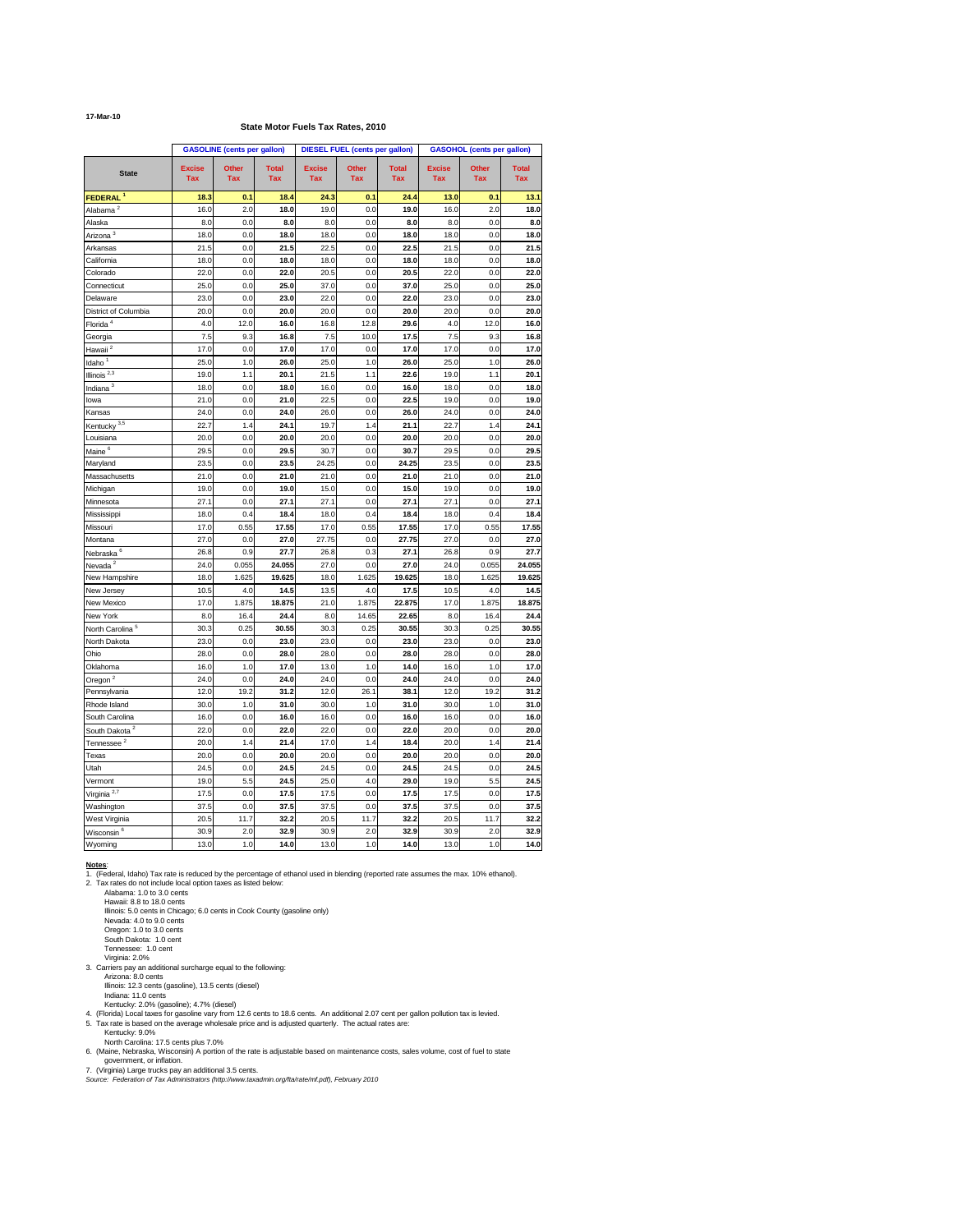#### **17-Mar-10**

## **State Motor Fuels Tax Rates, 2010**

|                                 |                             | <b>GASOLINE</b> (cents per gallon) |                            |                             | <b>DIESEL FUEL (cents per gallon)</b> |                            |                             | <b>GASOHOL (cents per gallon)</b> |                            |
|---------------------------------|-----------------------------|------------------------------------|----------------------------|-----------------------------|---------------------------------------|----------------------------|-----------------------------|-----------------------------------|----------------------------|
| <b>State</b>                    | <b>Excise</b><br><b>Tax</b> | <b>Other</b><br><b>Tax</b>         | <b>Total</b><br><b>Tax</b> | <b>Excise</b><br><b>Tax</b> | <b>Other</b><br><b>Tax</b>            | <b>Total</b><br><b>Tax</b> | <b>Excise</b><br><b>Tax</b> | <b>Other</b><br><b>Tax</b>        | <b>Total</b><br><b>Tax</b> |
| <b>FEDERAL</b> <sup>1</sup>     | 18.3                        | 0.1                                | 18.4                       | 24.3                        | 0.1                                   | 24.4                       | $13.0$                      | 0.1                               | 13.1                       |
| Alabama <sup>2</sup>            | 16.0                        | 2.0                                | 18.0                       | 19.0                        | 0.0                                   | 19.0                       | 16.0                        | 2.0                               | 18.0                       |
| Alaska                          | 8.0                         | 0.0                                | 8.0                        | 8.0                         | 0.0                                   | 8.0                        | 8.0                         | 0.0                               | 8.0                        |
| Arizona $\overline{\frac{3}{}}$ | 18.0                        | 0.0                                | 18.0                       | 18.0                        | 0.0                                   | 18.0                       | 18.0                        | 0.0                               | 18.0                       |
| Arkansas                        | 21.5                        | 0.0                                | 21.5                       | 22.5                        | 0.0                                   | 22.5                       | 21.5                        | 0.0                               | 21.5                       |
| California                      | 18.0                        | 0.0                                | 18.0                       | 18.0                        | 0.0                                   | 18.0                       | 18.0                        | 0.0                               | 18.0                       |
| Colorado                        | 22.0                        | 0.0                                | 22.0                       | 20.5                        | 0.0                                   | 20.5                       | 22.0                        | 0.0                               | 22.0                       |
| Connecticut                     | 25.0                        | 0.0                                | 25.0                       | 37.0                        | 0.0                                   | 37.0                       | 25.0                        | 0.0                               | 25.0                       |
| Delaware                        | 23.0                        | 0.0                                | 23.0                       | 22.0                        | 0.0                                   | 22.0                       | 23.0                        | 0.0                               | 23.0                       |
| District of Columbia            | 20.0                        | 0.0                                | 20.0                       | 20.0                        | 0.0                                   | 20.0                       | 20.0                        | 0.0                               | 20.0                       |
| Florida <sup>4</sup>            | 4.0                         | 12.0                               | 16.0                       | 16.8                        | 12.8                                  | 29.6                       | 4.0                         | 12.0                              | 16.0                       |
| Georgia                         | 7.5                         | 9.3                                | 16.8                       | 7.5                         | 10.0                                  | 17.5                       | 7.5                         | 9.3                               | 16.8                       |
| Hawaii <sup>2</sup>             | 17.0                        | 0.0                                | 17.0                       | 17.0                        | 0.0                                   | 17.0                       | 17.0                        | 0.0                               | 17.0                       |
| Idaho <sup>1</sup>              | 25.0                        | 1.0                                | 26.0                       | 25.0                        | 1.0                                   | 26.0                       | 25.0                        | 1.0                               | 26.0                       |
| Illinois $^{2,3}$               | 19.0                        | 1.1                                | 20.1                       | 21.5                        | 1.1                                   | 22.6                       | 19.0                        | 1.1                               | 20.1                       |
| Indiana $3$                     | 18.0                        | 0.0                                | 18.0                       | 16.0                        | 0.0                                   | 16.0                       | 18.0                        | 0.0                               | 18.0                       |
| lowa                            | 21.0                        | 0.0                                | 21.0                       | 22.5                        | 0.0                                   | 22.5                       | 19.0                        | 0.0                               | 19.0                       |
| Kansas                          | 24.0                        | 0.0                                | 24.0                       | 26.0                        | 0.0                                   | 26.0                       | 24.0                        | 0.0                               | 24.0                       |
| Kentucky <sup>3,5</sup>         | 22.7                        | 1.4                                | 24.1                       | 19.7                        | 1.4                                   | 21.1                       | 22.7                        | 1.4                               | 24.1                       |
| Louisiana                       | 20.0                        | 0.0                                | 20.0                       | 20.0                        | 0.0                                   | 20.0                       | 20.0                        | 0.0                               | 20.0                       |
| Maine <sup>6</sup>              | 29.5                        | 0.0                                | 29.5                       | 30.7                        | 0.0                                   | 30.7                       | 29.5                        | 0.0                               | 29.5                       |
|                                 | 23.5                        | 0.0                                | 23.5                       | 24.25                       | 0.0                                   | 24.25                      | 23.5                        | 0.0                               | 23.5                       |
| Maryland                        |                             |                                    |                            |                             |                                       |                            |                             |                                   |                            |
| Massachusetts                   | 21.0                        | 0.0                                | 21.0                       | 21.0                        | 0.0                                   | 21.0                       | 21.0                        | 0.0                               | 21.0                       |
| Michigan                        | 19.0                        | 0.0                                | 19.0                       | 15.0                        | 0.0                                   | 15.0                       | 19.0                        | 0.0                               | 19.0                       |
| Minnesota                       | 27.1                        | 0.0                                | 27.1                       | 27.1                        | 0.0                                   | 27.1                       | 27.1                        | 0.0                               | 27.1                       |
| Mississippi                     | 18.0                        | 0.4                                | 18.4                       | 18.0                        | 0.4                                   | 18.4                       | 18.0                        | 0.4                               | 18.4                       |
| Missouri                        | 17.0                        | 0.55                               | 17.55                      | 17.0                        | 0.55                                  | 17.55                      | 17.0                        | 0.55                              | 17.55                      |
| Montana                         | 27.0                        | 0.0                                | 27.0                       | 27.75                       | 0.0                                   | 27.75                      | 27.0                        | 0.0                               | 27.0                       |
| Nebraska <sup>6</sup>           | 26.8                        | 0.9                                | 27.7                       | 26.8                        | 0.3                                   | 27.1                       | 26.8                        | 0.9                               | 27.7                       |
| Nevada <sup>2</sup>             | 24.0                        | 0.055                              | 24.055                     | 27.0                        | 0.0                                   | 27.0                       | 24.0                        | 0.055                             | 24.055                     |
| New Hampshire                   | 18.0                        | 1.625                              | 19.625                     | 18.0                        | 1.625                                 | 19.625                     | 18.0                        | 1.625                             | 19.625                     |
| New Jersey                      | 10.5                        | 4.0                                | 14.5                       | 13.5                        | 4.0                                   | 17.5                       | 10.5                        | 4.0                               | 14.5                       |
| New Mexico                      | 17.0                        | 1.875                              | 18.875                     | 21.0                        | 1.875                                 | 22.875                     | 17.0                        | 1.875                             | 18.875                     |
| New York                        | 8.0                         | 16.4                               | 24.4                       | 8.0                         | 14.65                                 | 22.65                      | 8.0                         | 16.4                              | 24.4                       |
| North Carolina <sup>5</sup>     | 30.3                        | 0.25                               | 30.55                      | 30.3                        | 0.25                                  | 30.55                      | 30.3                        | 0.25                              | 30.55                      |
| North Dakota                    | 23.0                        | 0.0                                | 23.0                       | 23.0                        | 0.0                                   | 23.0                       | 23.0                        | 0.0                               | 23.0                       |
| Ohio                            | 28.0                        | 0.0                                | 28.0                       | 28.0                        | 0.0                                   | 28.0                       | 28.0                        | 0.0                               | 28.0                       |
| Oklahoma                        | 16.0                        | 1.0                                | 17.0                       | 13.0                        | 1.0                                   | 14.0                       | 16.0                        | 1.0                               | 17.0                       |
| Oregon <sup>2</sup>             | 24.0                        | 0.0                                | 24.0                       | 24.0                        | 0.0                                   | 24.0                       | 24.0                        | 0.0                               | 24.0                       |
| Pennsylvania                    | 12.0                        | 19.2                               | 31.2                       | 12.0                        | 26.1                                  | 38.1                       | 12.0                        | 19.2                              | 31.2                       |
| Rhode Island                    | 30.0                        | 1.0                                | 31.0                       | 30.0                        | 1.0                                   | 31.0                       | 30.0                        | 1.0                               | 31.0                       |
| South Carolina                  | 16.0                        | 0.0                                | 16.0                       | 16.0                        | 0.0                                   | 16.0                       | 16.0                        | 0.0                               | 16.0                       |
| South Dakota <sup>2</sup>       | 22.0                        | 0.0                                | 22.0                       | 22.0                        | 0.0                                   | 22.0                       | 20.0                        | 0.0                               | 20.0                       |
| Tennessee <sup>2</sup>          | 20.0                        | 1.4                                | 21.4                       | 17.0                        | 1.4                                   | 18.4                       | 20.0                        | 1.4                               | 21.4                       |
| Texas                           | 20.0                        | 0.0                                | 20.0                       | 20.0                        | 0.0                                   | 20.0                       | 20.0                        | 0.0                               | 20.0                       |
| Utah                            | 24.5                        | 0.0                                | 24.5                       | 24.5                        | 0.0                                   | 24.5                       | 24.5                        | 0.0                               | 24.5                       |
| Vermont                         | 19.0                        | 5.5                                | 24.5                       | 25.0                        | 4.0                                   | 29.0                       | 19.0                        | 5.5                               | 24.5                       |
| Virginia $2,7$                  | 17.5                        | 0.0                                | 17.5                       | 17.5                        | 0.0                                   | 17.5                       | 17.5                        | 0.0                               | 17.5                       |
| Washington                      | 37.5                        | 0.0                                | 37.5                       | 37.5                        | 0.0                                   | 37.5                       | 37.5                        | 0.0                               | 37.5                       |
| West Virginia                   | 20.5                        | $11.7$                             | 32.2                       | 20.5                        | 11.7                                  | 32.2                       | 20.5                        | 11.7                              | 32.2                       |
| Wisconsin <sup>6</sup>          | 30.9                        | 2.0                                | 32.9                       | 30.9                        | 2.0                                   | 32.9                       | 30.9                        | 2.0                               | 32.9                       |
| Wyoming                         | 13.0                        | 1.0                                | 14.0                       | 13.0                        | 1.0                                   | 14.0                       | 13.0                        | 1.0                               | 14.0                       |

## **Notes**:

1. (Federal, Idaho) Tax rate is reduced by the percentage of ethanol used in blending (reported rate assumes the max. 10% ethanol).

2. Tax rates do not include local option taxes as listed below: Alabama: 1.0 to 3.0 cents Hawaii: 8.8 to 18.0 cents Illinois: 5.0 cents in Chicago; 6.0 cents in Cook County (gasoline only) Nevada: 4.0 to 9.0 cents Oregon: 1.0 to 3.0 cents South Dakota: 1.0 cent Tennessee: 1.0 cent Virginia: 2.0% 3. Carriers pay an additional surcharge equal to the following: Arizona: 8.0 cents Illinois: 12.3 cents (gasoline), 13.5 cents (diesel) Indiana: 11.0 cents Kentucky: 2.0% (gasoline); 4.7% (diesel) 4. (Florida) Local taxes for gasoline vary from 12.6 cents to 18.6 cents. An additional 2.07 cent per gallon pollution tax is levied.

- 5. Tax rate is based on the average wholesale price and is adjusted quarterly. The actual rates are:
	- Kentucky: 9.0%

North Carolina: 17.5 cents plus 7.0%

6. (Maine, Nebraska, Wisconsin) A portion of the rate is adjustable based on maintenance costs, sales volume, cost of fuel to state government, or inflation.

7. (Virginia) Large trucks pay an additional 3.5 cents.

*Source: Federation of Tax Administrators (http://www.taxadmin.org/fta/rate/mf.pdf), February 2010*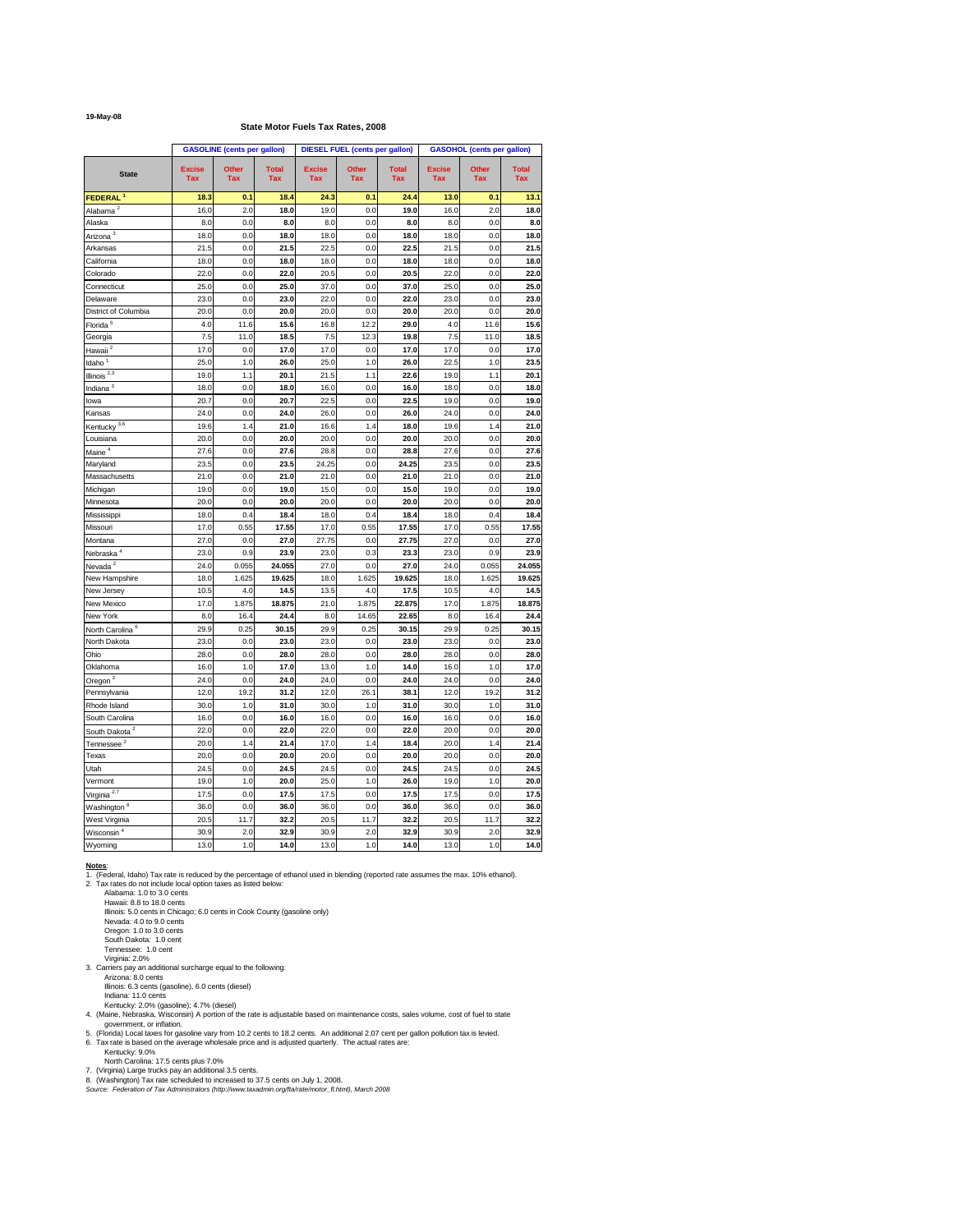#### **19-May-08**

## **State Motor Fuels Tax Rates, 2008**

|                                         |                             | <b>GASOLINE</b> (cents per gallon) |                            |                             | <b>DIESEL FUEL (cents per gallon)</b> |                            |                             | <b>GASOHOL (cents per gallon)</b> |                            |
|-----------------------------------------|-----------------------------|------------------------------------|----------------------------|-----------------------------|---------------------------------------|----------------------------|-----------------------------|-----------------------------------|----------------------------|
| <b>State</b>                            | <b>Excise</b><br><b>Tax</b> | <b>Other</b><br><b>Tax</b>         | <b>Total</b><br><b>Tax</b> | <b>Excise</b><br><b>Tax</b> | <b>Other</b><br><b>Tax</b>            | <b>Total</b><br><b>Tax</b> | <b>Excise</b><br><b>Tax</b> | <b>Other</b><br><b>Tax</b>        | <b>Total</b><br><b>Tax</b> |
| FEDERAL <sup>1</sup>                    | 18.3                        | 0.1                                | 18.4                       | 24.3                        | 0.1                                   | 24.4                       | 13.0                        | 0.1                               | 13.1                       |
| Alabama <sup>2</sup>                    | 16.0                        | 2.0                                | 18.0                       | 19.0                        | 0.0                                   | 19.0                       | 16.0                        | 2.0                               | 18.0                       |
| Alaska                                  | 8.0                         | 0.0                                | 8.0                        | 8.0                         | 0.0                                   | 8.0                        | 8.0                         | 0.0                               | 8.0                        |
| Arizona <sup>3</sup>                    | 18.0                        | 0.0                                | 18.0                       | 18.0                        | 0.0                                   | 18.0                       | 18.0                        | 0.0                               | 18.0                       |
| Arkansas                                | 21.5                        | 0.0                                | 21.5                       | 22.5                        | 0.0                                   | 22.5                       | 21.5                        | 0.0                               | 21.5                       |
| California                              | 18.0                        | 0.0                                | 18.0                       | 18.0                        | 0.0                                   | 18.0                       | 18.0                        | 0.0                               | 18.0                       |
| Colorado                                | 22.0                        | 0.0                                | 22.0                       | 20.5                        | 0.0                                   | 20.5                       | 22.0                        | 0.0                               | 22.0                       |
| Connecticut                             | 25.0                        | 0.0                                | 25.0                       | 37.0                        | 0.0                                   | 37.0                       | 25.0                        | 0.0                               | 25.0                       |
| Delaware                                | 23.0                        | 0.0                                | 23.0                       | 22.0                        | 0.0                                   | 22.0                       | 23.0                        | 0.0                               | 23.0                       |
| District of Columbia                    | 20.0                        | 0.0                                | 20.0                       | 20.0                        | 0.0                                   | 20.0                       | 20.0                        | 0.0                               | 20.0                       |
| Florida <sup>5</sup>                    | 4.0                         | 11.6                               | 15.6                       | 16.8                        | 12.2                                  | 29.0                       | 4.0                         | 11.6                              | 15.6                       |
| Georgia                                 | 7.5                         | 11.0                               | 18.5                       | 7.5                         | 12.3                                  | 19.8                       | 7.5                         | 11.0                              | 18.5                       |
| $H$ awaii <sup>2</sup>                  | 17.0                        | 0.0                                | 17.0                       | 17.0                        | 0.0                                   | 17.0                       | 17.0                        | 0.0                               | 17.0                       |
| Idaho $1$                               | 25.0                        | 1.0                                | 26.0                       | 25.0                        | 1.0                                   | 26.0                       | 22.5                        | 1.0                               | 23.5                       |
| Illinois $^{2,3}$                       | 19.0                        | 1.1                                | 20.1                       | 21.5                        | 1.1                                   | 22.6                       | 19.0                        | 1.1                               | 20.1                       |
| Indiana $3$                             | 18.0                        | 0.0                                | 18.0                       | 16.0                        | 0.0                                   | 16.0                       | 18.0                        | 0.0                               | 18.0                       |
| lowa                                    | 20.7                        | 0.0                                | 20.7                       | 22.5                        | 0.0                                   | 22.5                       | 19.0                        | 0.0                               | 19.0                       |
| Kansas                                  | 24.0                        | 0.0                                | 24.0                       | 26.0                        | 0.0                                   | 26.0                       | 24.0                        | 0.0                               | 24.0                       |
| Kentucky $3,6$                          | 19.6                        | 1.4                                | 21.0                       | 16.6                        | 1.4                                   | 18.0                       | 19.6                        | 1.4                               | 21.0                       |
| Louisiana                               | 20.0                        | 0.0                                | 20.0                       | 20.0                        | 0.0                                   | 20.0                       | 20.0                        | 0.0                               | 20.0                       |
| Maine <sup>4</sup>                      | 27.6                        | 0.0                                | 27.6                       | 28.8                        | 0.0                                   | 28.8                       | 27.6                        | 0.0                               | 27.6                       |
| Maryland                                | 23.5                        | 0.0                                | 23.5                       | 24.25                       | 0.0                                   | 24.25                      | 23.5                        | 0.0                               | 23.5                       |
| Massachusetts                           | 21.0                        | 0.0                                | 21.0                       | 21.0                        | 0.0                                   | 21.0                       | 21.0                        | 0.0                               | 21.0                       |
| Michigan                                | 19.0                        | 0.0                                | 19.0                       | 15.0                        | 0.0                                   | 15.0                       | 19.0                        | 0.0                               | 19.0                       |
| Minnesota                               | 20.0                        | 0.0                                | 20.0                       | 20.0                        | 0.0                                   | 20.0                       | 20.0                        | 0.0                               | 20.0                       |
| Mississippi                             | 18.0                        | 0.4                                | 18.4                       | 18.0                        | 0.4                                   | 18.4                       | 18.0                        | 0.4                               | 18.4                       |
| Missouri                                | 17.0                        | 0.55                               | 17.55                      | 17.0                        | 0.55                                  | 17.55                      | 17.0                        | 0.55                              | 17.55                      |
| Montana                                 | 27.0                        | 0.0                                | 27.0                       | 27.75                       | 0.0                                   | 27.75                      | 27.0                        | 0.0                               | 27.0                       |
| Nebraska <sup>4</sup>                   | 23.0                        | 0.9                                | 23.9                       | 23.0                        | 0.3                                   | 23.3                       | 23.0                        | 0.9                               | 23.9                       |
| Nevada <sup>2</sup>                     | 24.0                        | 0.055                              | 24.055                     | 27.0                        | 0.0                                   | 27.0                       | 24.0                        | 0.055                             | 24.055                     |
| New Hampshire                           | 18.0                        | 1.625                              | 19.625                     | 18.0                        | 1.625                                 | 19.625                     | 18.0                        | 1.625                             | 19.625                     |
| New Jersey                              | 10.5                        | 4.0                                | 14.5                       | 13.5                        | 4.0                                   | 17.5                       | 10.5                        | 4.0                               | 14.5                       |
| New Mexico                              | 17.0                        | 1.875                              | 18.875                     | 21.0                        | 1.875                                 | 22.875                     | 17.0                        | 1.875                             | 18.875                     |
| New York                                | 8.0                         | 16.4                               | 24.4                       | 8.0                         | 14.65                                 | 22.65                      | 8.0                         | 16.4                              | 24.4                       |
| North Carolina <sup>6</sup>             | 29.9                        | 0.25                               | 30.15                      | 29.9                        | 0.25                                  | 30.15                      | 29.9                        | 0.25                              | 30.15                      |
| North Dakota                            | 23.0                        | 0.0                                | 23.0                       | 23.0                        | 0.0                                   | 23.0                       | 23.0                        | 0.0                               | 23.0                       |
| Ohio                                    | 28.0                        | 0.0                                | 28.0                       | 28.0                        | 0.0                                   | 28.0                       | 28.0                        | 0.0                               | 28.0                       |
| Oklahoma                                | 16.0                        | 1.0                                | 17.0                       | 13.0                        | 1.0                                   | 14.0                       | 16.0                        | 1.0                               | 17.0                       |
| Oregon <sup>2</sup>                     | 24.0                        | 0.0                                | 24.0                       | 24.0                        | 0.0                                   | 24.0                       | 24.0                        | 0.0                               | 24.0                       |
| Pennsylvania                            | 12.0                        | 19.2                               | 31.2                       | 12.0                        | 26.1                                  | 38.1                       | 12.0                        | 19.2                              | 31.2                       |
| Rhode Island                            | 30.0                        | 1.0                                | 31.0                       | 30.0                        | 1.0                                   | 31.0                       | 30.0                        | 1.0                               | 31.0                       |
| South Carolina                          | 16.0                        | 0.0                                | 16.0                       | 16.0                        | 0.0                                   | 16.0                       | 16.0                        | 0.0                               | 16.0                       |
| South Dakota <sup>2</sup>               | 22.0                        | 0.0                                | 22.0                       | 22.0                        | 0.0                                   | 22.0                       | 20.0                        | 0.0                               | 20.0                       |
| Tennessee $2$                           | 20.0                        | 1.4                                | 21.4                       | 17.0                        | 1.4                                   | 18.4                       | 20.0                        | 1.4                               | 21.4                       |
| Texas                                   | 20.0                        | 0.0                                | 20.0                       | 20.0                        | 0.0                                   | 20.0                       | 20.0                        | 0.0                               | 20.0                       |
| Utah                                    | 24.5                        | 0.0                                | 24.5                       | 24.5                        | 0.0                                   | 24.5                       | 24.5                        | 0.0                               | 24.5                       |
| Vermont                                 | 19.0                        | 1.0                                | 20.0                       | 25.0                        | 1.0                                   | 26.0                       | 19.0                        | 1.0                               | 20.0                       |
| Virginia <sup>2,7</sup>                 | 17.5                        | 0.0                                | 17.5                       | 17.5                        | 0.0                                   | 17.5                       | 17.5                        | 0.0                               | 17.5                       |
|                                         | 36.0                        | 0.0                                | 36.0                       | 36.0                        | 0.0                                   | 36.0                       | 36.0                        | 0.0                               | 36.0                       |
| Washington <sup>8</sup>                 | 20.5                        | 11.7                               | 32.2                       | 20.5                        | 11.7                                  | 32.2                       | 20.5                        | 11.7                              | 32.2                       |
| West Virginia<br>Wisconsin <sup>4</sup> | 30.9                        | 2.0                                | 32.9                       | 30.9                        | 2.0                                   | 32.9                       | 30.9                        | 2.0                               | 32.9                       |
| Wyoming                                 | 13.0                        | 1.0                                | 14.0                       | 13.0                        | 1.0                                   | 14.0                       | 13.0                        | 1.0                               | 14.0                       |
|                                         |                             |                                    |                            |                             |                                       |                            |                             |                                   |                            |

#### **Notes**:

1. (Federal, Idaho) Tax rate is reduced by the percentage of ethanol used in blending (reported rate assumes the max. 10% ethanol).

2. Tax rates do not include local option taxes as listed below:

Alabama: 1.0 to 3.0 cents Hawaii: 8.8 to 18.0 cents Illinois: 5.0 cents in Chicago; 6.0 cents in Cook County (gasoline only) Nevada: 4.0 to 9.0 cents Oregon: 1.0 to 3.0 cents South Dakota: 1.0 cent Tennessee: 1.0 cent Virginia: 2.0% 3. Carriers pay an additional surcharge equal to the following: Arizona: 8.0 cents Illinois: 6.3 cents (gasoline), 6.0 cents (diesel) Indiana: 11.0 cents Kentucky: 2.0% (gasoline); 4.7% (diesel)

- 4. (Maine, Nebraska, Wisconsin) A portion of the rate is adjustable based on maintenance costs, sales volume, cost of fuel to state government, or inflation.
- 5. (Florida) Local taxes for gasoline vary from 10.2 cents to 18.2 cents. An additional 2.07 cent per gallon pollution tax is levied.
- 6. Tax rate is based on the average wholesale price and is adjusted quarterly. The actual rates are: Kentucky: 9.0%

North Carolina: 17.5 cents plus 7.0%

- 7. (Virginia) Large trucks pay an additional 3.5 cents.
- 8. (Washington) Tax rate scheduled to increased to 37.5 cents on July 1, 2008.
- *Source: Federation of Tax Administrators (http://www.taxadmin.org/fta/rate/motor\_fl.html), March 2008*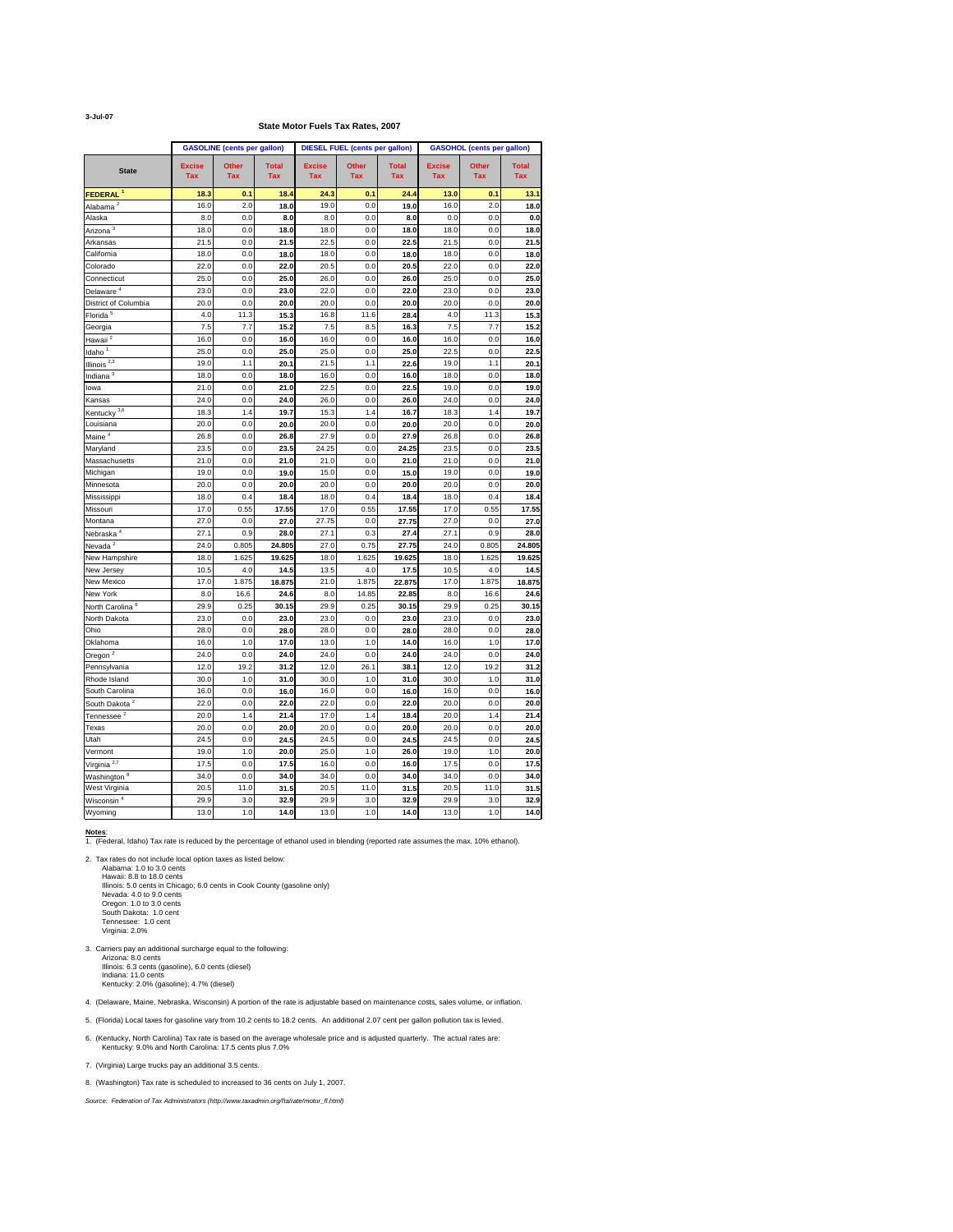**3-Jul-07**

## **State Motor Fuels Tax Rates, 2007**

|                             |                             | <b>GASOLINE</b> (cents per gallon) |                            |                             | <b>DIESEL FUEL (cents per gallon)</b> |                            |                             | <b>GASOHOL (cents per gallon)</b> |                            |
|-----------------------------|-----------------------------|------------------------------------|----------------------------|-----------------------------|---------------------------------------|----------------------------|-----------------------------|-----------------------------------|----------------------------|
| <b>State</b>                | <b>Excise</b><br><b>Tax</b> | <b>Other</b><br><b>Tax</b>         | <b>Total</b><br><b>Tax</b> | <b>Excise</b><br><b>Tax</b> | <b>Other</b><br><b>Tax</b>            | <b>Total</b><br><b>Tax</b> | <b>Excise</b><br><b>Tax</b> | <b>Other</b><br><b>Tax</b>        | <b>Total</b><br><b>Tax</b> |
| FEDERAL <sup>1</sup>        | 18.3                        | 0.1                                | 18.4                       | 24.3                        | 0.1                                   | 24.4                       | 13.0                        | 0.1                               | 13.1                       |
| Alabama <sup>2</sup>        | 16.0                        | 2.0                                | 18.0                       | 19.0                        | 0.0                                   | 19.0                       | 16.0                        | 2.0                               | 18.0                       |
| Alaska                      | 8.0                         | 0.0                                | 8.0                        | 8.0                         | 0.0                                   | 8.0                        | 0.0                         | 0.0                               | 0.0                        |
| Arizona <sup>3</sup>        | 18.0                        | 0.0                                | 18.0                       | 18.0                        | 0.0                                   | 18.0                       | 18.0                        | 0.0                               | 18.0                       |
| Arkansas                    | 21.5                        | 0.0                                | 21.5                       | 22.5                        | 0.0                                   | 22.5                       | 21.5                        | 0.0                               | 21.5                       |
| California                  | 18.0                        | 0.0                                | 18.0                       | 18.0                        | 0.0                                   | 18.0                       | 18.0                        | 0.0                               | 18.0                       |
| Colorado                    | 22.0                        | 0.0                                | 22.0                       | 20.5                        | 0.0                                   | 20.5                       | 22.0                        | 0.0                               | 22.0                       |
| Connecticut                 | 25.0                        | 0.0                                | 25.0                       | 26.0                        | 0.0                                   | 26.0                       | 25.0                        | 0.0                               | 25.0                       |
| Delaware <sup>4</sup>       | 23.0                        | 0.0                                | 23.0                       | 22.0                        | 0.0                                   | 22.0                       | 23.0                        | 0.0                               | 23.0                       |
| District of Columbia        | 20.0                        | 0.0                                | 20.0                       | 20.0                        | 0.0                                   | 20.0                       | 20.0                        | 0.0                               | 20.0                       |
| Florida <sup>5</sup>        | 4.0                         | 11.3                               | 15.3                       | 16.8                        | 11.6                                  | 28.4                       | 4.0                         | 11.3                              | 15.3                       |
| Georgia                     | 7.5                         | 7.7                                | 15.2                       | 7.5                         | 8.5                                   | 16.3                       | 7.5                         | 7.7                               | 15.2                       |
| Hawaii <sup>2</sup>         | 16.0                        | 0.0                                | 16.0                       | 16.0                        | 0.0                                   | 16.0                       | 16.0                        | 0.0                               | 16.0                       |
| Idaho $1$                   | 25.0                        | 0.0                                | 25.0                       | 25.0                        | 0.0                                   | 25.0                       | 22.5                        | 0.0                               | 22.5                       |
| Illinois $2,3$              | 19.0                        | 1.1                                | 20.1                       | 21.5                        | 1.1                                   | 22.6                       | 19.0                        | 1.1                               | 20.1                       |
| Indiana $3$                 | 18.0                        | 0.0                                | 18.0                       | 16.0                        | 0.0                                   | 16.0                       | 18.0                        | 0.0                               | 18.0                       |
| lowa                        | 21.0                        | 0.0                                | 21.0                       | 22.5                        | 0.0                                   | 22.5                       | 19.0                        | 0.0                               | 19.0                       |
| Kansas                      | 24.0                        | 0.0                                | 24.0                       | 26.0                        | 0.0                                   | 26.0                       | 24.0                        | 0.0                               | 24.0                       |
| Kentucky $3,6$              | 18.3                        | 1.4                                | 19.7                       | 15.3                        | 1.4                                   | 16.7                       | 18.3                        | 1.4                               | 19.7                       |
| Louisiana                   | 20.0                        | 0.0                                | 20.0                       | 20.0                        | 0.0                                   | 20.0                       | 20.0                        | 0.0                               | 20.0                       |
| Maine <sup>4</sup>          | 26.8                        | 0.0                                | 26.8                       | 27.9                        | 0.0                                   | 27.9                       | 26.8                        | 0.0                               | 26.8                       |
| Maryland                    | 23.5                        | 0.0                                | 23.5                       | 24.25                       | 0.0                                   | 24.25                      | 23.5                        | 0.0                               | 23.5                       |
| Massachusetts               | 21.0                        | 0.0                                | 21.0                       | 21.0                        | 0.0                                   | 21.0                       | 21.0                        | 0.0                               | 21.0                       |
| Michigan                    | 19.0                        | $0.0\,$                            | 19.0                       | 15.0                        | 0.0                                   | 15.0                       | 19.0                        | $0.0\,$                           | 19.0                       |
| Minnesota                   | 20.0                        | 0.0                                | 20.0                       | 20.0                        | 0.0                                   | 20.0                       | 20.0                        | 0.0                               | 20.0                       |
| Mississippi                 | 18.0                        | 0.4                                | 18.4                       | 18.0                        | 0.4                                   | 18.4                       | 18.0                        | 0.4                               | 18.4                       |
| Missouri                    | 17.0                        | 0.55                               | 17.55                      | 17.0                        | 0.55                                  | 17.55                      | 17.0                        | 0.55                              | 17.55                      |
| Montana                     | 27.0                        | 0.0                                | 27.0                       | 27.75                       | 0.0                                   | 27.75                      | 27.0                        | 0.0                               | 27.0                       |
| Nebraska <sup>4</sup>       | 27.1                        | 0.9                                | 28.0                       | 27.1                        | 0.3                                   | 27.4                       | 27.1                        | 0.9                               | 28.0                       |
| Nevada <sup>2</sup>         | 24.0                        | 0.805                              | 24.805                     | 27.0                        | 0.75                                  | 27.75                      | 24.0                        | 0.805                             | 24.805                     |
| New Hampshire               | 18.0                        | 1.625                              | 19.625                     | 18.0                        | 1.625                                 | 19.625                     | 18.0                        | 1.625                             | 19.625                     |
| New Jersey                  | 10.5                        | 4.0                                | 14.5                       | 13.5                        | 4.0                                   | 17.5                       | 10.5                        | 4.0                               | 14.5                       |
| New Mexico                  | 17.0                        | 1.875                              | 18.875                     | 21.0                        | 1.875                                 | 22.875                     | 17.0                        | 1.875                             | 18.875                     |
| New York                    | 8.0                         | 16.6                               | 24.6                       | 8.0                         | 14.85                                 | 22.85                      | 8.0                         | 16.6                              | 24.6                       |
| North Carolina <sup>6</sup> | 29.9                        | 0.25                               | 30.15                      | 29.9                        | 0.25                                  | 30.15                      | 29.9                        | 0.25                              | 30.15                      |
| North Dakota                | 23.0                        | 0.0                                | 23.0                       | 23.0                        | 0.0                                   | 23.0                       | 23.0                        | 0.0                               | 23.0                       |
| Ohio                        | 28.0                        | 0.0                                | 28.0                       | 28.0                        | 0.0                                   | 28.0                       | 28.0                        | 0.0                               | 28.0                       |
| Oklahoma                    | 16.0                        | 1.0                                | 17.0                       | 13.0                        | 1.0                                   | 14.0                       | 16.0                        | 1.0                               | 17.0                       |
| Oregon <sup>2</sup>         | 24.0                        | 0.0                                | 24.0                       | 24.0                        | 0.0                                   | 24.0                       | 24.0                        | 0.0                               | 24.0                       |
| Pennsylvania                | 12.0                        | 19.2                               | 31.2                       | 12.0                        | 26.1                                  | 38.1                       | 12.0                        | 19.2                              | 31.2                       |
| Rhode Island                | 30.0                        | 1.0                                | 31.0                       | 30.0                        | 1.0                                   | 31.0                       | 30.0                        | 1.0                               | 31.0                       |
| South Carolina              | 16.0                        | 0.0                                | 16.0                       | 16.0                        | 0.0                                   | 16.0                       | 16.0                        | 0.0                               | 16.0                       |
| South Dakota <sup>2</sup>   | 22.0                        | 0.0                                | 22.0                       | 22.0                        | 0.0                                   | 22.0                       | 20.0                        | 0.0                               | 20.0                       |
| Tennessee <sup>2</sup>      | 20.0                        | 1.4                                | 21.4                       | 17.0                        | 1.4                                   | 18.4                       | 20.0                        | 1.4                               | 21.4                       |
| Texas                       | 20.0                        | 0.0                                | 20.0                       | 20.0                        | 0.0                                   | 20.0                       | 20.0                        | 0.0                               | 20.0                       |
| Utah                        | 24.5                        | 0.0                                | 24.5                       | 24.5                        | 0.0                                   | 24.5                       | 24.5                        | 0.0                               | 24.5                       |
| Vermont                     | 19.0                        | 1.0                                | 20.0                       | 25.0                        | 1.0                                   | 26.0                       | 19.0                        | 1.0                               | 20.0                       |
| Virginia <sup>2,7</sup>     | 17.5                        | 0.0                                | 17.5                       | 16.0                        | 0.0                                   | 16.0                       | 17.5                        | 0.0                               | 17.5                       |
| Washington <sup>8</sup>     | 34.0                        | 0.0                                | 34.0                       | 34.0                        | 0.0                                   | 34.0                       | 34.0                        | 0.0                               | 34.0                       |
| West Virginia               | 20.5                        | 11.0                               | 31.5                       | 20.5                        | 11.0                                  | 31.5                       | 20.5                        | 11.0                              | 31.5                       |
| Wisconsin <sup>4</sup>      | 29.9                        | 3.0                                | 32.9                       | 29.9                        | 3.0                                   | 32.9                       | 29.9                        | 3.0                               | 32.9                       |
| Wyoming                     | 13.0                        | 1.0                                | 14.0                       | 13.0                        | 1.0                                   | 14.0                       | 13.0                        | 1.0                               | 14.0                       |

## **Notes**:

1. (Federal, Idaho) Tax rate is reduced by the percentage of ethanol used in blending (reported rate assumes the max. 10% ethanol).

2. Tax rates do not include local option taxes as listed below:

 Alabama: 1.0 to 3.0 cents Hawaii: 8.8 to 18.0 cents Illinois: 5.0 cents in Chicago; 6.0 cents in Cook County (gasoline only) Nevada: 4.0 to 9.0 cents Oregon: 1.0 to 3.0 cents South Dakota: 1.0 cent Tennessee: 1.0 cent Virginia: 2.0%

- 3. Carriers pay an additional surcharge equal to the following: Arizona: 8.0 cents Illinois: 6.3 cents (gasoline), 6.0 cents (diesel) Indiana: 11.0 cents Kentucky: 2.0% (gasoline); 4.7% (diesel)
- 4. (Delaware, Maine, Nebraska, Wisconsin) A portion of the rate is adjustable based on maintenance costs, sales volume, or inflation.
- 5. (Florida) Local taxes for gasoline vary from 10.2 cents to 18.2 cents. An additional 2.07 cent per gallon pollution tax is levied.
- 6. (Kentucky, North Carolina) Tax rate is based on the average wholesale price and is adjusted quarterly. The actual rates are: Kentucky: 9.0% and North Carolina: 17.5 cents plus 7.0%
- 7. (Virginia) Large trucks pay an additional 3.5 cents.
- 8. (Washington) Tax rate is scheduled to increased to 36 cents on July 1, 2007.

*Source: Federation of Tax Administrators (http://www.taxadmin.org/fta/rate/motor\_fl.html)*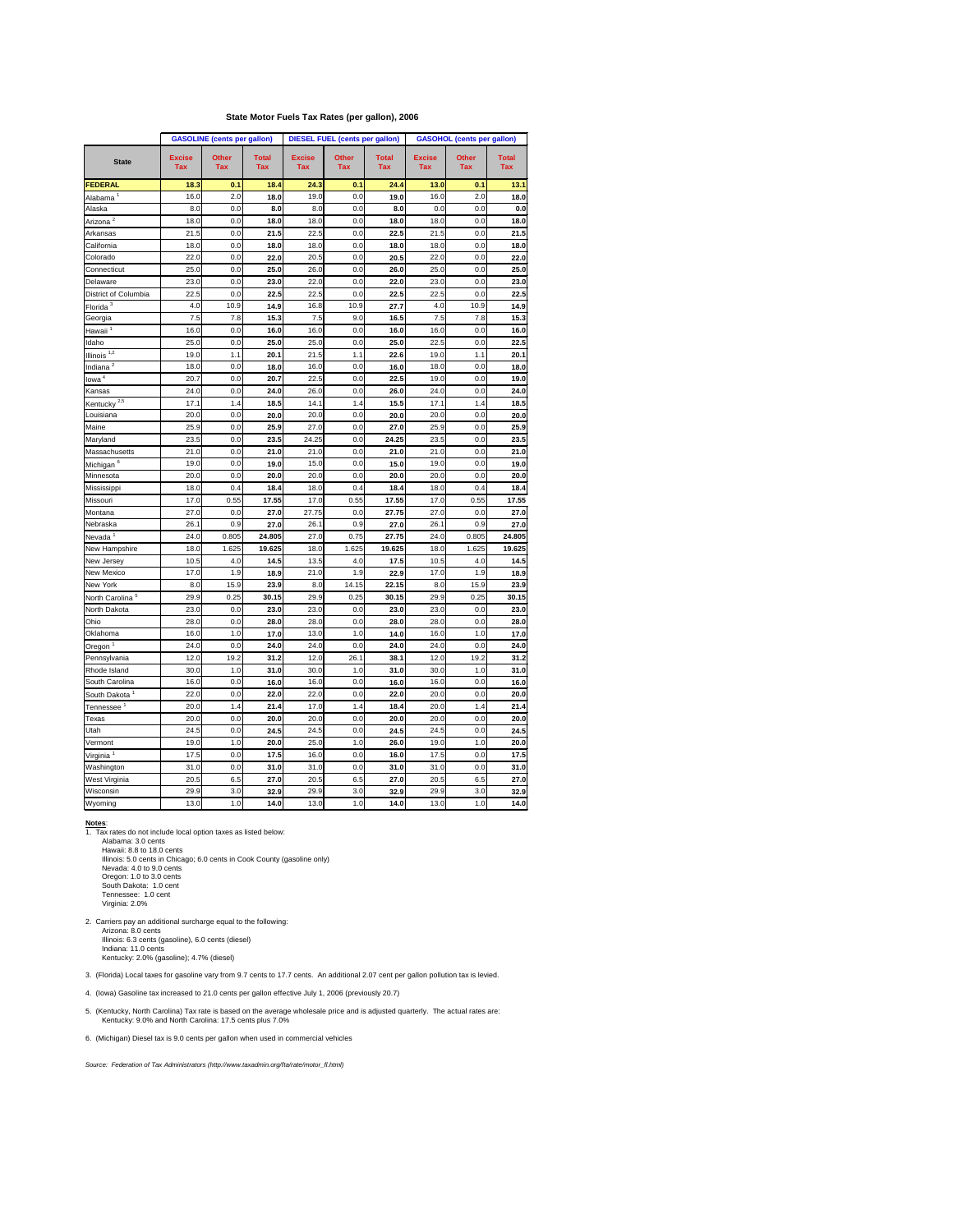## **State Motor Fuels Tax Rates (per gallon), 2006**

|                             |                             | <b>GASOLINE</b> (cents per gallon) |                            |                             | <b>DIESEL FUEL (cents per gallon)</b> |                            |                             | <b>GASOHOL (cents per gallon)</b> |                            |
|-----------------------------|-----------------------------|------------------------------------|----------------------------|-----------------------------|---------------------------------------|----------------------------|-----------------------------|-----------------------------------|----------------------------|
| <b>State</b>                | <b>Excise</b><br><b>Tax</b> | <b>Other</b><br><b>Tax</b>         | <b>Total</b><br><b>Tax</b> | <b>Excise</b><br><b>Tax</b> | <b>Other</b><br><b>Tax</b>            | <b>Total</b><br><b>Tax</b> | <b>Excise</b><br><b>Tax</b> | <b>Other</b><br><b>Tax</b>        | <b>Total</b><br><b>Tax</b> |
| <b>FEDERAL</b>              | 18.3                        | 0.1                                | 18.4                       | 24.3                        | 0.1                                   | 24.4                       | 13.0                        | 0.1                               | 13.1                       |
| Alabama <sup>1</sup>        | 16.0                        | 2.0                                | 18.0                       | 19.0                        | 0.0                                   | 19.0                       | 16.0                        | 2.0                               | 18.0                       |
| Alaska                      | 8.0                         | 0.0                                | 8.0                        | 8.0                         | 0.0                                   | 8.0                        | 0.0                         | 0.0                               | 0.0                        |
| Arizona <sup>2</sup>        | 18.0                        | 0.0                                | 18.0                       | 18.0                        | 0.0                                   | 18.0                       | 18.0                        | 0.0                               | 18.0                       |
| Arkansas                    | 21.5                        | 0.0                                | 21.5                       | 22.5                        | 0.0                                   | 22.5                       | 21.5                        | 0.0                               | 21.5                       |
| California                  | 18.0                        | 0.0                                | 18.0                       | 18.0                        | 0.0                                   | 18.0                       | 18.0                        | 0.0                               | 18.0                       |
| Colorado                    | 22.0                        | 0.0                                | 22.0                       | 20.5                        | 0.0                                   | 20.5                       | 22.0                        | 0.0                               | 22.0                       |
| Connecticut                 | 25.0                        | 0.0                                | 25.0                       | 26.0                        | 0.0                                   | 26.0                       | 25.0                        | 0.0                               | 25.0                       |
| Delaware                    | 23.0                        | 0.0                                | 23.0                       | 22.0                        | 0.0                                   | 22.0                       | 23.0                        | 0.0                               | 23.0                       |
| District of Columbia        | 22.5                        | 0.0                                | 22.5                       | 22.5                        | 0.0                                   | 22.5                       | 22.5                        | 0.0                               | 22.5                       |
| Florida <sup>3</sup>        | 4.0                         | 10.9                               | 14.9                       | 16.8                        | 10.9                                  | 27.7                       | 4.0                         | 10.9                              | 14.9                       |
| Georgia                     | 7.5                         | 7.8                                | 15.3                       | 7.5                         | 9.0                                   | 16.5                       | 7.5                         | 7.8                               | 15.3                       |
| Hawaii <sup>1</sup>         | 16.0                        | 0.0                                | 16.0                       | 16.0                        | 0.0                                   | 16.0                       | 16.0                        | 0.0                               | 16.0                       |
| Idaho                       | 25.0                        | 0.0                                | 25.0                       | 25.0                        | 0.0                                   | 25.0                       | 22.5                        | 0.0                               | 22.5                       |
| Illinois $\overline{1,2}$   | 19.0                        | 1.1                                | 20.1                       | 21.5                        | 1.1                                   | 22.6                       | 19.0                        | 1.1                               | 20.1                       |
| Indiana $^2$                | 18.0                        | 0.0                                | 18.0                       | 16.0                        | 0.0                                   | 16.0                       | 18.0                        | 0.0                               | 18.0                       |
| lowa <sup>4</sup>           | 20.7                        | 0.0                                | 20.7                       | 22.5                        | 0.0                                   | 22.5                       | 19.0                        | 0.0                               | 19.0                       |
| Kansas                      | 24.0                        | 0.0                                | 24.0                       | 26.0                        | 0.0                                   | 26.0                       | 24.0                        | 0.0                               | 24.0                       |
| Kentucky $2,5$              | 17.1                        | 1.4                                | 18.5                       | 14.1                        | 1.4                                   | 15.5                       | 17.1                        | 1.4                               | 18.5                       |
| Louisiana                   | 20.0                        | 0.0                                | 20.0                       | 20.0                        | 0.0                                   | 20.0                       | 20.0                        | 0.0                               | 20.0                       |
| Maine                       | 25.9                        | 0.0                                | 25.9                       | 27.0                        | 0.0                                   | 27.0                       | 25.9                        | 0.0                               | 25.9                       |
| Maryland                    | 23.5                        | 0.0                                | 23.5                       | 24.25                       | 0.0                                   | 24.25                      | 23.5                        | 0.0                               | 23.5                       |
| Massachusetts               | 21.0                        | 0.0                                | 21.0                       | 21.0                        | 0.0                                   | 21.0                       | 21.0                        | 0.0                               | 21.0                       |
| Michigan <sup>6</sup>       | 19.0                        | 0.0                                | 19.0                       | 15.0                        | 0.0                                   | 15.0                       | 19.0                        | 0.0                               | 19.0                       |
| Minnesota                   | 20.0                        | 0.0                                | 20.0                       | 20.0                        | 0.0                                   | 20.0                       | 20.0                        | 0.0                               | 20.0                       |
| Mississippi                 | 18.0                        | 0.4                                | 18.4                       | 18.0                        | 0.4                                   | 18.4                       | 18.0                        | 0.4                               | 18.4                       |
| Missouri                    | 17.0                        | 0.55                               | 17.55                      | 17.0                        | 0.55                                  | 17.55                      | 17.0                        | 0.55                              | 17.55                      |
| Montana                     | 27.0                        | 0.0                                | 27.0                       | 27.75                       | 0.0                                   | 27.75                      | 27.0                        | 0.0                               | 27.0                       |
| Nebraska                    | 26.1                        | 0.9                                | 27.0                       | 26.1                        | 0.9                                   | 27.0                       | 26.1                        | 0.9                               | 27.0                       |
| Nevada <sup>1</sup>         | 24.0                        | 0.805                              | 24.805                     | 27.0                        | 0.75                                  | 27.75                      | 24.0                        | 0.805                             | 24.805                     |
| New Hampshire               | 18.0                        | 1.625                              | 19.625                     | 18.0                        | 1.625                                 | 19.625                     | 18.0                        | 1.625                             | 19.625                     |
| New Jersey                  | 10.5                        | 4.0                                | 14.5                       | 13.5                        | 4.0                                   | 17.5                       | 10.5                        | 4.0                               | 14.5                       |
| New Mexico                  | 17.0                        | 1.9                                | 18.9                       | 21.0                        | 1.9                                   | 22.9                       | 17.0                        | 1.9                               | 18.9                       |
| New York                    | 8.0                         | 15.9                               | 23.9                       | 8.0                         | 14.15                                 | 22.15                      | 8.0                         | 15.9                              | 23.9                       |
| North Carolina <sup>5</sup> | 29.9                        | 0.25                               | 30.15                      | 29.9                        | 0.25                                  | 30.15                      | 29.9                        | 0.25                              | 30.15                      |
| North Dakota                | 23.0                        | 0.0                                | 23.0                       | 23.0                        | 0.0                                   | 23.0                       | 23.0                        | 0.0                               | 23.0                       |
| Ohio                        | 28.0                        | 0.0                                | 28.0                       | 28.0                        | 0.0                                   | 28.0                       | 28.0                        | 0.0                               | 28.0                       |
| Oklahoma                    | 16.0                        | 1.0                                | 17.0                       | 13.0                        | 1.0                                   | 14.0                       | 16.0                        | 1.0                               | 17.0                       |
| Oregon <sup>1</sup>         | 24.0                        | 0.0                                | 24.0                       | 24.0                        | 0.0                                   | 24.0                       | 24.0                        | 0.0                               | 24.0                       |
| Pennsylvania                | 12.0                        | 19.2                               | 31.2                       | 12.0                        | 26.1                                  | 38.1                       | 12.0                        | 19.2                              | 31.2                       |
| Rhode Island                | 30.0                        | 1.0                                | 31.0                       | 30.0                        | 1.0                                   | 31.0                       | 30.0                        | 1.0                               | 31.0                       |
| South Carolina              | 16.0                        | 0.0                                | 16.0                       | 16.0                        | 0.0                                   | 16.0                       | 16.0                        | 0.0                               | 16.0                       |
| South Dakota <sup>1</sup>   | 22.0                        | 0.0                                | 22.0                       | 22.0                        | 0.0                                   | 22.0                       | 20.0                        | 0.0                               | 20.0                       |
| Tennessee $^{\mathrm{1}}$   | 20.0                        | 1.4                                | 21.4                       | 17.0                        | 1.4                                   | 18.4                       | 20.0                        | 1.4                               | 21.4                       |
| Texas                       | 20.0                        | 0.0                                | 20.0                       | 20.0                        | 0.0                                   | 20.0                       | 20.0                        | 0.0                               | 20.0                       |
| Utah                        | 24.5                        | 0.0                                | 24.5                       | 24.5                        | 0.0                                   | 24.5                       | 24.5                        | 0.0                               | 24.5                       |
| Vermont                     | 19.0                        | 1.0                                | 20.0                       | 25.0                        | 1.0                                   | 26.0                       | 19.0                        | 1.0                               | 20.0                       |
| Virginia <sup>1</sup>       | 17.5                        | 0.0                                | 17.5                       | 16.0                        | 0.0                                   | 16.0                       | 17.5                        | 0.0                               | 17.5                       |
| Washington                  | 31.0                        | 0.0                                | 31.0                       | 31.0                        | 0.0                                   | 31.0                       | 31.0                        | 0.0                               | 31.0                       |
| West Virginia               | 20.5                        | 6.5                                | 27.0                       | 20.5                        | 6.5                                   | 27.0                       | 20.5                        | 6.5                               | 27.0                       |
| Wisconsin                   | 29.9                        | $3.0\,$                            | 32.9                       | 29.9                        | 3.0                                   | 32.9                       | 29.9                        | 3.0                               | 32.9                       |
| Wyoming                     | 13.0                        | 1.0                                | 14.0                       | 13.0                        | 1.0                                   | 14.0                       | 13.0                        | $1.0$                             | $14.0$                     |

## **Notes**:

1. Tax rates do not include local option taxes as listed below:

 Alabama: 3.0 cents Hawaii: 8.8 to 18.0 cents Illinois: 5.0 cents in Chicago; 6.0 cents in Cook County (gasoline only) Nevada: 4.0 to 9.0 cents Oregon: 1.0 to 3.0 cents South Dakota: 1.0 cent Tennessee: 1.0 cent Virginia: 2.0%

2. Carriers pay an additional surcharge equal to the following: Arizona: 8.0 cents Illinois: 6.3 cents (gasoline), 6.0 cents (diesel) Indiana: 11.0 cents Kentucky: 2.0% (gasoline); 4.7% (diesel)

3. (Florida) Local taxes for gasoline vary from 9.7 cents to 17.7 cents. An additional 2.07 cent per gallon pollution tax is levied.

4. (Iowa) Gasoline tax increased to 21.0 cents per gallon effective July 1, 2006 (previously 20.7)

5. (Kentucky, North Carolina) Tax rate is based on the average wholesale price and is adjusted quarterly. The actual rates are: Kentucky: 9.0% and North Carolina: 17.5 cents plus 7.0%

6. (Michigan) Diesel tax is 9.0 cents per gallon when used in commercial vehicles

*Source: Federation of Tax Administrators (http://www.taxadmin.org/fta/rate/motor\_fl.html)*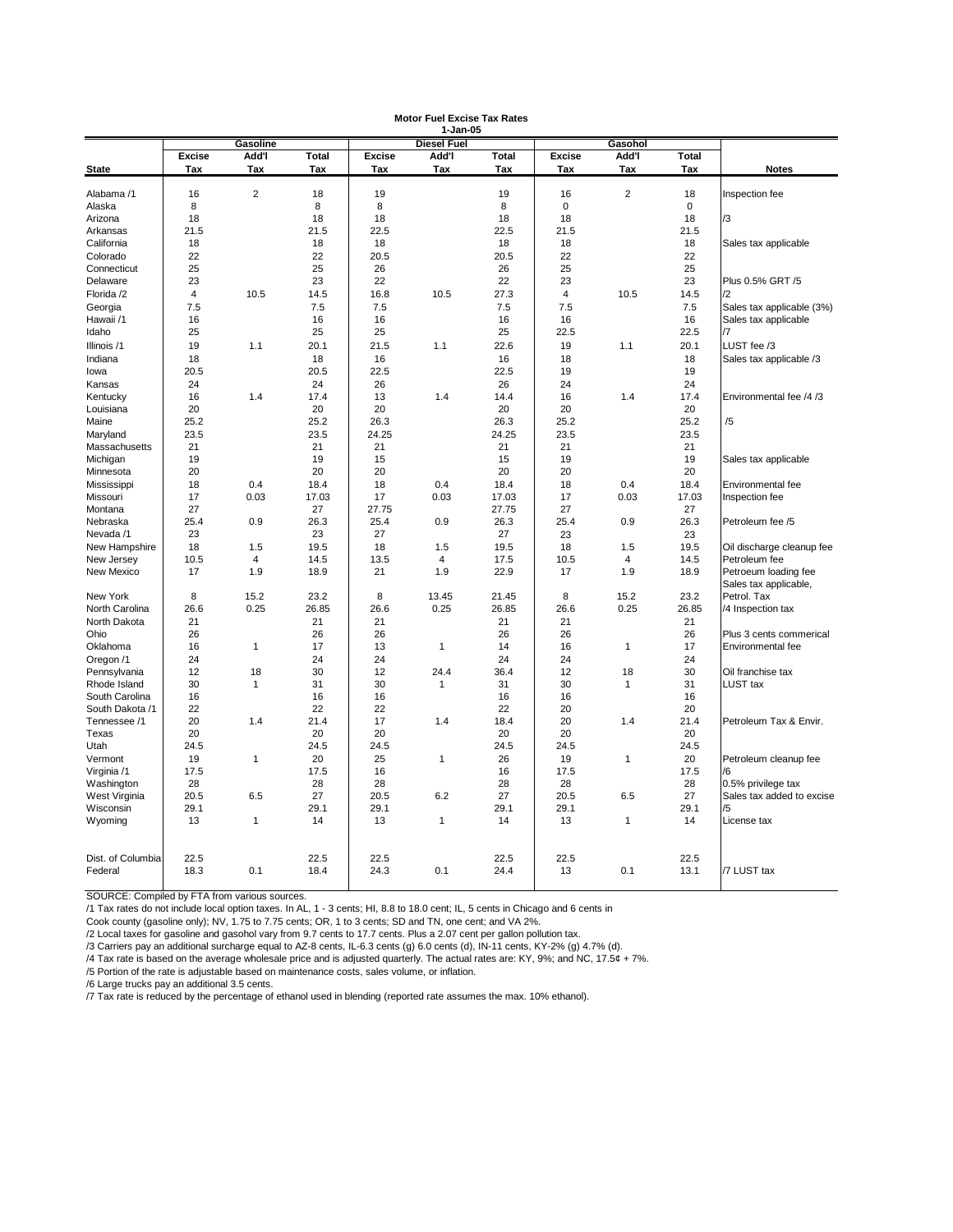|                   |               |                 |              |               | 1-Jan-05           |              |               |                |              |                                      |
|-------------------|---------------|-----------------|--------------|---------------|--------------------|--------------|---------------|----------------|--------------|--------------------------------------|
|                   |               | <b>Gasoline</b> |              |               | <b>Diesel Fuel</b> |              |               | Gasohol        |              |                                      |
|                   | <b>Excise</b> | Add'l           | <b>Total</b> | <b>Excise</b> | Add'l              | <b>Total</b> | <b>Excise</b> | Add'l          | <b>Total</b> |                                      |
| <b>State</b>      | <b>Tax</b>    | Tax             | Tax          | Tax           | Tax                | Tax          | Tax           | Tax            | Tax          | <b>Notes</b>                         |
|                   |               |                 |              |               |                    |              |               |                |              |                                      |
| Alabama /1        | 16            | $\overline{c}$  | 18           | 19            |                    | 19           | 16            | $\overline{c}$ | 18           | Inspection fee                       |
| Alaska            | 8             |                 | 8            | 8             |                    | 8            | $\mathbf 0$   |                | $\mathbf 0$  |                                      |
| Arizona           | 18            |                 | 18           | 18            |                    | 18           | 18            |                | 18           | /3                                   |
| Arkansas          | 21.5          |                 | 21.5         | 22.5          |                    | 22.5         | 21.5          |                | 21.5         |                                      |
| California        | 18            |                 | 18           | 18            |                    | 18           | 18            |                | 18           | Sales tax applicable                 |
| Colorado          | 22            |                 | 22           | 20.5          |                    | 20.5         | 22            |                | 22           |                                      |
| Connecticut       | 25            |                 | 25           | 26            |                    | 26           | 25            |                | 25           |                                      |
| Delaware          | 23            |                 | 23           | 22            |                    | 22           | 23            |                | 23           | Plus 0.5% GRT /5                     |
| Florida /2        | 4             | 10.5            | 14.5         | 16.8          | 10.5               | 27.3         | 4             | 10.5           | 14.5         | /2                                   |
| Georgia           | 7.5           |                 | 7.5          | 7.5           |                    | 7.5          | 7.5           |                | 7.5          | Sales tax applicable (3%)            |
| Hawaii /1         | 16            |                 | 16           | 16            |                    | 16           | 16            |                | 16           | Sales tax applicable                 |
| Idaho             | 25            |                 | 25           | 25            |                    | 25           | 22.5          |                | 22.5         | /7                                   |
| Illinois /1       | 19            | 1.1             | 20.1         | 21.5          | 1.1                | 22.6         | 19            | 1.1            | 20.1         | LUST fee /3                          |
| Indiana           | 18            |                 | 18           | 16            |                    | 16           | 18            |                | 18           | Sales tax applicable /3              |
| lowa              | 20.5          |                 | 20.5         | 22.5          |                    | 22.5         | 19            |                | 19           |                                      |
| Kansas            | 24            |                 | 24           | 26            |                    | 26           | 24            |                | 24           |                                      |
| Kentucky          | 16            | 1.4             | 17.4         | 13            | 1.4                | 14.4         | 16            | 1.4            | 17.4         | Environmental fee /4 /3              |
| Louisiana         | 20            |                 | 20           | 20            |                    | 20           | 20            |                | 20           |                                      |
| Maine             | 25.2          |                 | 25.2         | 26.3          |                    | 26.3         | 25.2          |                | 25.2         | /5                                   |
| Maryland          | 23.5          |                 | 23.5         | 24.25         |                    | 24.25        | 23.5          |                | 23.5         |                                      |
| Massachusetts     | 21            |                 | 21           | 21            |                    | 21           | 21            |                | 21           |                                      |
| Michigan          | 19            |                 | 19           | 15            |                    | 15           | 19            |                | 19           | Sales tax applicable                 |
| Minnesota         | 20            |                 | 20           | 20            |                    | 20           | 20            |                | 20           |                                      |
| Mississippi       | 18            | 0.4             | 18.4         | 18            | 0.4                | 18.4         | 18            | 0.4            | 18.4         | Environmental fee                    |
| Missouri          | 17            | 0.03            | 17.03        | 17            | 0.03               | 17.03        | 17            | 0.03           | 17.03        |                                      |
| Montana           | 27            |                 | 27           | 27.75         |                    | 27.75        | 27            |                | 27           | Inspection fee                       |
|                   |               |                 |              |               |                    |              |               |                |              |                                      |
| Nebraska          | 25.4          | 0.9             | 26.3         | 25.4          | 0.9                | 26.3         | 25.4          | 0.9            | 26.3         | Petroleum fee /5                     |
| Nevada /1         | 23            |                 | 23           | 27            |                    | 27           | 23            |                | 23           |                                      |
| New Hampshire     | 18            | 1.5             | 19.5         | 18            | 1.5                | 19.5         | 18            | 1.5            | 19.5         | Oil discharge cleanup fee            |
| New Jersey        | 10.5          | 4               | 14.5         | 13.5          | 4                  | 17.5         | 10.5          | 4              | 14.5         | Petroleum fee                        |
| New Mexico        | 17            | 1.9             | 18.9         | 21            | 1.9                | 22.9         | 17            | 1.9            | 18.9         | Petroeum loading fee                 |
|                   |               |                 |              |               |                    |              |               |                |              | Sales tax applicable,<br>Petrol. Tax |
| New York          | 8             | 15.2            | 23.2         | 8             | 13.45              | 21.45        | 8             | 15.2           | 23.2         |                                      |
| North Carolina    | 26.6          | 0.25            | 26.85        | 26.6          | 0.25               | 26.85        | 26.6          | 0.25           | 26.85        | /4 Inspection tax                    |
| North Dakota      | 21            |                 | 21           | 21            |                    | 21           | 21            |                | 21           |                                      |
| Ohio              | 26            |                 | 26           | 26            |                    | 26           | 26            |                | 26           | Plus 3 cents commerical              |
| Oklahoma          | 16            | 1               | 17           | 13            | 1                  | 14           | 16            |                | 17           | Environmental fee                    |
| Oregon /1         | 24            |                 | 24           | 24            |                    | 24           | 24            |                | 24           |                                      |
| Pennsylvania      | 12            | 18              | 30           | 12            | 24.4               | 36.4         | 12            | 18             | 30           | Oil franchise tax                    |
| Rhode Island      | 30            | 1               | 31           | 30            | -1                 | 31           | 30            | 1              | 31           | <b>LUST tax</b>                      |
| South Carolina    | 16            |                 | 16           | 16            |                    | 16           | 16            |                | 16           |                                      |
| South Dakota /1   | 22            |                 | 22           | 22            |                    | 22           | 20            |                | 20           |                                      |
| Tennessee /1      | 20            | 1.4             | 21.4         | 17            | 1.4                | 18.4         | 20            | 1.4            | 21.4         | Petroleum Tax & Envir.               |
| Texas             | 20            |                 | 20           | 20            |                    | 20           | 20            |                | 20           |                                      |
| Utah              | 24.5          |                 | 24.5         | 24.5          |                    | 24.5         | 24.5          |                | 24.5         |                                      |
| Vermont           | 19            | $\mathbf{1}$    | 20           | 25            | 1                  | 26           | 19            |                | 20           | Petroleum cleanup fee                |
| Virginia /1       | 17.5          |                 | 17.5         | 16            |                    | 16           | 17.5          |                | 17.5         | /6                                   |
| Washington        | 28            |                 | 28           | 28            |                    | 28           | 28            |                | 28           | 0.5% privilege tax                   |
| West Virginia     | 20.5          | 6.5             | 27           | 20.5          | 6.2                | 27           | 20.5          | 6.5            | 27           | Sales tax added to excise            |
| Wisconsin         | 29.1          |                 | 29.1         | 29.1          |                    | 29.1         | 29.1          |                | 29.1         | /5                                   |
| Wyoming           | 13            | 1               | 14           | 13            | $\mathbf 1$        | 14           | 13            | 1              | 14           | License tax                          |
|                   |               |                 |              |               |                    |              |               |                |              |                                      |
|                   |               |                 |              |               |                    |              |               |                |              |                                      |
| Dist. of Columbia | 22.5          |                 | 22.5         | 22.5          |                    | 22.5         | 22.5          |                | 22.5         |                                      |
| Federal           | 18.3          | 0.1             | 18.4         | 24.3          | 0.1                | 24.4         | 13            | 0.1            | 13.1         | /7 LUST tax                          |
|                   |               |                 |              |               |                    |              |               |                |              |                                      |

SOURCE: Compiled by FTA from various sources.

/1 Tax rates do not include local option taxes. In AL, 1 - 3 cents; HI, 8.8 to 18.0 cent; IL, 5 cents in Chicago and 6 cents in

Cook county (gasoline only); NV, 1.75 to 7.75 cents; OR, 1 to 3 cents; SD and TN, one cent; and VA 2%.

/2 Local taxes for gasoline and gasohol vary from 9.7 cents to 17.7 cents. Plus a 2.07 cent per gallon pollution tax.

/3 Carriers pay an additional surcharge equal to AZ-8 cents, IL-6.3 cents (g) 6.0 cents (d), IN-11 cents, KY-2% (g) 4.7% (d).

/4 Tax rate is based on the average wholesale price and is adjusted quarterly. The actual rates are: KY, 9%; and NC, 17.5¢ + 7%.

/5 Portion of the rate is adjustable based on maintenance costs, sales volume, or inflation.

/6 Large trucks pay an additional 3.5 cents.

/7 Tax rate is reduced by the percentage of ethanol used in blending (reported rate assumes the max. 10% ethanol).

# **Motor Fuel Excise Tax Rates**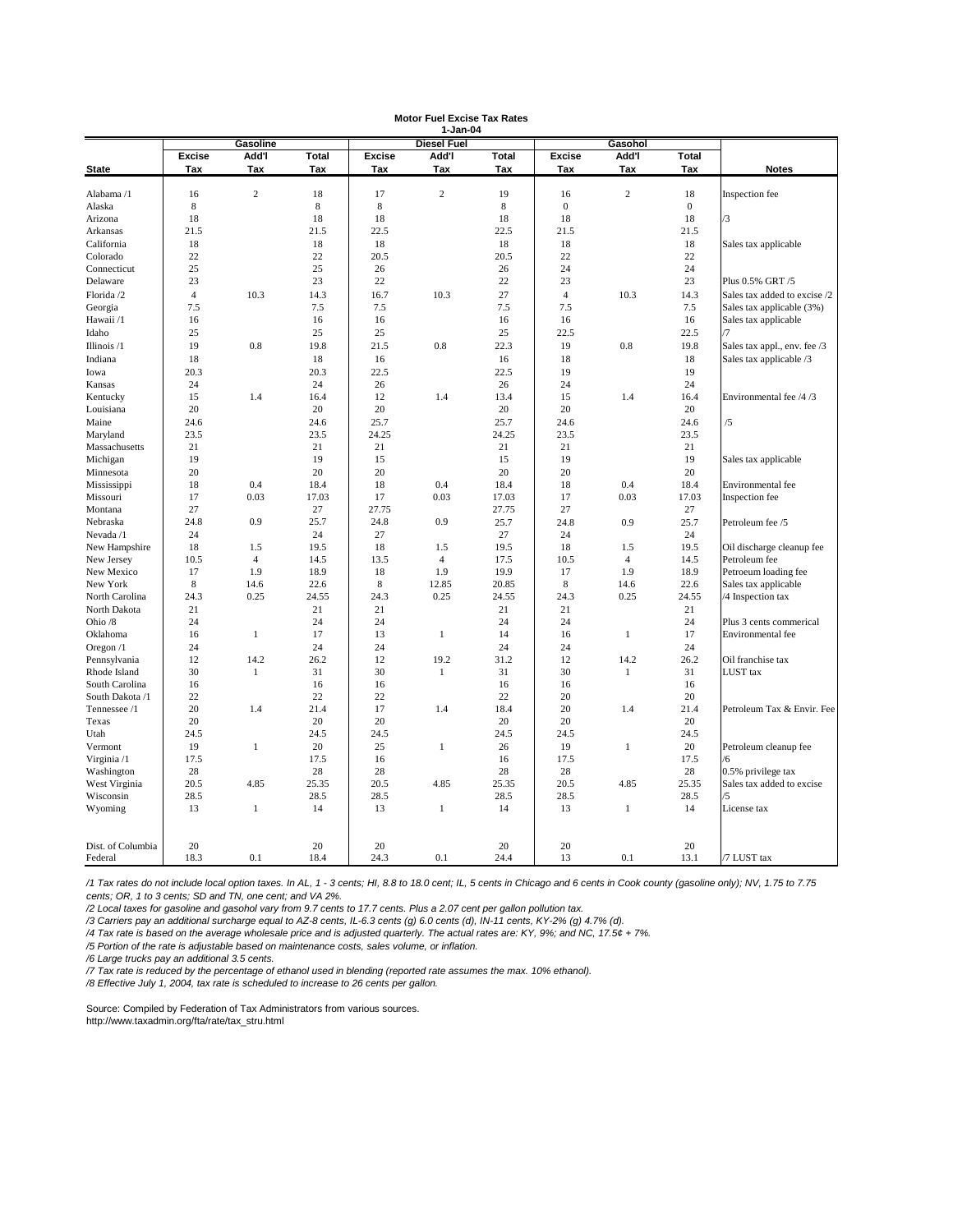|                              | 1-Jan-04       |                  |              |               |                    |              |                  |                |                  |                              |  |  |
|------------------------------|----------------|------------------|--------------|---------------|--------------------|--------------|------------------|----------------|------------------|------------------------------|--|--|
|                              |                | <b>Gasoline</b>  |              |               | <b>Diesel Fuel</b> |              |                  | Gasohol        |                  |                              |  |  |
|                              | <b>Excise</b>  | Add'l            | <b>Total</b> | <b>Excise</b> | Add'l              | <b>Total</b> | <b>Excise</b>    | Add'l          | <b>Total</b>     |                              |  |  |
| <b>State</b>                 | Tax            | Tax              | Tax          | Tax           | Tax                | Tax          | <b>Tax</b>       | Tax            | <b>Tax</b>       | <b>Notes</b>                 |  |  |
|                              |                |                  |              |               |                    |              |                  |                |                  |                              |  |  |
| Alabama /1                   | 16             | $\boldsymbol{2}$ | 18           | 17            | $\mathbf{2}$       | 19           | 16               | 2              | 18               | Inspection fee               |  |  |
| Alaska                       | 8              |                  | $\,8\,$      | $8\,$         |                    | $\,8\,$      | $\boldsymbol{0}$ |                | $\boldsymbol{0}$ |                              |  |  |
| Arizona                      | 18             |                  | 18           | 18            |                    | 18           | $18\,$           |                | 18               | /3                           |  |  |
| Arkansas                     | 21.5           |                  | 21.5         | 22.5          |                    | 22.5         | 21.5             |                | 21.5             |                              |  |  |
| California                   | 18             |                  | 18           | 18            |                    | 18           | 18               |                | 18               | Sales tax applicable         |  |  |
| Colorado                     | $22\,$         |                  | 22           | 20.5          |                    | 20.5         | $22\,$           |                | 22               |                              |  |  |
| Connecticut                  | 25             |                  | 25           | 26            |                    | 26           | 24               |                | 24               |                              |  |  |
| Delaware                     | 23             |                  | 23           | $22\,$        |                    | 22           | 23               |                | 23               | Plus 0.5% GRT /5             |  |  |
| Florida /2                   | $\overline{4}$ | 10.3             | 14.3         | 16.7          | 10.3               | 27           | $\overline{4}$   | 10.3           | 14.3             | Sales tax added to excise /2 |  |  |
| Georgia                      | 7.5            |                  | $7.5$        | 7.5           |                    | $7.5$        | 7.5              |                | 7.5              | Sales tax applicable (3%)    |  |  |
| Hawaii /1                    | 16             |                  | 16           | 16            |                    | 16           | 16               |                | 16               | Sales tax applicable         |  |  |
| Idaho                        | 25             |                  | 25           | 25            |                    | 25           | 22.5             |                | 22.5             | /7                           |  |  |
| Illinois /1                  | 19             | $0.8\,$          | 19.8         | 21.5          | $0.8\,$            | 22.3         | 19               | $0.8\,$        | 19.8             | Sales tax appl., env. fee /3 |  |  |
| Indiana                      | 18             |                  | 18           | 16            |                    | 16           | 18               |                | 18               | Sales tax applicable /3      |  |  |
| Iowa                         | 20.3           |                  | 20.3         | 22.5          |                    | 22.5         | 19               |                | 19               |                              |  |  |
| Kansas                       | 24             |                  | 24           | 26            |                    | 26           | 24               |                | 24               |                              |  |  |
| Kentucky                     | 15             | 1.4              | 16.4         | 12            | 1.4                | 13.4         | 15               | 1.4            | 16.4             | Environmental fee /4 /3      |  |  |
| Louisiana                    | 20             |                  | 20           | 20            |                    | 20           | 20               |                | 20               |                              |  |  |
| Maine                        | 24.6           |                  | 24.6         | 25.7          |                    | 25.7         | 24.6             |                | 24.6             | /5                           |  |  |
| Maryland                     | 23.5           |                  | 23.5         | 24.25         |                    | 24.25        | 23.5             |                | 23.5             |                              |  |  |
| Massachusetts                | 21             |                  | 21           | 21            |                    | 21           | 21               |                | 21               |                              |  |  |
|                              | 19             |                  | 19           | 15            |                    | 15           | 19               |                | 19               |                              |  |  |
| Michigan<br>Minnesota        | 20             |                  | 20           | 20            |                    | 20           | 20               |                | 20               | Sales tax applicable         |  |  |
|                              |                |                  |              |               |                    |              |                  |                |                  |                              |  |  |
| Mississippi                  | 18             | 0.4              | 18.4         | 18            | 0.4                | 18.4         | 18               | 0.4            | 18.4             | Environmental fee            |  |  |
| Missouri                     | 17             | 0.03             | 17.03        | 17            | 0.03               | 17.03        | 17               | 0.03           | 17.03            | Inspection fee               |  |  |
| Montana                      | 27             |                  | $27\,$       | 27.75         |                    | 27.75        | $27\,$           |                | $27\,$           |                              |  |  |
| Nebraska                     | 24.8           | 0.9              | 25.7         | 24.8          | 0.9                | 25.7         | 24.8             | 0.9            | 25.7             | Petroleum fee /5             |  |  |
| Nevada /1                    | 24             |                  | 24           | 27            |                    | $27\,$       | 24               |                | 24               |                              |  |  |
| New Hampshire                | 18             | 1.5              | 19.5         | 18            | 1.5                | 19.5         | 18               | 1.5            | 19.5             | Oil discharge cleanup fee    |  |  |
| New Jersey                   | 10.5           | 4                | 14.5         | 13.5          | $\overline{4}$     | 17.5         | 10.5             | $\overline{4}$ | 14.5             | Petroleum fee                |  |  |
| New Mexico                   | 17             | 1.9              | 18.9         | 18            | 1.9                | 19.9         | 17               | 1.9            | 18.9             | Petroeum loading fee         |  |  |
| New York                     | 8              | 14.6             | 22.6         | $8\,$         | 12.85              | 20.85        | $\,8\,$          | 14.6           | 22.6             | Sales tax applicable         |  |  |
| North Carolina               | 24.3           | 0.25             | 24.55        | 24.3          | 0.25               | 24.55        | 24.3             | 0.25           | 24.55            | /4 Inspection tax            |  |  |
| North Dakota                 | 21             |                  | 21           | 21            |                    | $21\,$       | 21               |                | 21               |                              |  |  |
| Ohio /8                      | 24             |                  | $24\,$       | 24            |                    | 24           | 24               |                | 24               | Plus 3 cents commerical      |  |  |
| Oklahoma                     | 16             | 1                | 17           | 13            | $\mathbf{1}$       | 14           | 16               | 1              | 17               | Environmental fee            |  |  |
| Oregon /1                    | 24             |                  | 24           | 24            |                    | 24           | $24\,$           |                | 24               |                              |  |  |
| Pennsylvania                 | 12             | 14.2             | 26.2         | 12            | 19.2               | 31.2         | 12               | 14.2           | 26.2             | Oil franchise tax            |  |  |
| Rhode Island                 | 30             | 1                | 31           | 30            | -1                 | $31\,$       | $30\,$           | 1              | 31               | <b>LUST</b> tax              |  |  |
| South Carolina               | 16             |                  | 16           | 16            |                    | 16           | 16               |                | 16               |                              |  |  |
| South Dakota /1              | 22             |                  | 22           | $22\,$        |                    | 22           | 20               |                | 20               |                              |  |  |
| Tennessee /1                 | $20\,$         | 1.4              | 21.4         | 17            | 1.4                | 18.4         | $20\,$           | 1.4            | 21.4             | Petroleum Tax & Envir. Fee   |  |  |
| Texas                        | 20             |                  | 20           | $20\,$        |                    | 20           | 20               |                | 20               |                              |  |  |
| Utah                         | 24.5           |                  | 24.5         | 24.5          |                    | 24.5         | 24.5             |                | 24.5             |                              |  |  |
| Vermont                      | 19             | 1                | 20           | 25            | 1                  | $26\,$       | 19               | 1              | 20               | Petroleum cleanup fee        |  |  |
| Virginia /1                  | 17.5           |                  | 17.5         | 16            |                    | 16           | 17.5             |                | 17.5             | /6                           |  |  |
| Washington                   | 28             |                  | $28\,$       | $28\,$        |                    | 28           | 28               |                | 28               | 0.5% privilege tax           |  |  |
| West Virginia                | 20.5           | 4.85             | 25.35        | 20.5          | 4.85               | 25.35        | 20.5             | 4.85           | 25.35            | Sales tax added to excise    |  |  |
| Wisconsin                    | 28.5           |                  | 28.5         | 28.5          |                    | 28.5         | 28.5             |                | 28.5             | /5                           |  |  |
| Wyoming                      | 13             | -1               | 14           | 13            | 1                  | 14           | 13               | 1              | 14               | License tax                  |  |  |
|                              |                |                  |              |               |                    |              |                  |                |                  |                              |  |  |
|                              |                |                  |              |               |                    |              |                  |                |                  |                              |  |  |
| Dist. of Columbia<br>Federal | 20<br>18.3     | $0.1\,$          | 20<br>18.4   | 20<br>24.3    | $0.1\,$            | 20<br>24.4   | 20<br>13         | 0.1            | 20<br>13.1       | /7 LUST tax                  |  |  |
|                              |                |                  |              |               |                    |              |                  |                |                  |                              |  |  |

*/2 Local taxes for gasoline and gasohol vary from 9.7 cents to 17.7 cents. Plus a 2.07 cent per gallon pollution tax.*

*/3 Carriers pay an additional surcharge equal to AZ-8 cents, IL-6.3 cents (g) 6.0 cents (d), IN-11 cents, KY-2% (g) 4.7% (d).*

*/4 Tax rate is based on the average wholesale price and is adjusted quarterly. The actual rates are: KY, 9%; and NC, 17.5¢ + 7%.*

*/5 Portion of the rate is adjustable based on maintenance costs, sales volume, or inflation.*

*/6 Large trucks pay an additional 3.5 cents.*

*/7 Tax rate is reduced by the percentage of ethanol used in blending (reported rate assumes the max. 10% ethanol).*

*/8 Effective July 1, 2004, tax rate is scheduled to increase to 26 cents per gallon.* 

Source: Compiled by Federation of Tax Administrators from various sources. http://www.taxadmin.org/fta/rate/tax\_stru.html

# **Motor Fuel Excise Tax Rates**

*/1 Tax rates do not include local option taxes. In AL, 1 - 3 cents; HI, 8.8 to 18.0 cent; IL, 5 cents in Chicago and 6 cents in Cook county (gasoline only); NV, 1.75 to 7.75* 

*cents; OR, 1 to 3 cents; SD and TN, one cent; and VA 2%.*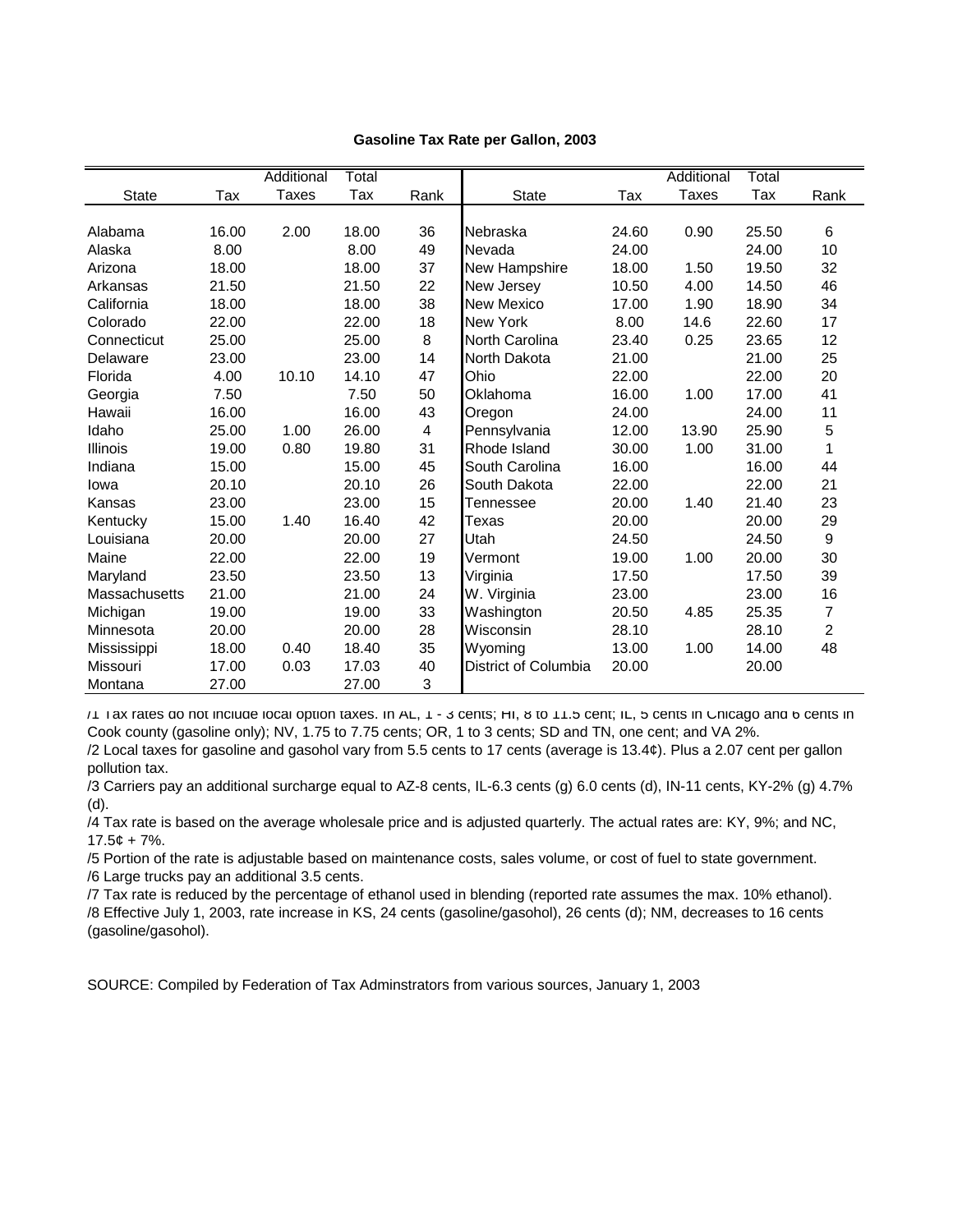|               |       | Additional   | Total |      |                      |       | Additional   | Total |                |
|---------------|-------|--------------|-------|------|----------------------|-------|--------------|-------|----------------|
| <b>State</b>  | Tax   | <b>Taxes</b> | Tax   | Rank | <b>State</b>         | Tax   | <b>Taxes</b> | Tax   | Rank           |
|               |       |              |       |      |                      |       |              |       |                |
| Alabama       | 16.00 | 2.00         | 18.00 | 36   | Nebraska             | 24.60 | 0.90         | 25.50 | 6              |
| Alaska        | 8.00  |              | 8.00  | 49   | Nevada               | 24.00 |              | 24.00 | 10             |
| Arizona       | 18.00 |              | 18.00 | 37   | New Hampshire        | 18.00 | 1.50         | 19.50 | 32             |
| Arkansas      | 21.50 |              | 21.50 | 22   | New Jersey           | 10.50 | 4.00         | 14.50 | 46             |
| California    | 18.00 |              | 18.00 | 38   | <b>New Mexico</b>    | 17.00 | 1.90         | 18.90 | 34             |
| Colorado      | 22.00 |              | 22.00 | 18   | <b>New York</b>      | 8.00  | 14.6         | 22.60 | 17             |
| Connecticut   | 25.00 |              | 25.00 | 8    | North Carolina       | 23.40 | 0.25         | 23.65 | 12             |
| Delaware      | 23.00 |              | 23.00 | 14   | North Dakota         | 21.00 |              | 21.00 | 25             |
| Florida       | 4.00  | 10.10        | 14.10 | 47   | Ohio                 | 22.00 |              | 22.00 | 20             |
| Georgia       | 7.50  |              | 7.50  | 50   | Oklahoma             | 16.00 | 1.00         | 17.00 | 41             |
| Hawaii        | 16.00 |              | 16.00 | 43   | Oregon               | 24.00 |              | 24.00 | 11             |
| Idaho         | 25.00 | 1.00         | 26.00 | 4    | Pennsylvania         | 12.00 | 13.90        | 25.90 | 5              |
| Illinois      | 19.00 | 0.80         | 19.80 | 31   | Rhode Island         | 30.00 | 1.00         | 31.00 | 1              |
| Indiana       | 15.00 |              | 15.00 | 45   | South Carolina       | 16.00 |              | 16.00 | 44             |
| lowa          | 20.10 |              | 20.10 | 26   | South Dakota         | 22.00 |              | 22.00 | 21             |
| Kansas        | 23.00 |              | 23.00 | 15   | Tennessee            | 20.00 | 1.40         | 21.40 | 23             |
| Kentucky      | 15.00 | 1.40         | 16.40 | 42   | <b>Texas</b>         | 20.00 |              | 20.00 | 29             |
| Louisiana     | 20.00 |              | 20.00 | 27   | Utah                 | 24.50 |              | 24.50 | 9              |
| Maine         | 22.00 |              | 22.00 | 19   | Vermont              | 19.00 | 1.00         | 20.00 | 30             |
| Maryland      | 23.50 |              | 23.50 | 13   | Virginia             | 17.50 |              | 17.50 | 39             |
| Massachusetts | 21.00 |              | 21.00 | 24   | W. Virginia          | 23.00 |              | 23.00 | 16             |
| Michigan      | 19.00 |              | 19.00 | 33   | Washington           | 20.50 | 4.85         | 25.35 | $\overline{7}$ |
| Minnesota     | 20.00 |              | 20.00 | 28   | Wisconsin            | 28.10 |              | 28.10 | $\overline{2}$ |
| Mississippi   | 18.00 | 0.40         | 18.40 | 35   | Wyoming              | 13.00 | 1.00         | 14.00 | 48             |
| Missouri      | 17.00 | 0.03         | 17.03 | 40   | District of Columbia | 20.00 |              | 20.00 |                |
| Montana       | 27.00 |              | 27.00 | 3    |                      |       |              |       |                |

**Gasoline Tax Rate per Gallon, 2003**

/1 Tax rates do not include local option taxes. In AL, 1 - 3 cents; HI, 8 to 11.5 cent; IL, 5 cents in Chicago and 6 cents in Cook county (gasoline only); NV, 1.75 to 7.75 cents; OR, 1 to 3 cents; SD and TN, one cent; and VA 2%.

/2 Local taxes for gasoline and gasohol vary from 5.5 cents to 17 cents (average is 13.4¢). Plus a 2.07 cent per gallon pollution tax.

/3 Carriers pay an additional surcharge equal to AZ-8 cents, IL-6.3 cents (g) 6.0 cents (d), IN-11 cents, KY-2% (g) 4.7% (d).

/4 Tax rate is based on the average wholesale price and is adjusted quarterly. The actual rates are: KY, 9%; and NC,  $17.5¢ + 7%$ .

/5 Portion of the rate is adjustable based on maintenance costs, sales volume, or cost of fuel to state government. /6 Large trucks pay an additional 3.5 cents.

/7 Tax rate is reduced by the percentage of ethanol used in blending (reported rate assumes the max. 10% ethanol). /8 Effective July 1, 2003, rate increase in KS, 24 cents (gasoline/gasohol), 26 cents (d); NM, decreases to 16 cents (gasoline/gasohol).

SOURCE: Compiled by Federation of Tax Adminstrators from various sources, January 1, 2003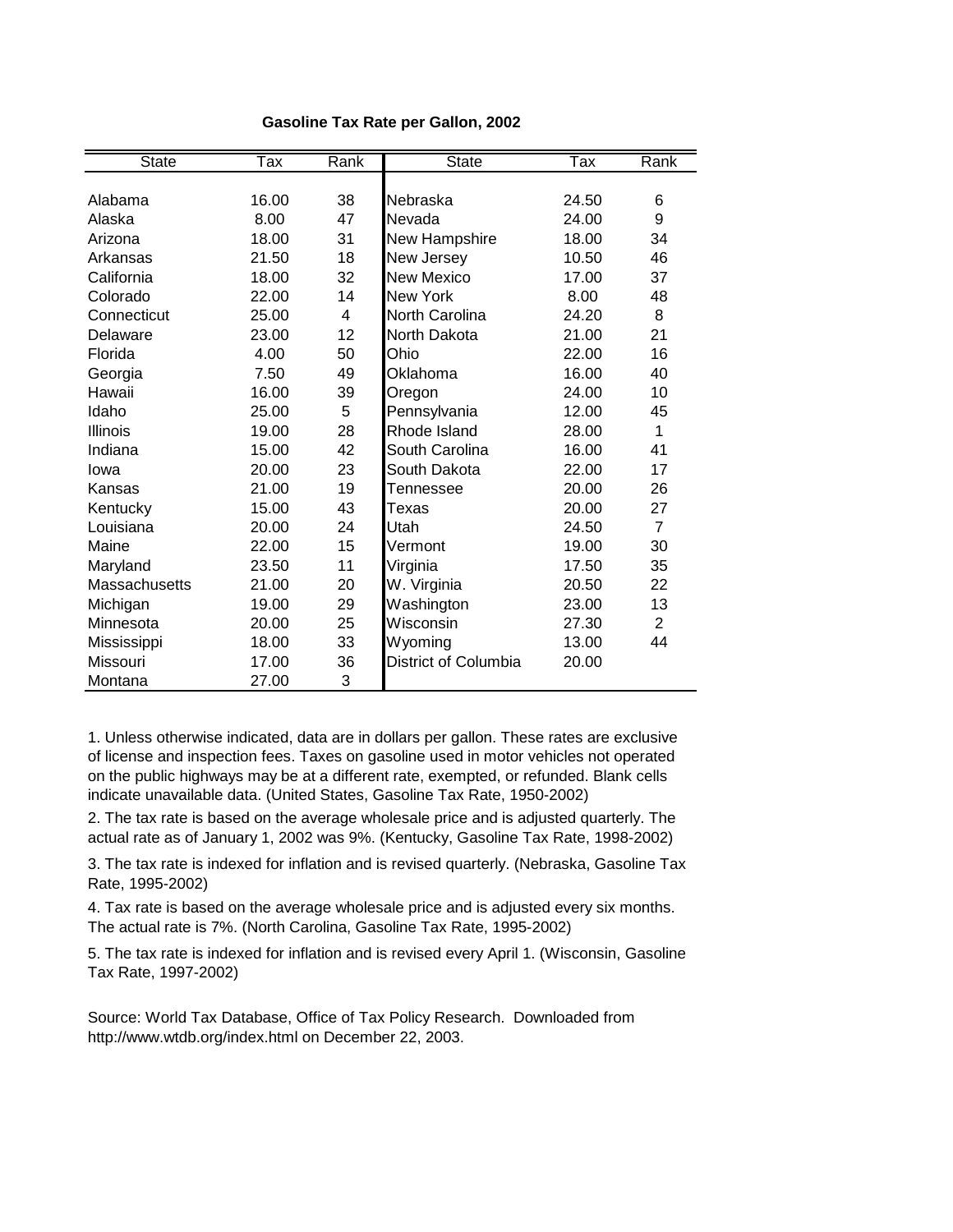| <b>State</b>  | Тах   | Rank | <b>State</b>                | Tax   | Rank           |
|---------------|-------|------|-----------------------------|-------|----------------|
|               |       |      |                             |       |                |
| Alabama       | 16.00 | 38   | Nebraska                    | 24.50 | 6              |
| Alaska        | 8.00  | 47   | Nevada                      | 24.00 | 9              |
| Arizona       | 18.00 | 31   | New Hampshire               | 18.00 | 34             |
| Arkansas      | 21.50 | 18   | New Jersey                  | 10.50 | 46             |
| California    | 18.00 | 32   | <b>New Mexico</b>           | 17.00 | 37             |
| Colorado      | 22.00 | 14   | New York                    | 8.00  | 48             |
| Connecticut   | 25.00 | 4    | North Carolina              | 24.20 | 8              |
| Delaware      | 23.00 | 12   | North Dakota                | 21.00 | 21             |
| Florida       | 4.00  | 50   | Ohio                        | 22.00 | 16             |
| Georgia       | 7.50  | 49   | Oklahoma                    | 16.00 | 40             |
| Hawaii        | 16.00 | 39   | Oregon                      | 24.00 | 10             |
| Idaho         | 25.00 | 5    | Pennsylvania                | 12.00 | 45             |
| Illinois      | 19.00 | 28   | Rhode Island                | 28.00 | 1              |
| Indiana       | 15.00 | 42   | South Carolina              | 16.00 | 41             |
| lowa          | 20.00 | 23   | South Dakota                | 22.00 | 17             |
| Kansas        | 21.00 | 19   | Tennessee                   | 20.00 | 26             |
| Kentucky      | 15.00 | 43   | Texas                       | 20.00 | 27             |
| Louisiana     | 20.00 | 24   | Utah                        | 24.50 | $\overline{7}$ |
| Maine         | 22.00 | 15   | Vermont                     | 19.00 | 30             |
| Maryland      | 23.50 | 11   | Virginia                    | 17.50 | 35             |
| Massachusetts | 21.00 | 20   | W. Virginia                 | 20.50 | 22             |
| Michigan      | 19.00 | 29   | Washington                  | 23.00 | 13             |
| Minnesota     | 20.00 | 25   | Wisconsin                   | 27.30 | $\overline{2}$ |
| Mississippi   | 18.00 | 33   | Wyoming                     | 13.00 | 44             |
| Missouri      | 17.00 | 36   | <b>District of Columbia</b> | 20.00 |                |
| Montana       | 27.00 | 3    |                             |       |                |

#### **Gasoline Tax Rate per Gallon, 2002**

1. Unless otherwise indicated, data are in dollars per gallon. These rates are exclusive of license and inspection fees. Taxes on gasoline used in motor vehicles not operated on the public highways may be at a different rate, exempted, or refunded. Blank cells indicate unavailable data. (United States, Gasoline Tax Rate, 1950-2002)

2. The tax rate is based on the average wholesale price and is adjusted quarterly. The actual rate as of January 1, 2002 was 9%. (Kentucky, Gasoline Tax Rate, 1998-2002)

3. The tax rate is indexed for inflation and is revised quarterly. (Nebraska, Gasoline Tax Rate, 1995-2002)

4. Tax rate is based on the average wholesale price and is adjusted every six months. The actual rate is 7%. (North Carolina, Gasoline Tax Rate, 1995-2002)

5. The tax rate is indexed for inflation and is revised every April 1. (Wisconsin, Gasoline Tax Rate, 1997-2002)

Source: World Tax Database, Office of Tax Policy Research. Downloaded from http://www.wtdb.org/index.html on December 22, 2003.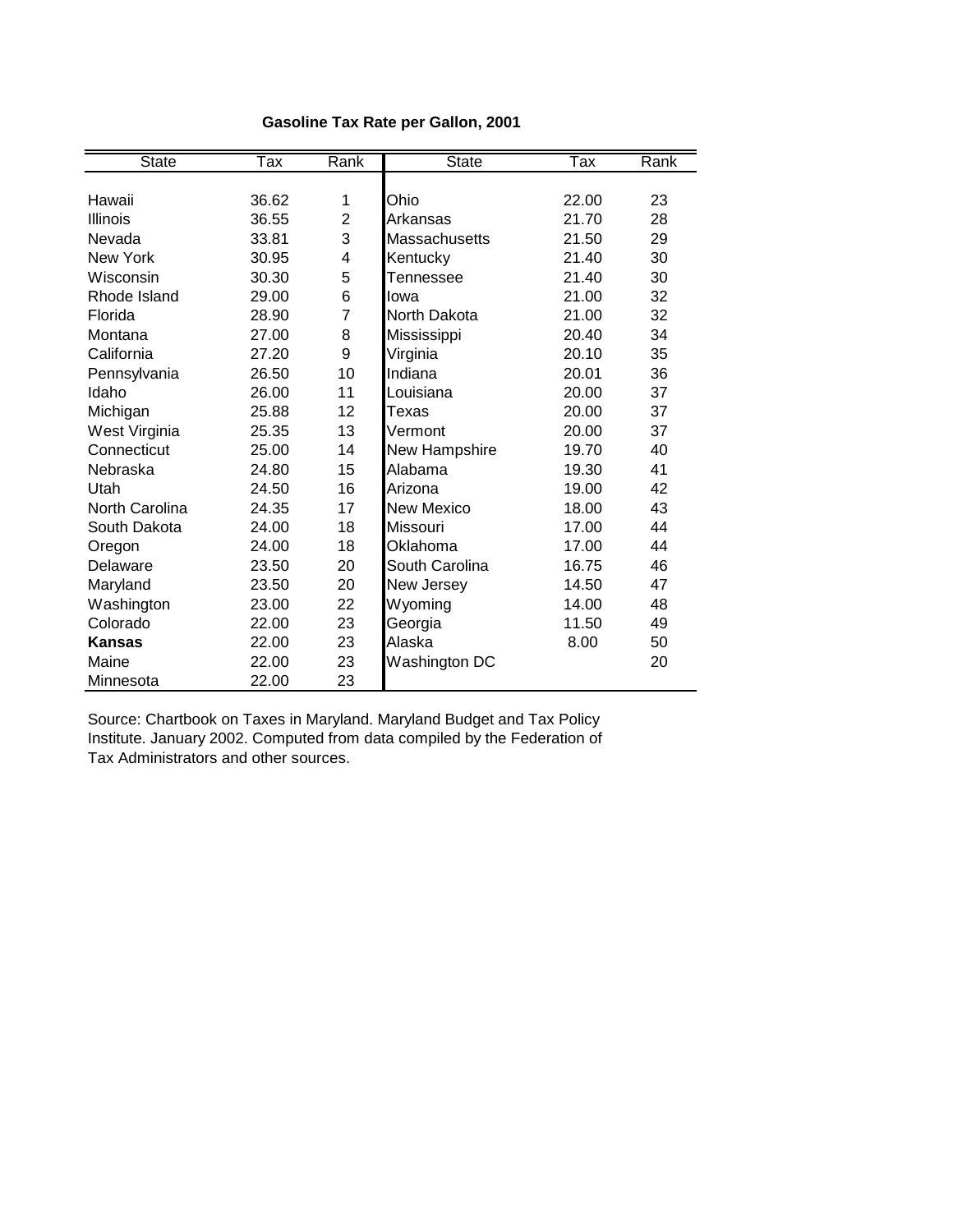| <b>State</b>          | Tax   | Rank           | <b>State</b>      | Tax   | Rank |
|-----------------------|-------|----------------|-------------------|-------|------|
|                       |       |                |                   |       |      |
| Hawaii                | 36.62 | 1              | Ohio              | 22.00 | 23   |
| Illinois              | 36.55 | $\overline{2}$ | Arkansas          | 21.70 | 28   |
| Nevada                | 33.81 | 3              | Massachusetts     | 21.50 | 29   |
| <b>New York</b>       | 30.95 | 4              | Kentucky          | 21.40 | 30   |
| Wisconsin             | 30.30 | 5              | Tennessee         | 21.40 | 30   |
| Rhode Island          | 29.00 | 6              | lowa              | 21.00 | 32   |
| Florida               | 28.90 | $\overline{7}$ | North Dakota      | 21.00 | 32   |
| Montana               | 27.00 | 8              | Mississippi       | 20.40 | 34   |
| California            | 27.20 | 9              | Virginia          | 20.10 | 35   |
| Pennsylvania          | 26.50 | 10             | Indiana           | 20.01 | 36   |
| Idaho                 | 26.00 | 11             | Louisiana         | 20.00 | 37   |
| Michigan              | 25.88 | 12             | Texas             | 20.00 | 37   |
| West Virginia         | 25.35 | 13             | Vermont           | 20.00 | 37   |
| Connecticut           | 25.00 | 14             | New Hampshire     | 19.70 | 40   |
| Nebraska              | 24.80 | 15             | Alabama           | 19.30 | 41   |
| Utah                  | 24.50 | 16             | Arizona           | 19.00 | 42   |
| <b>North Carolina</b> | 24.35 | 17             | <b>New Mexico</b> | 18.00 | 43   |
| South Dakota          | 24.00 | 18             | Missouri          | 17.00 | 44   |
| Oregon                | 24.00 | 18             | Oklahoma          | 17.00 | 44   |
| Delaware              | 23.50 | 20             | South Carolina    | 16.75 | 46   |
| Maryland              | 23.50 | 20             | New Jersey        | 14.50 | 47   |
| Washington            | 23.00 | 22             | Wyoming           | 14.00 | 48   |
| Colorado              | 22.00 | 23             | Georgia           | 11.50 | 49   |
| <b>Kansas</b>         | 22.00 | 23             | Alaska            | 8.00  | 50   |
| Maine                 | 22.00 | 23             | Washington DC     |       | 20   |
| Minnesota             | 22.00 | 23             |                   |       |      |

## **Gasoline Tax Rate per Gallon, 2001**

Source: Chartbook on Taxes in Maryland. Maryland Budget and Tax Policy Institute. January 2002. Computed from data compiled by the Federation of Tax Administrators and other sources.